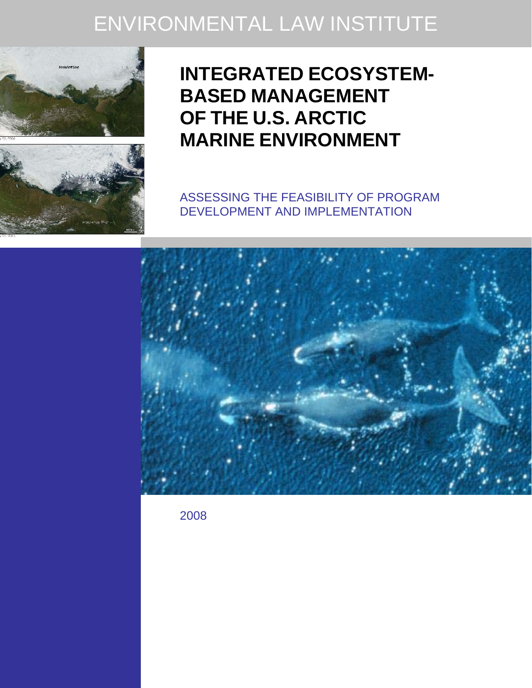# ENVIRONMENTAL LAW INSTITUTE





## **INTEGRATED ECOSYSTEM-BASED MANAGEMENT OF THE U.S. ARCTIC MARINE ENVIRONMENT**

ASSESSING THE FEASIBILITY OF PROGRAM DEVELOPMENT AND IMPLEMENTATION



2008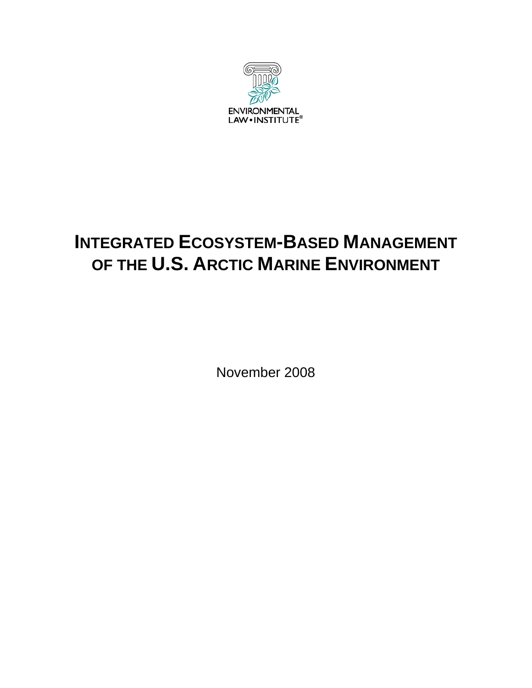

## **INTEGRATED ECOSYSTEM-BASED MANAGEMENT OF THE U.S. ARCTIC MARINE ENVIRONMENT**

November 2008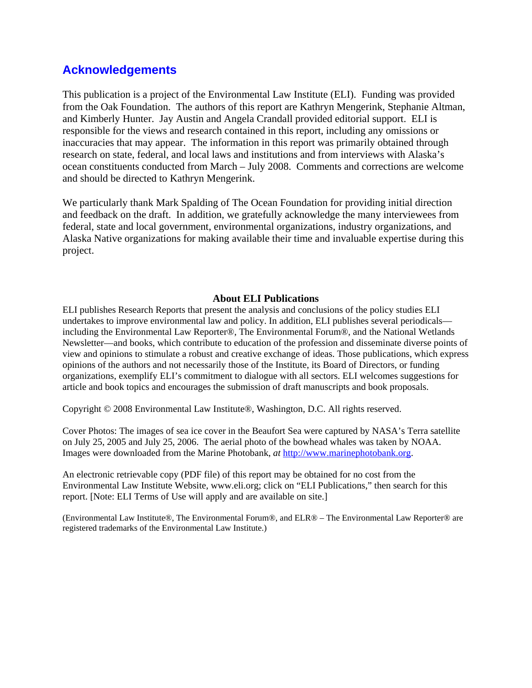## **Acknowledgements**

This publication is a project of the Environmental Law Institute (ELI). Funding was provided from the Oak Foundation. The authors of this report are Kathryn Mengerink, Stephanie Altman, and Kimberly Hunter. Jay Austin and Angela Crandall provided editorial support. ELI is responsible for the views and research contained in this report, including any omissions or inaccuracies that may appear. The information in this report was primarily obtained through research on state, federal, and local laws and institutions and from interviews with Alaska's ocean constituents conducted from March – July 2008. Comments and corrections are welcome and should be directed to Kathryn Mengerink.

We particularly thank Mark Spalding of The Ocean Foundation for providing initial direction and feedback on the draft. In addition, we gratefully acknowledge the many interviewees from federal, state and local government, environmental organizations, industry organizations, and Alaska Native organizations for making available their time and invaluable expertise during this project.

## **About ELI Publications**

ELI publishes Research Reports that present the analysis and conclusions of the policy studies ELI undertakes to improve environmental law and policy. In addition, ELI publishes several periodicals including the Environmental Law Reporter®, The Environmental Forum®, and the National Wetlands Newsletter—and books, which contribute to education of the profession and disseminate diverse points of view and opinions to stimulate a robust and creative exchange of ideas. Those publications, which express opinions of the authors and not necessarily those of the Institute, its Board of Directors, or funding organizations, exemplify ELI's commitment to dialogue with all sectors. ELI welcomes suggestions for article and book topics and encourages the submission of draft manuscripts and book proposals.

Copyright © 2008 Environmental Law Institute®, Washington, D.C. All rights reserved.

Cover Photos: The images of sea ice cover in the Beaufort Sea were captured by NASA's Terra satellite on July 25, 2005 and July 25, 2006. The aerial photo of the bowhead whales was taken by NOAA. Images were downloaded from the Marine Photobank, *at* http://www.marinephotobank.org.

An electronic retrievable copy (PDF file) of this report may be obtained for no cost from the Environmental Law Institute Website, www.eli.org; click on "ELI Publications," then search for this report. [Note: ELI Terms of Use will apply and are available on site.]

(Environmental Law Institute®, The Environmental Forum®, and ELR® – The Environmental Law Reporter® are registered trademarks of the Environmental Law Institute.)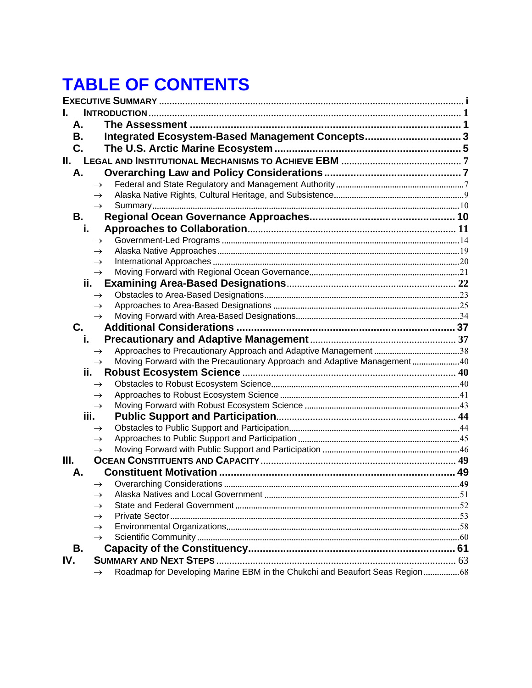## **TABLE OF CONTENTS**

| А.    |                                                                             |     |
|-------|-----------------------------------------------------------------------------|-----|
| В.    | Integrated Ecosystem-Based Management Concepts3                             |     |
| C.    |                                                                             |     |
| II. I |                                                                             |     |
| А.    |                                                                             |     |
|       |                                                                             |     |
|       |                                                                             |     |
|       |                                                                             |     |
| В.    |                                                                             |     |
| i.    |                                                                             |     |
|       |                                                                             |     |
|       |                                                                             |     |
|       |                                                                             |     |
|       |                                                                             |     |
| ii.   |                                                                             |     |
|       |                                                                             |     |
|       |                                                                             |     |
|       |                                                                             |     |
| C.    |                                                                             |     |
| i.    |                                                                             |     |
|       |                                                                             |     |
|       | Moving Forward with the Precautionary Approach and Adaptive Management40    |     |
| ii.   |                                                                             |     |
|       |                                                                             |     |
|       |                                                                             |     |
|       |                                                                             |     |
| iii.  |                                                                             |     |
|       |                                                                             |     |
|       |                                                                             |     |
|       |                                                                             |     |
| Ш.    |                                                                             |     |
| Α.    |                                                                             |     |
|       | $\rightarrow$                                                               | .49 |
|       |                                                                             |     |
|       |                                                                             |     |
|       |                                                                             |     |
|       |                                                                             |     |
|       |                                                                             |     |
| В.    |                                                                             |     |
| IV.   |                                                                             |     |
|       | Roadmap for Developing Marine EBM in the Chukchi and Beaufort Seas Region68 |     |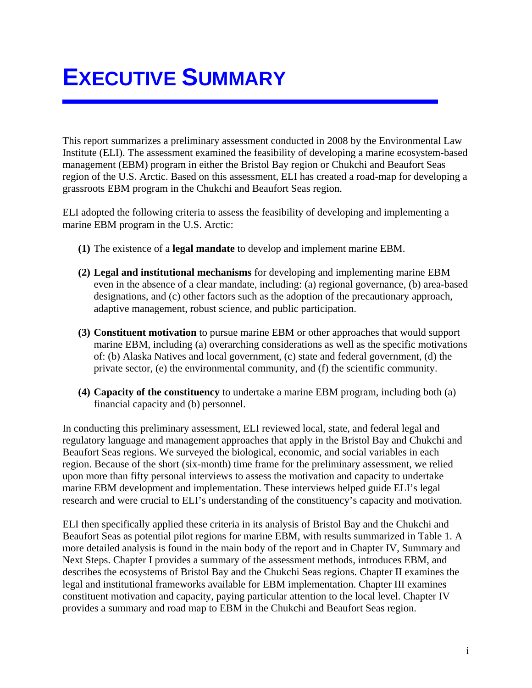# **EXECUTIVE SUMMARY**

This report summarizes a preliminary assessment conducted in 2008 by the Environmental Law Institute (ELI). The assessment examined the feasibility of developing a marine ecosystem-based management (EBM) program in either the Bristol Bay region or Chukchi and Beaufort Seas region of the U.S. Arctic. Based on this assessment, ELI has created a road-map for developing a grassroots EBM program in the Chukchi and Beaufort Seas region.

ELI adopted the following criteria to assess the feasibility of developing and implementing a marine EBM program in the U.S. Arctic:

- **(1)** The existence of a **legal mandate** to develop and implement marine EBM.
- **(2) Legal and institutional mechanisms** for developing and implementing marine EBM even in the absence of a clear mandate, including: (a) regional governance, (b) area-based designations, and (c) other factors such as the adoption of the precautionary approach, adaptive management, robust science, and public participation.
- **(3) Constituent motivation** to pursue marine EBM or other approaches that would support marine EBM, including (a) overarching considerations as well as the specific motivations of: (b) Alaska Natives and local government, (c) state and federal government, (d) the private sector, (e) the environmental community, and (f) the scientific community.
- **(4) Capacity of the constituency** to undertake a marine EBM program, including both (a) financial capacity and (b) personnel.

In conducting this preliminary assessment, ELI reviewed local, state, and federal legal and regulatory language and management approaches that apply in the Bristol Bay and Chukchi and Beaufort Seas regions. We surveyed the biological, economic, and social variables in each region. Because of the short (six-month) time frame for the preliminary assessment, we relied upon more than fifty personal interviews to assess the motivation and capacity to undertake marine EBM development and implementation. These interviews helped guide ELI's legal research and were crucial to ELI's understanding of the constituency's capacity and motivation.

ELI then specifically applied these criteria in its analysis of Bristol Bay and the Chukchi and Beaufort Seas as potential pilot regions for marine EBM, with results summarized in Table 1. A more detailed analysis is found in the main body of the report and in Chapter IV, Summary and Next Steps. Chapter I provides a summary of the assessment methods, introduces EBM, and describes the ecosystems of Bristol Bay and the Chukchi Seas regions. Chapter II examines the legal and institutional frameworks available for EBM implementation. Chapter III examines constituent motivation and capacity, paying particular attention to the local level. Chapter IV provides a summary and road map to EBM in the Chukchi and Beaufort Seas region.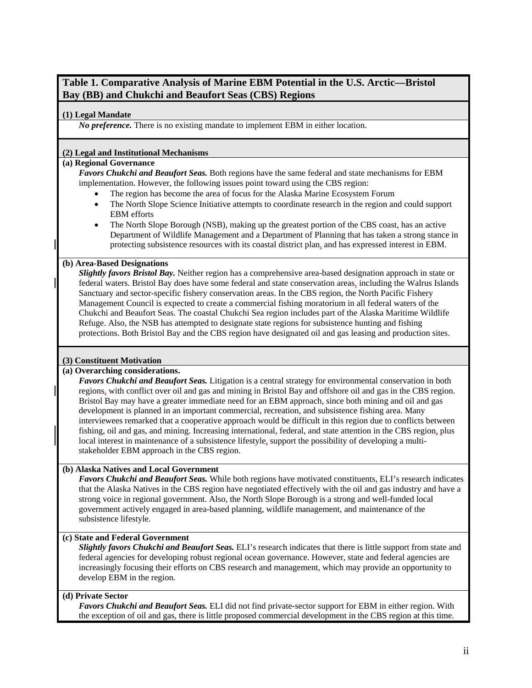## **Table 1. Comparative Analysis of Marine EBM Potential in the U.S. Arctic—Bristol Bay (BB) and Chukchi and Beaufort Seas (CBS) Regions**

### **(1) Legal Mandate**

*No preference.* There is no existing mandate to implement EBM in either location.

### **(2) Legal and Institutional Mechanisms**

#### **(a) Regional Governance**

*Favors Chukchi and Beaufort Seas.* Both regions have the same federal and state mechanisms for EBM implementation. However, the following issues point toward using the CBS region:

- The region has become the area of focus for the Alaska Marine Ecosystem Forum
- The North Slope Science Initiative attempts to coordinate research in the region and could support EBM efforts
- The North Slope Borough (NSB), making up the greatest portion of the CBS coast, has an active Department of Wildlife Management and a Department of Planning that has taken a strong stance in protecting subsistence resources with its coastal district plan, and has expressed interest in EBM.

### **(b) Area-Based Designations**

*Slightly favors Bristol Bay.* Neither region has a comprehensive area-based designation approach in state or federal waters. Bristol Bay does have some federal and state conservation areas, including the Walrus Islands Sanctuary and sector-specific fishery conservation areas. In the CBS region, the North Pacific Fishery Management Council is expected to create a commercial fishing moratorium in all federal waters of the Chukchi and Beaufort Seas. The coastal Chukchi Sea region includes part of the Alaska Maritime Wildlife Refuge. Also, the NSB has attempted to designate state regions for subsistence hunting and fishing protections. Both Bristol Bay and the CBS region have designated oil and gas leasing and production sites.

### **(3) Constituent Motivation**

#### **(a) Overarching considerations.**

*Favors Chukchi and Beaufort Seas.* Litigation is a central strategy for environmental conservation in both regions, with conflict over oil and gas and mining in Bristol Bay and offshore oil and gas in the CBS region. Bristol Bay may have a greater immediate need for an EBM approach, since both mining and oil and gas development is planned in an important commercial, recreation, and subsistence fishing area. Many interviewees remarked that a cooperative approach would be difficult in this region due to conflicts between fishing, oil and gas, and mining. Increasing international, federal, and state attention in the CBS region, plus local interest in maintenance of a subsistence lifestyle, support the possibility of developing a multistakeholder EBM approach in the CBS region.

## **(b) Alaska Natives and Local Government**

*Favors Chukchi and Beaufort Seas.* While both regions have motivated constituents, ELI's research indicates that the Alaska Natives in the CBS region have negotiated effectively with the oil and gas industry and have a strong voice in regional government. Also, the North Slope Borough is a strong and well-funded local government actively engaged in area-based planning, wildlife management, and maintenance of the subsistence lifestyle.

#### **(c) State and Federal Government**

*Slightly favors Chukchi and Beaufort Seas.* ELI's research indicates that there is little support from state and federal agencies for developing robust regional ocean governance. However, state and federal agencies are increasingly focusing their efforts on CBS research and management, which may provide an opportunity to develop EBM in the region.

### **(d) Private Sector**

*Favors Chukchi and Beaufort Seas.* ELI did not find private-sector support for EBM in either region. With the exception of oil and gas, there is little proposed commercial development in the CBS region at this time.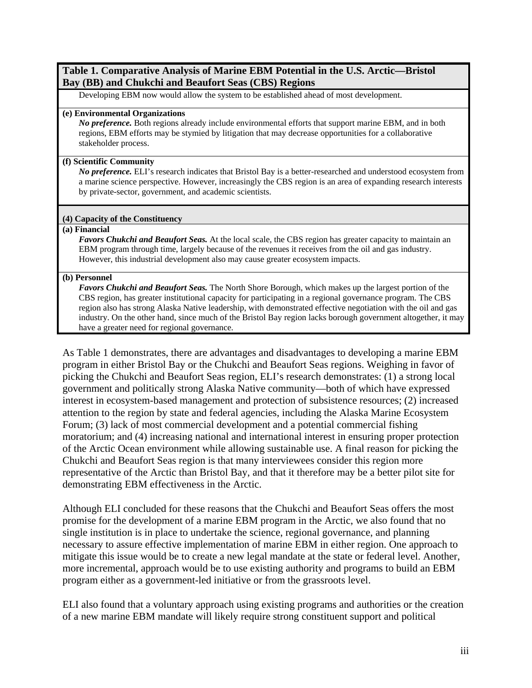## **Table 1. Comparative Analysis of Marine EBM Potential in the U.S. Arctic—Bristol Bay (BB) and Chukchi and Beaufort Seas (CBS) Regions**

Developing EBM now would allow the system to be established ahead of most development.

#### **(e) Environmental Organizations**

*No preference.* Both regions already include environmental efforts that support marine EBM, and in both regions, EBM efforts may be stymied by litigation that may decrease opportunities for a collaborative stakeholder process.

### **(f) Scientific Community**

*No preference.* ELI's research indicates that Bristol Bay is a better-researched and understood ecosystem from a marine science perspective. However, increasingly the CBS region is an area of expanding research interests by private-sector, government, and academic scientists.

### **(4) Capacity of the Constituency**

#### **(a) Financial**

*Favors Chukchi and Beaufort Seas.* At the local scale, the CBS region has greater capacity to maintain an EBM program through time, largely because of the revenues it receives from the oil and gas industry. However, this industrial development also may cause greater ecosystem impacts.

#### **(b) Personnel**

*Favors Chukchi and Beaufort Seas.* The North Shore Borough, which makes up the largest portion of the CBS region, has greater institutional capacity for participating in a regional governance program. The CBS region also has strong Alaska Native leadership, with demonstrated effective negotiation with the oil and gas industry. On the other hand, since much of the Bristol Bay region lacks borough government altogether, it may have a greater need for regional governance.

As Table 1 demonstrates, there are advantages and disadvantages to developing a marine EBM program in either Bristol Bay or the Chukchi and Beaufort Seas regions. Weighing in favor of picking the Chukchi and Beaufort Seas region, ELI's research demonstrates: (1) a strong local government and politically strong Alaska Native community—both of which have expressed interest in ecosystem-based management and protection of subsistence resources; (2) increased attention to the region by state and federal agencies, including the Alaska Marine Ecosystem Forum; (3) lack of most commercial development and a potential commercial fishing moratorium; and (4) increasing national and international interest in ensuring proper protection of the Arctic Ocean environment while allowing sustainable use. A final reason for picking the Chukchi and Beaufort Seas region is that many interviewees consider this region more representative of the Arctic than Bristol Bay, and that it therefore may be a better pilot site for demonstrating EBM effectiveness in the Arctic.

Although ELI concluded for these reasons that the Chukchi and Beaufort Seas offers the most promise for the development of a marine EBM program in the Arctic, we also found that no single institution is in place to undertake the science, regional governance, and planning necessary to assure effective implementation of marine EBM in either region. One approach to mitigate this issue would be to create a new legal mandate at the state or federal level. Another, more incremental, approach would be to use existing authority and programs to build an EBM program either as a government-led initiative or from the grassroots level.

ELI also found that a voluntary approach using existing programs and authorities or the creation of a new marine EBM mandate will likely require strong constituent support and political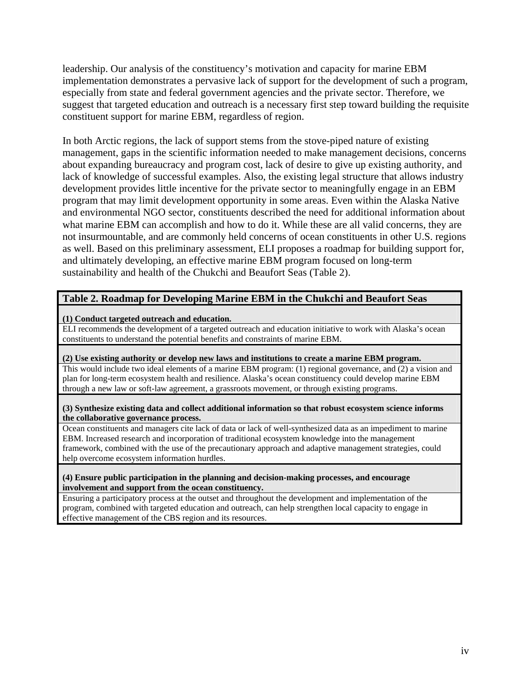leadership. Our analysis of the constituency's motivation and capacity for marine EBM implementation demonstrates a pervasive lack of support for the development of such a program, especially from state and federal government agencies and the private sector. Therefore, we suggest that targeted education and outreach is a necessary first step toward building the requisite constituent support for marine EBM, regardless of region.

In both Arctic regions, the lack of support stems from the stove-piped nature of existing management, gaps in the scientific information needed to make management decisions, concerns about expanding bureaucracy and program cost, lack of desire to give up existing authority, and lack of knowledge of successful examples. Also, the existing legal structure that allows industry development provides little incentive for the private sector to meaningfully engage in an EBM program that may limit development opportunity in some areas. Even within the Alaska Native and environmental NGO sector, constituents described the need for additional information about what marine EBM can accomplish and how to do it. While these are all valid concerns, they are not insurmountable, and are commonly held concerns of ocean constituents in other U.S. regions as well. Based on this preliminary assessment, ELI proposes a roadmap for building support for, and ultimately developing, an effective marine EBM program focused on long-term sustainability and health of the Chukchi and Beaufort Seas (Table 2).

## **Table 2. Roadmap for Developing Marine EBM in the Chukchi and Beaufort Seas**

### **(1) Conduct targeted outreach and education.**

ELI recommends the development of a targeted outreach and education initiative to work with Alaska's ocean constituents to understand the potential benefits and constraints of marine EBM.

### **(2) Use existing authority or develop new laws and institutions to create a marine EBM program.**

This would include two ideal elements of a marine EBM program: (1) regional governance, and (2) a vision and plan for long-term ecosystem health and resilience. Alaska's ocean constituency could develop marine EBM through a new law or soft-law agreement, a grassroots movement, or through existing programs.

#### **(3) Synthesize existing data and collect additional information so that robust ecosystem science informs the collaborative governance process.**

Ocean constituents and managers cite lack of data or lack of well-synthesized data as an impediment to marine EBM. Increased research and incorporation of traditional ecosystem knowledge into the management framework, combined with the use of the precautionary approach and adaptive management strategies, could help overcome ecosystem information hurdles.

#### **(4) Ensure public participation in the planning and decision-making processes, and encourage involvement and support from the ocean constituency.**

Ensuring a participatory process at the outset and throughout the development and implementation of the program, combined with targeted education and outreach, can help strengthen local capacity to engage in effective management of the CBS region and its resources.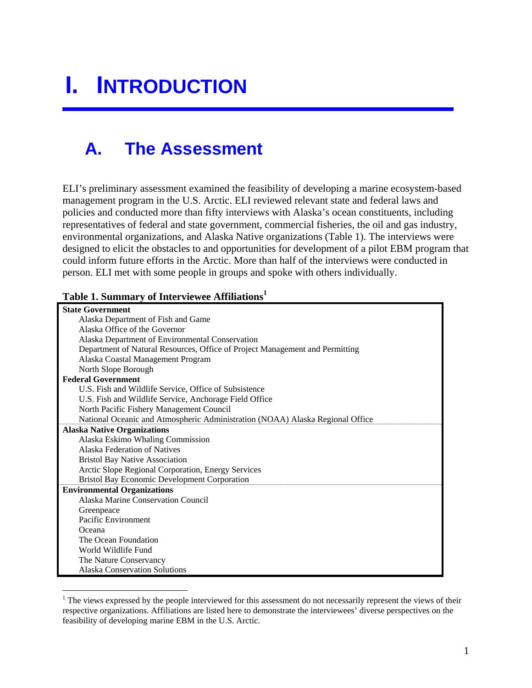# **I. INTRODUCTION**

## **A. The Assessment**

ELI's preliminary assessment examined the feasibility of developing a marine ecosystem-based management program in the U.S. Arctic. ELI reviewed relevant state and federal laws and policies and conducted more than fifty interviews with Alaska's ocean constituents, including representatives of federal and state government, commercial fisheries, the oil and gas industry, environmental organizations, and Alaska Native organizations (Table 1). The interviews were designed to elicit the obstacles to and opportunities for development of a pilot EBM program that could inform future efforts in the Arctic. More than half of the interviews were conducted in person. ELI met with some people in groups and spoke with others individually.

## **Table 1. Summary of Interviewee Affiliations<sup>1</sup>**

| <b>State Government</b>                                                       |
|-------------------------------------------------------------------------------|
| Alaska Department of Fish and Game                                            |
| Alaska Office of the Governor                                                 |
| Alaska Department of Environmental Conservation                               |
| Department of Natural Resources, Office of Project Management and Permitting  |
| Alaska Coastal Management Program                                             |
| North Slope Borough                                                           |
| <b>Federal Government</b>                                                     |
| U.S. Fish and Wildlife Service, Office of Subsistence                         |
| U.S. Fish and Wildlife Service, Anchorage Field Office                        |
| North Pacific Fishery Management Council                                      |
| National Oceanic and Atmospheric Administration (NOAA) Alaska Regional Office |
| <b>Alaska Native Organizations</b>                                            |
| Alaska Eskimo Whaling Commission                                              |
| Alaska Federation of Natives                                                  |
| <b>Bristol Bay Native Association</b>                                         |
| Arctic Slope Regional Corporation, Energy Services                            |
| <b>Bristol Bay Economic Development Corporation</b>                           |
| <b>Environmental Organizations</b>                                            |
| Alaska Marine Conservation Council                                            |
| Greenpeace                                                                    |
| Pacific Environment                                                           |
| Oceana                                                                        |
| The Ocean Foundation                                                          |
| World Wildlife Fund                                                           |
| The Nature Conservancy                                                        |
| <b>Alaska Conservation Solutions</b>                                          |

 $1$  The views expressed by the people interviewed for this assessment do not necessarily represent the views of their respective organizations. Affiliations are listed here to demonstrate the interviewees' diverse perspectives on the feasibility of developing marine EBM in the U.S. Arctic.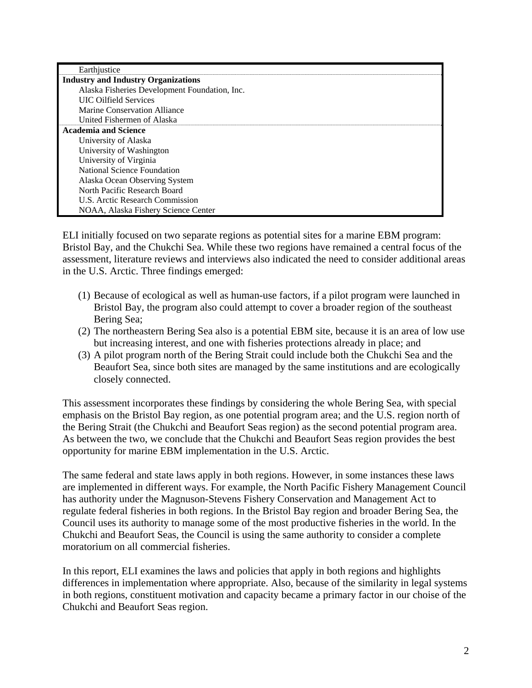| Earthjustice                                  |
|-----------------------------------------------|
| <b>Industry and Industry Organizations</b>    |
| Alaska Fisheries Development Foundation, Inc. |
| <b>UIC Oilfield Services</b>                  |
| Marine Conservation Alliance                  |
| United Fishermen of Alaska                    |
| <b>Academia and Science</b>                   |
| University of Alaska                          |
| University of Washington                      |
| University of Virginia                        |
| National Science Foundation                   |
| Alaska Ocean Observing System                 |
| North Pacific Research Board                  |
| U.S. Arctic Research Commission               |
| NOAA, Alaska Fishery Science Center           |

ELI initially focused on two separate regions as potential sites for a marine EBM program: Bristol Bay, and the Chukchi Sea. While these two regions have remained a central focus of the assessment, literature reviews and interviews also indicated the need to consider additional areas in the U.S. Arctic. Three findings emerged:

- (1) Because of ecological as well as human-use factors, if a pilot program were launched in Bristol Bay, the program also could attempt to cover a broader region of the southeast Bering Sea;
- (2) The northeastern Bering Sea also is a potential EBM site, because it is an area of low use but increasing interest, and one with fisheries protections already in place; and
- (3) A pilot program north of the Bering Strait could include both the Chukchi Sea and the Beaufort Sea, since both sites are managed by the same institutions and are ecologically closely connected.

This assessment incorporates these findings by considering the whole Bering Sea, with special emphasis on the Bristol Bay region, as one potential program area; and the U.S. region north of the Bering Strait (the Chukchi and Beaufort Seas region) as the second potential program area. As between the two, we conclude that the Chukchi and Beaufort Seas region provides the best opportunity for marine EBM implementation in the U.S. Arctic.

The same federal and state laws apply in both regions. However, in some instances these laws are implemented in different ways. For example, the North Pacific Fishery Management Council has authority under the Magnuson-Stevens Fishery Conservation and Management Act to regulate federal fisheries in both regions. In the Bristol Bay region and broader Bering Sea, the Council uses its authority to manage some of the most productive fisheries in the world. In the Chukchi and Beaufort Seas, the Council is using the same authority to consider a complete moratorium on all commercial fisheries.

In this report, ELI examines the laws and policies that apply in both regions and highlights differences in implementation where appropriate. Also, because of the similarity in legal systems in both regions, constituent motivation and capacity became a primary factor in our choise of the Chukchi and Beaufort Seas region.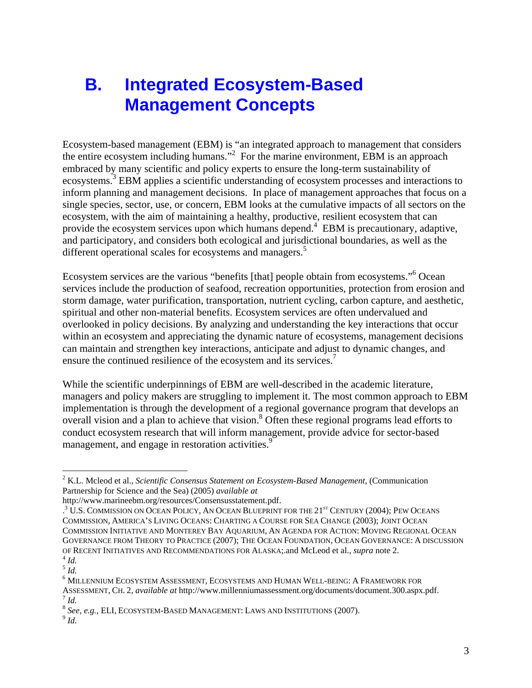## **B. Integrated Ecosystem-Based Management Concepts**

Ecosystem-based management (EBM) is "an integrated approach to management that considers the entire ecosystem including humans."<sup>2</sup> For the marine environment, EBM is an approach embraced by many scientific and policy experts to ensure the long-term sustainability of ecosystems.<sup>3</sup> EBM applies a scientific understanding of ecosystem processes and interactions to inform planning and management decisions. In place of management approaches that focus on a single species, sector, use, or concern, EBM looks at the cumulative impacts of all sectors on the ecosystem, with the aim of maintaining a healthy, productive, resilient ecosystem that can provide the ecosystem services upon which humans depend.<sup>4</sup> EBM is precautionary, adaptive, and participatory, and considers both ecological and jurisdictional boundaries, as well as the different operational scales for ecosystems and managers.<sup>5</sup>

Ecosystem services are the various "benefits [that] people obtain from ecosystems."<sup>6</sup> Ocean services include the production of seafood, recreation opportunities, protection from erosion and storm damage, water purification, transportation, nutrient cycling, carbon capture, and aesthetic, spiritual and other non-material benefits. Ecosystem services are often undervalued and overlooked in policy decisions. By analyzing and understanding the key interactions that occur within an ecosystem and appreciating the dynamic nature of ecosystems, management decisions can maintain and strengthen key interactions, anticipate and adjust to dynamic changes, and ensure the continued resilience of the ecosystem and its services.<sup>7</sup>

While the scientific underpinnings of EBM are well-described in the academic literature, managers and policy makers are struggling to implement it. The most common approach to EBM implementation is through the development of a regional governance program that develops an overall vision and a plan to achieve that vision.<sup>8</sup> Often these regional programs lead efforts to conduct ecosystem research that will inform management, provide advice for sector-based management, and engage in restoration activities.<sup>9</sup>

<sup>2</sup> K.L. Mcleod et al., *Scientific Consensus Statement on Ecosystem-Based Management*, (Communication Partnership for Science and the Sea) (2005) *available at*

http://www.marineebm.org/resources/Consensusstatement.pdf.

<sup>&</sup>lt;sup>3</sup> U.S. COMMISSION ON OCEAN POLICY, AN OCEAN BLUEPRINT FOR THE 21<sup>ST</sup> CENTURY (2004); PEW OCEANS COMMISSION, AMERICA'S LIVING OCEANS: CHARTING A COURSE FOR SEA CHANGE (2003); JOINT OCEAN COMMISSION INITIATIVE AND MONTEREY BAY AQUARIUM, AN AGENDA FOR ACTION: MOVING REGIONAL OCEAN GOVERNANCE FROM THEORY TO PRACTICE (2007); THE OCEAN FOUNDATION, OCEAN GOVERNANCE: A DISCUSSION OF RECENT INITIATIVES AND RECOMMENDATIONS FOR ALASKA; and McLeod et al., *supra* note 2.<br><sup>4</sup> *Id. 5 Id.* 

<sup>6</sup> MILLENNIUM ECOSYSTEM ASSESSMENT, ECOSYSTEMS AND HUMAN WELL-BEING: A FRAMEWORK FOR ASSESSMENT, CH. 2, *available at* http://www.millenniumassessment.org/documents/document.300.aspx.pdf.<br>
<sup>7</sup> *Id.*<br>8 *See, e.g.*, ELI, ECOSYSTEM-BASED MANAGEMENT: LAWS AND INSTITUTIONS (2007).<br>
<sup>9</sup> *Id.*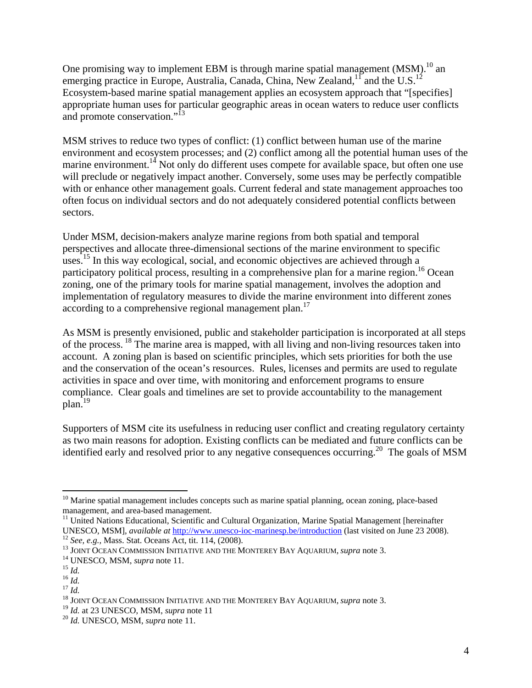One promising way to implement EBM is through marine spatial management  $(MSM)$ .<sup>10</sup> an emerging practice in Europe, Australia, Canada, China, New Zealand,<sup>11</sup> and the U.S.<sup>12</sup> Ecosystem-based marine spatial management applies an ecosystem approach that "[specifies] appropriate human uses for particular geographic areas in ocean waters to reduce user conflicts and promote conservation."<sup>13</sup>

MSM strives to reduce two types of conflict: (1) conflict between human use of the marine environment and ecosystem processes; and (2) conflict among all the potential human uses of the marine environment.<sup>14</sup> Not only do different uses compete for available space, but often one use will preclude or negatively impact another. Conversely, some uses may be perfectly compatible with or enhance other management goals. Current federal and state management approaches too often focus on individual sectors and do not adequately considered potential conflicts between sectors.

Under MSM, decision-makers analyze marine regions from both spatial and temporal perspectives and allocate three-dimensional sections of the marine environment to specific uses.<sup>15</sup> In this way ecological, social, and economic objectives are achieved through a participatory political process, resulting in a comprehensive plan for a marine region.<sup>16</sup> Ocean zoning, one of the primary tools for marine spatial management, involves the adoption and implementation of regulatory measures to divide the marine environment into different zones according to a comprehensive regional management plan.<sup>17</sup>

As MSM is presently envisioned, public and stakeholder participation is incorporated at all steps of the process. 18 The marine area is mapped, with all living and non-living resources taken into account. A zoning plan is based on scientific principles, which sets priorities for both the use and the conservation of the ocean's resources. Rules, licenses and permits are used to regulate activities in space and over time, with monitoring and enforcement programs to ensure compliance. Clear goals and timelines are set to provide accountability to the management plan.19

Supporters of MSM cite its usefulness in reducing user conflict and creating regulatory certainty as two main reasons for adoption. Existing conflicts can be mediated and future conflicts can be identified early and resolved prior to any negative consequences occurring.<sup>20</sup> The goals of MSM

1

 $10$  Marine spatial management includes concepts such as marine spatial planning, ocean zoning, place-based management, and area-based management.

<sup>&</sup>lt;sup>11</sup> United Nations Educational, Scientific and Cultural Organization, Marine Spatial Management [hereinafter UNESCO, MSM], *available at*  $\frac{http://www.unesco-ioc-marinesp.be/introduction}$  (last visited on June 23 2008).

<sup>&</sup>lt;sup>12</sup> *See, e.g.*, Mass. Stat. Oceans Act, tit. 114, (2008).<br>
<sup>13</sup> JOINT OCEAN COMMISSION INITIATIVE AND THE MONTEREY BAY AQUARIUM, *supra* note 3.<br>
<sup>14</sup> UNESCO, MSM, *supra* note 11.<br>
<sup>15</sup> *Id.*<br>
<sup>17</sup> *Id.*<br>
<sup>17</sup> *Id.*<br>
<sup></sup>

<sup>19</sup> *Id.* at 23 UNESCO, MSM, *supra* note 11 20 *Id.* UNESCO, MSM, *supra* note 11.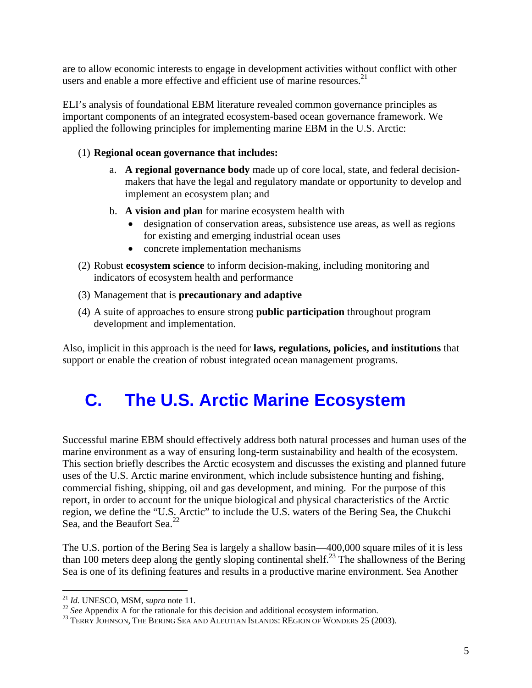are to allow economic interests to engage in development activities without conflict with other users and enable a more effective and efficient use of marine resources.<sup>21</sup>

ELI's analysis of foundational EBM literature revealed common governance principles as important components of an integrated ecosystem-based ocean governance framework. We applied the following principles for implementing marine EBM in the U.S. Arctic:

## (1) **Regional ocean governance that includes:**

- a. **A regional governance body** made up of core local, state, and federal decisionmakers that have the legal and regulatory mandate or opportunity to develop and implement an ecosystem plan; and
- b. **A vision and plan** for marine ecosystem health with
	- designation of conservation areas, subsistence use areas, as well as regions for existing and emerging industrial ocean uses
	- concrete implementation mechanisms
- (2) Robust **ecosystem science** to inform decision-making, including monitoring and indicators of ecosystem health and performance
- (3) Management that is **precautionary and adaptive**
- (4) A suite of approaches to ensure strong **public participation** throughout program development and implementation.

Also, implicit in this approach is the need for **laws, regulations, policies, and institutions** that support or enable the creation of robust integrated ocean management programs.

## **C. The U.S. Arctic Marine Ecosystem**

Successful marine EBM should effectively address both natural processes and human uses of the marine environment as a way of ensuring long-term sustainability and health of the ecosystem. This section briefly describes the Arctic ecosystem and discusses the existing and planned future uses of the U.S. Arctic marine environment, which include subsistence hunting and fishing, commercial fishing, shipping, oil and gas development, and mining. For the purpose of this report, in order to account for the unique biological and physical characteristics of the Arctic region, we define the "U.S. Arctic" to include the U.S. waters of the Bering Sea, the Chukchi Sea, and the Beaufort Sea.<sup>22</sup>

The U.S. portion of the Bering Sea is largely a shallow basin—400,000 square miles of it is less than 100 meters deep along the gently sloping continental shelf.<sup>23</sup> The shallowness of the Bering Sea is one of its defining features and results in a productive marine environment. Sea Another

 $^{21}$  *Id.* UNESCO, MSM, *supra* note 11.

<sup>&</sup>lt;sup>22</sup> See Appendix A for the rationale for this decision and additional ecosystem information.<br><sup>23</sup> TERRY JOHNSON, THE BERING SEA AND ALEUTIAN ISLANDS: REGION OF WONDERS 25 (2003).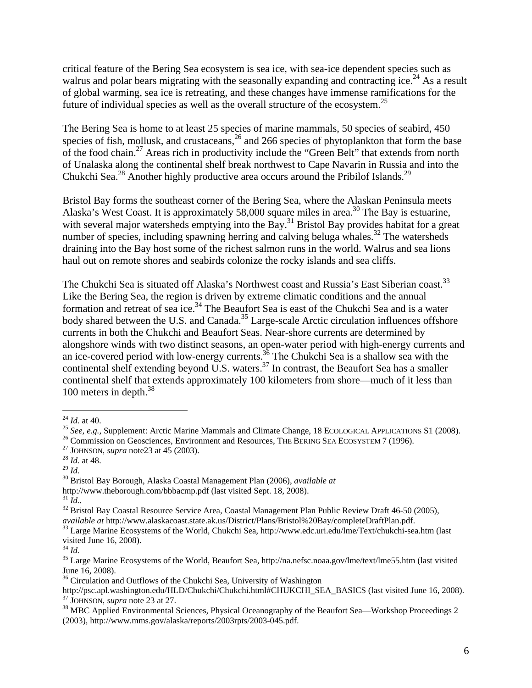critical feature of the Bering Sea ecosystem is sea ice, with sea-ice dependent species such as walrus and polar bears migrating with the seasonally expanding and contracting ice.<sup>24</sup> As a result of global warming, sea ice is retreating, and these changes have immense ramifications for the future of individual species as well as the overall structure of the ecosystem.<sup>25</sup>

The Bering Sea is home to at least 25 species of marine mammals, 50 species of seabird, 450 species of fish, mollusk, and crustaceans,  $26$  and 266 species of phytoplankton that form the base of the food chain.<sup>27</sup> Areas rich in productivity include the "Green Belt" that extends from north of Unalaska along the continental shelf break northwest to Cape Navarin in Russia and into the Chukchi Sea.<sup>28</sup> Another highly productive area occurs around the Pribilof Islands.<sup>29</sup>

Bristol Bay forms the southeast corner of the Bering Sea, where the Alaskan Peninsula meets Alaska's West Coast. It is approximately 58,000 square miles in area.<sup>30</sup> The Bay is estuarine, with several major watersheds emptying into the Bay.<sup>31</sup> Bristol Bay provides habitat for a great number of species, including spawning herring and calving beluga whales.<sup>32</sup> The watersheds draining into the Bay host some of the richest salmon runs in the world. Walrus and sea lions haul out on remote shores and seabirds colonize the rocky islands and sea cliffs.

The Chukchi Sea is situated off Alaska's Northwest coast and Russia's East Siberian coast.<sup>33</sup> Like the Bering Sea, the region is driven by extreme climatic conditions and the annual formation and retreat of sea ice.<sup>34</sup> The Beaufort Sea is east of the Chukchi Sea and is a water body shared between the U.S. and Canada.<sup>35</sup> Large-scale Arctic circulation influences offshore currents in both the Chukchi and Beaufort Seas. Near-shore currents are determined by alongshore winds with two distinct seasons, an open-water period with high-energy currents and an ice-covered period with low-energy currents.<sup>36</sup> The Chukchi Sea is a shallow sea with the continental shelf extending beyond  $\overrightarrow{U}$ .S. waters.<sup>37</sup> In contrast, the Beaufort Sea has a smaller continental shelf that extends approximately 100 kilometers from shore—much of it less than 100 meters in depth.<sup>38</sup>

<sup>&</sup>lt;sup>24</sup> *Id.* at 40.<br>
<sup>25</sup> *See, e.g.*, Supplement: Arctic Marine Mammals and Climate Change, 18 ECOLOGICAL APPLICATIONS S1 (2008).<br>
<sup>26</sup> Commission on Geosciences, Environment and Resources, THE BERING SEA ECOSYSTEM 7 (1996

<sup>&</sup>lt;sup>30</sup> Bristol Bay Borough, Alaska Coastal Management Plan (2006), *available at* 

http://www.theborough.com/bbbacmp.pdf (last visited Sept. 18, 2008).<br><sup>31</sup> Id..

<sup>&</sup>lt;sup>32</sup> Bristol Bay Coastal Resource Service Area, Coastal Management Plan Public Review Draft 46-50 (2005), *available at* http://www.alaskacoast.state.ak.us/District/Plans/Bristol%20Bay/completeDraftPlan.pdf.

<sup>&</sup>lt;sup>33</sup> Large Marine Ecosystems of the World, Chukchi Sea, http://www.edc.uri.edu/lme/Text/chukchi-sea.htm (last visited June 16, 2008).<br> $^{34}$  *Id.* 

<sup>&</sup>lt;sup>35</sup> Large Marine Ecosystems of the World, Beaufort Sea, http://na.nefsc.noaa.gov/lme/text/lme55.htm (last visited June 16, 2008).

<sup>&</sup>lt;sup>36</sup> Circulation and Outflows of the Chukchi Sea, University of Washington<br>http://psc.apl.washington.edu/HLD/Chukchi/Chukchi.html#CHUKCHI SEA BASICS (last visited June 16, 2008).  $^{37}$  JOHNSON, *supra* note 23 at 27.<br><sup>38</sup> MBC Applied Environmental Sciences, Physical Oceanography of the Beaufort Sea—Workshop Proceedings 2

<sup>(2003),</sup> http://www.mms.gov/alaska/reports/2003rpts/2003-045.pdf.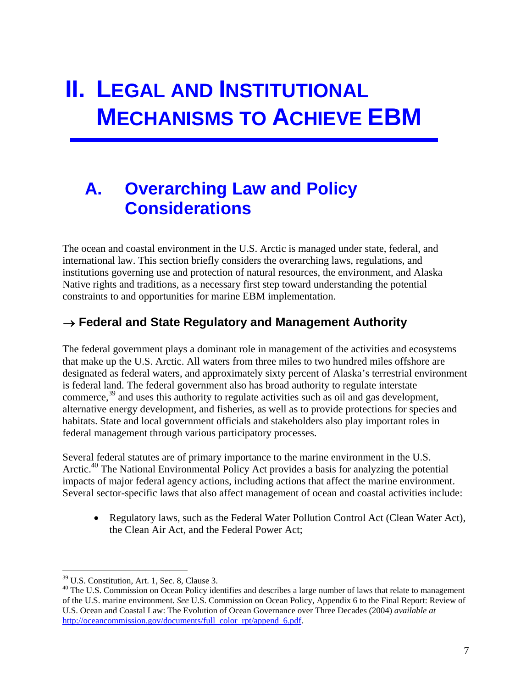# **II. LEGAL AND INSTITUTIONAL MECHANISMS TO ACHIEVE EBM**

## **A. Overarching Law and Policy Considerations**

The ocean and coastal environment in the U.S. Arctic is managed under state, federal, and international law. This section briefly considers the overarching laws, regulations, and institutions governing use and protection of natural resources, the environment, and Alaska Native rights and traditions, as a necessary first step toward understanding the potential constraints to and opportunities for marine EBM implementation.

## → **Federal and State Regulatory and Management Authority**

The federal government plays a dominant role in management of the activities and ecosystems that make up the U.S. Arctic. All waters from three miles to two hundred miles offshore are designated as federal waters, and approximately sixty percent of Alaska's terrestrial environment is federal land. The federal government also has broad authority to regulate interstate commerce,<sup>39</sup> and uses this authority to regulate activities such as oil and gas development, alternative energy development, and fisheries, as well as to provide protections for species and habitats. State and local government officials and stakeholders also play important roles in federal management through various participatory processes.

Several federal statutes are of primary importance to the marine environment in the U.S. Arctic.<sup>40</sup> The National Environmental Policy Act provides a basis for analyzing the potential impacts of major federal agency actions, including actions that affect the marine environment. Several sector-specific laws that also affect management of ocean and coastal activities include:

• Regulatory laws, such as the Federal Water Pollution Control Act (Clean Water Act), the Clean Air Act, and the Federal Power Act;

<sup>39</sup> U.S. Constitution, Art. 1, Sec. 8, Clause 3.

<sup>&</sup>lt;sup>40</sup> The U.S. Commission on Ocean Policy identifies and describes a large number of laws that relate to management of the U.S. marine environment. *See* U.S. Commission on Ocean Policy, Appendix 6 to the Final Report: Review of U.S. Ocean and Coastal Law: The Evolution of Ocean Governance over Three Decades (2004) *available at* http://oceancommission.gov/documents/full\_color\_rpt/append\_6.pdf.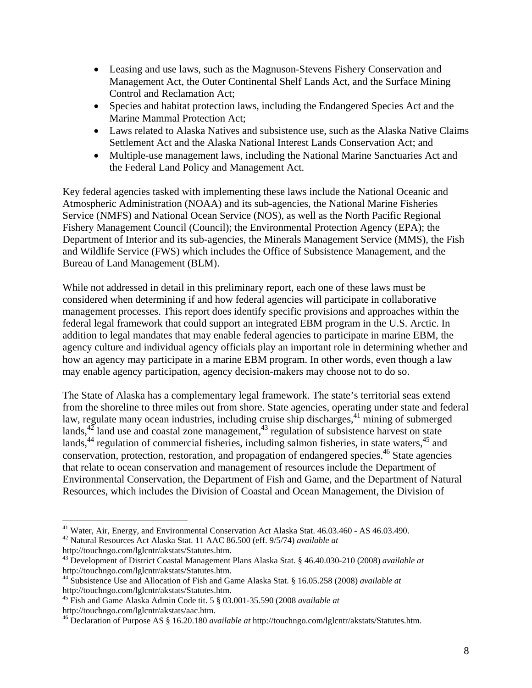- Leasing and use laws, such as the Magnuson-Stevens Fishery Conservation and Management Act, the Outer Continental Shelf Lands Act, and the Surface Mining Control and Reclamation Act;
- Species and habitat protection laws, including the Endangered Species Act and the Marine Mammal Protection Act;
- Laws related to Alaska Natives and subsistence use, such as the Alaska Native Claims Settlement Act and the Alaska National Interest Lands Conservation Act; and
- Multiple-use management laws, including the National Marine Sanctuaries Act and the Federal Land Policy and Management Act.

Key federal agencies tasked with implementing these laws include the National Oceanic and Atmospheric Administration (NOAA) and its sub-agencies, the National Marine Fisheries Service (NMFS) and National Ocean Service (NOS), as well as the North Pacific Regional Fishery Management Council (Council); the Environmental Protection Agency (EPA); the Department of Interior and its sub-agencies, the Minerals Management Service (MMS), the Fish and Wildlife Service (FWS) which includes the Office of Subsistence Management, and the Bureau of Land Management (BLM).

While not addressed in detail in this preliminary report, each one of these laws must be considered when determining if and how federal agencies will participate in collaborative management processes. This report does identify specific provisions and approaches within the federal legal framework that could support an integrated EBM program in the U.S. Arctic. In addition to legal mandates that may enable federal agencies to participate in marine EBM, the agency culture and individual agency officials play an important role in determining whether and how an agency may participate in a marine EBM program. In other words, even though a law may enable agency participation, agency decision-makers may choose not to do so.

The State of Alaska has a complementary legal framework. The state's territorial seas extend from the shoreline to three miles out from shore. State agencies, operating under state and federal law, regulate many ocean industries, including cruise ship discharges,<sup>41</sup> mining of submerged lands, $42$  land use and coastal zone management, $43$  regulation of subsistence harvest on state lands,  $44$  regulation of commercial fisheries, including salmon fisheries, in state waters,  $45$  and conservation, protection, restoration, and propagation of endangered species.<sup>46</sup> State agencies that relate to ocean conservation and management of resources include the Department of Environmental Conservation, the Department of Fish and Game, and the Department of Natural Resources, which includes the Division of Coastal and Ocean Management, the Division of

 $\overline{a}$ 41 Water, Air, Energy, and Environmental Conservation Act Alaska Stat. 46.03.460 - AS 46.03.490.

<sup>42</sup> Natural Resources Act Alaska Stat. 11 AAC 86.500 (eff. 9/5/74) *available at* http://touchngo.com/lglcntr/akstats/Statutes.htm.

<sup>43</sup> Development of District Coastal Management Plans Alaska Stat. § 46.40.030-210 (2008) *available at* http://touchngo.com/lglcntr/akstats/Statutes.htm.

<sup>44</sup> Subsistence Use and Allocation of Fish and Game Alaska Stat. § 16.05.258 (2008) *available at* http://touchngo.com/lglcntr/akstats/Statutes.htm.

<sup>45</sup> Fish and Game Alaska Admin Code tit. 5 § 03.001-35.590 (2008 *available at*

<sup>&</sup>lt;sup>46</sup> Declaration of Purpose AS § 16.20.180 *available at* http://touchngo.com/lglcntr/akstats/Statutes.htm.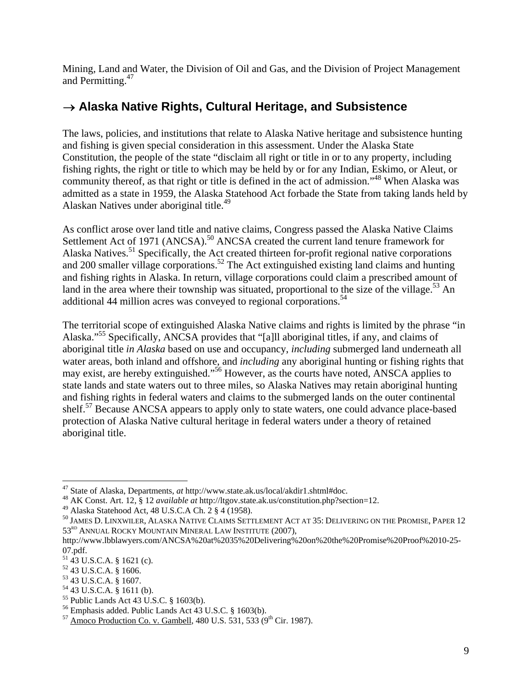Mining, Land and Water, the Division of Oil and Gas, and the Division of Project Management and Permitting.<sup>47</sup>

## → **Alaska Native Rights, Cultural Heritage, and Subsistence**

The laws, policies, and institutions that relate to Alaska Native heritage and subsistence hunting and fishing is given special consideration in this assessment. Under the Alaska State Constitution, the people of the state "disclaim all right or title in or to any property, including fishing rights, the right or title to which may be held by or for any Indian, Eskimo, or Aleut, or community thereof, as that right or title is defined in the act of admission."48 When Alaska was admitted as a state in 1959, the Alaska Statehood Act forbade the State from taking lands held by Alaskan Natives under aboriginal title.<sup>49</sup>

As conflict arose over land title and native claims, Congress passed the Alaska Native Claims Settlement Act of 1971 (ANCSA).<sup>50</sup> ANCSA created the current land tenure framework for Alaska Natives.<sup>51</sup> Specifically, the Act created thirteen for-profit regional native corporations and 200 smaller village corporations.<sup>52</sup> The Act extinguished existing land claims and hunting and fishing rights in Alaska. In return, village corporations could claim a prescribed amount of land in the area where their township was situated, proportional to the size of the village.<sup>53</sup> An additional 44 million acres was conveyed to regional corporations.<sup>54</sup>

The territorial scope of extinguished Alaska Native claims and rights is limited by the phrase "in Alaska."55 Specifically, ANCSA provides that "[a]ll aboriginal titles, if any, and claims of aboriginal title *in Alaska* based on use and occupancy, *including* submerged land underneath all water areas, both inland and offshore, and *including* any aboriginal hunting or fishing rights that may exist, are hereby extinguished."56 However, as the courts have noted, ANSCA applies to state lands and state waters out to three miles, so Alaska Natives may retain aboriginal hunting and fishing rights in federal waters and claims to the submerged lands on the outer continental shelf.<sup>57</sup> Because ANCSA appears to apply only to state waters, one could advance place-based protection of Alaska Native cultural heritage in federal waters under a theory of retained aboriginal title.

<sup>47</sup> State of Alaska, Departments, *at* http://www.state.ak.us/local/akdir1.shtml#doc. 48 AK Const. Art. 12, § 12 *available at* http://ltgov.state.ak.us/constitution.php?section=12.

<sup>49</sup> Alaska Statehood Act, 48 U.S.C.A Ch. 2 § 4 (1958).

<sup>50</sup> JAMES D. LINXWILER, ALASKA NATIVE CLAIMS SETTLEMENT ACT AT 35: DELIVERING ON THE PROMISE, PAPER 12 53<sup>RD</sup> ANNUAL ROCKY MOUNTAIN MINERAL LAW INSTITUTE (2007),

http://www.lbblawyers.com/ANCSA%20at%2035%20Delivering%20on%20the%20Promise%20Proof%2010-25- 07.pdf.

 $51$  43 U.S.C.A. § 1621 (c).

<sup>52 43</sup> U.S.C.A. § 1606.

<sup>53 43</sup> U.S.C.A. § 1607.

<sup>54 43</sup> U.S.C.A. § 1611 (b).

 $55$  Public Lands Act 43 U.S.C. § 1603(b).

<sup>56</sup> Emphasis added. Public Lands Act 43 U.S.C. § 1603(b).

 $^{57}$  Amoco Production Co. v. Gambell, 480 U.S. 531, 533 (9<sup>th</sup> Cir. 1987).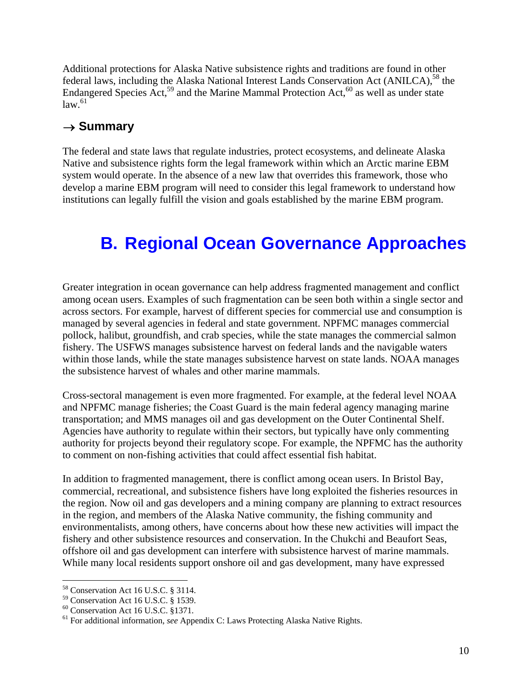Additional protections for Alaska Native subsistence rights and traditions are found in other federal laws, including the Alaska National Interest Lands Conservation Act (ANILCA),<sup>58</sup> the Endangered Species  $\text{Act}^{59}$  and the Marine Mammal Protection Act,  $^{60}$  as well as under state  $law<sup>61</sup>$ 

## → **Summary**

The federal and state laws that regulate industries, protect ecosystems, and delineate Alaska Native and subsistence rights form the legal framework within which an Arctic marine EBM system would operate. In the absence of a new law that overrides this framework, those who develop a marine EBM program will need to consider this legal framework to understand how institutions can legally fulfill the vision and goals established by the marine EBM program.

## **B. Regional Ocean Governance Approaches**

Greater integration in ocean governance can help address fragmented management and conflict among ocean users. Examples of such fragmentation can be seen both within a single sector and across sectors. For example, harvest of different species for commercial use and consumption is managed by several agencies in federal and state government. NPFMC manages commercial pollock, halibut, groundfish, and crab species, while the state manages the commercial salmon fishery. The USFWS manages subsistence harvest on federal lands and the navigable waters within those lands, while the state manages subsistence harvest on state lands. NOAA manages the subsistence harvest of whales and other marine mammals.

Cross-sectoral management is even more fragmented. For example, at the federal level NOAA and NPFMC manage fisheries; the Coast Guard is the main federal agency managing marine transportation; and MMS manages oil and gas development on the Outer Continental Shelf. Agencies have authority to regulate within their sectors, but typically have only commenting authority for projects beyond their regulatory scope. For example, the NPFMC has the authority to comment on non-fishing activities that could affect essential fish habitat.

In addition to fragmented management, there is conflict among ocean users. In Bristol Bay, commercial, recreational, and subsistence fishers have long exploited the fisheries resources in the region. Now oil and gas developers and a mining company are planning to extract resources in the region, and members of the Alaska Native community, the fishing community and environmentalists, among others, have concerns about how these new activities will impact the fishery and other subsistence resources and conservation. In the Chukchi and Beaufort Seas, offshore oil and gas development can interfere with subsistence harvest of marine mammals. While many local residents support onshore oil and gas development, many have expressed

<sup>58</sup> Conservation Act 16 U.S.C. § 3114.

<sup>59</sup> Conservation Act 16 U.S.C. § 1539.

<sup>60</sup> Conservation Act 16 U.S.C. §1371.

<sup>61</sup> For additional information, *see* Appendix C: Laws Protecting Alaska Native Rights.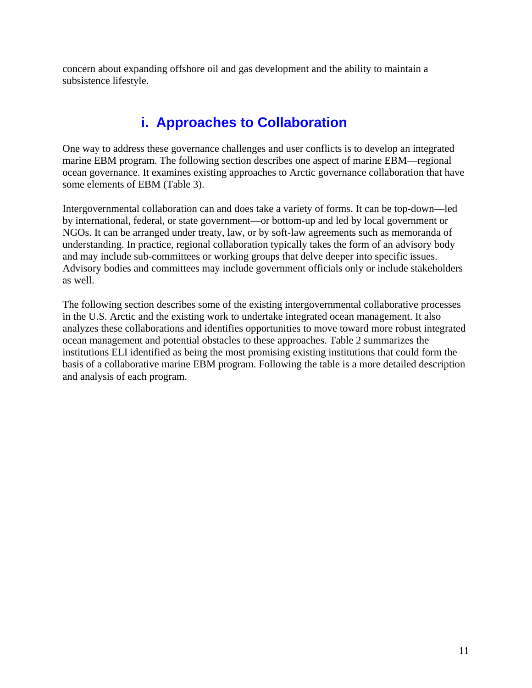concern about expanding offshore oil and gas development and the ability to maintain a subsistence lifestyle.

## **i. Approaches to Collaboration**

One way to address these governance challenges and user conflicts is to develop an integrated marine EBM program. The following section describes one aspect of marine EBM—regional ocean governance. It examines existing approaches to Arctic governance collaboration that have some elements of EBM (Table 3).

Intergovernmental collaboration can and does take a variety of forms. It can be top-down—led by international, federal, or state government—or bottom-up and led by local government or NGOs. It can be arranged under treaty, law, or by soft-law agreements such as memoranda of understanding. In practice, regional collaboration typically takes the form of an advisory body and may include sub-committees or working groups that delve deeper into specific issues. Advisory bodies and committees may include government officials only or include stakeholders as well.

The following section describes some of the existing intergovernmental collaborative processes in the U.S. Arctic and the existing work to undertake integrated ocean management. It also analyzes these collaborations and identifies opportunities to move toward more robust integrated ocean management and potential obstacles to these approaches. Table 2 summarizes the institutions ELI identified as being the most promising existing institutions that could form the basis of a collaborative marine EBM program. Following the table is a more detailed description and analysis of each program.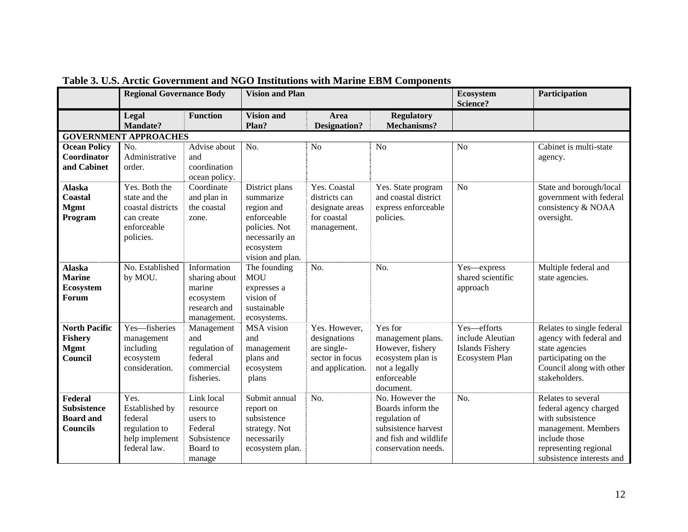|                                                                      | <b>Regional Governance Body</b>                                                               |                                                                                    | <b>Vision and Plan</b>                                                                                                       |                                                                                     |                                                                                                                              | <b>Ecosystem</b><br>Science?                                                       | Participation                                                                                                                                                  |
|----------------------------------------------------------------------|-----------------------------------------------------------------------------------------------|------------------------------------------------------------------------------------|------------------------------------------------------------------------------------------------------------------------------|-------------------------------------------------------------------------------------|------------------------------------------------------------------------------------------------------------------------------|------------------------------------------------------------------------------------|----------------------------------------------------------------------------------------------------------------------------------------------------------------|
|                                                                      | Legal<br>Mandate?                                                                             | <b>Function</b>                                                                    | <b>Vision and</b><br>Plan?                                                                                                   | Area<br><b>Designation?</b>                                                         | <b>Regulatory</b><br><b>Mechanisms?</b>                                                                                      |                                                                                    |                                                                                                                                                                |
| <b>GOVERNMENT APPROACHES</b>                                         |                                                                                               |                                                                                    |                                                                                                                              |                                                                                     |                                                                                                                              |                                                                                    |                                                                                                                                                                |
| <b>Ocean Policy</b><br>Coordinator<br>and Cabinet                    | No.<br>Administrative<br>order.                                                               | Advise about<br>and<br>coordination<br>ocean policy.                               | No.                                                                                                                          | N <sub>o</sub>                                                                      | N <sub>o</sub>                                                                                                               | N <sub>o</sub>                                                                     | Cabinet is multi-state<br>agency.                                                                                                                              |
| <b>Alaska</b><br>Coastal<br><b>Mgmt</b><br>Program                   | Yes. Both the<br>state and the<br>coastal districts<br>can create<br>enforceable<br>policies. | Coordinate<br>and plan in<br>the coastal<br>zone.                                  | District plans<br>summarize<br>region and<br>enforceable<br>policies. Not<br>necessarily an<br>ecosystem<br>vision and plan. | Yes. Coastal<br>districts can<br>designate areas<br>for coastal<br>management.      | Yes. State program<br>and coastal district<br>express enforceable<br>policies.                                               | N <sub>o</sub>                                                                     | State and borough/local<br>government with federal<br>consistency & NOAA<br>oversight.                                                                         |
| <b>Alaska</b><br><b>Marine</b><br>Ecosystem<br>Forum                 | No. Established<br>by MOU.                                                                    | Information<br>sharing about<br>marine<br>ecosystem<br>research and<br>management. | The founding<br><b>MOU</b><br>expresses a<br>vision of<br>sustainable<br>ecosystems.                                         | No.                                                                                 | No.                                                                                                                          | Yes-express<br>shared scientific<br>approach                                       | Multiple federal and<br>state agencies.                                                                                                                        |
| <b>North Pacific</b><br><b>Fishery</b><br><b>Mgmt</b><br>Council     | Yes-fisheries<br>management<br>including<br>ecosystem<br>consideration.                       | Management<br>and<br>regulation of<br>federal<br>commercial<br>fisheries.          | MSA vision<br>and<br>management<br>plans and<br>ecosystem<br>plans                                                           | Yes. However,<br>designations<br>are single-<br>sector in focus<br>and application. | Yes for<br>management plans.<br>However, fishery<br>ecosystem plan is<br>not a legally<br>enforceable<br>document.           | Yes-efforts<br>include Aleutian<br><b>Islands Fishery</b><br><b>Ecosystem Plan</b> | Relates to single federal<br>agency with federal and<br>state agencies<br>participating on the<br>Council along with other<br>stakeholders.                    |
| Federal<br><b>Subsistence</b><br><b>Board</b> and<br><b>Councils</b> | Yes.<br>Established by<br>federal<br>regulation to<br>help implement<br>federal law.          | Link local<br>resource<br>users to<br>Federal<br>Subsistence<br>Board to<br>manage | Submit annual<br>report on<br>subsistence<br>strategy. Not<br>necessarily<br>ecosystem plan.                                 | No.                                                                                 | No. However the<br>Boards inform the<br>regulation of<br>subsistence harvest<br>and fish and wildlife<br>conservation needs. | No.                                                                                | Relates to several<br>federal agency charged<br>with subsistence<br>management. Members<br>include those<br>representing regional<br>subsistence interests and |

**Table 3. U.S. Arctic Government and NGO Institutions with Marine EBM Components**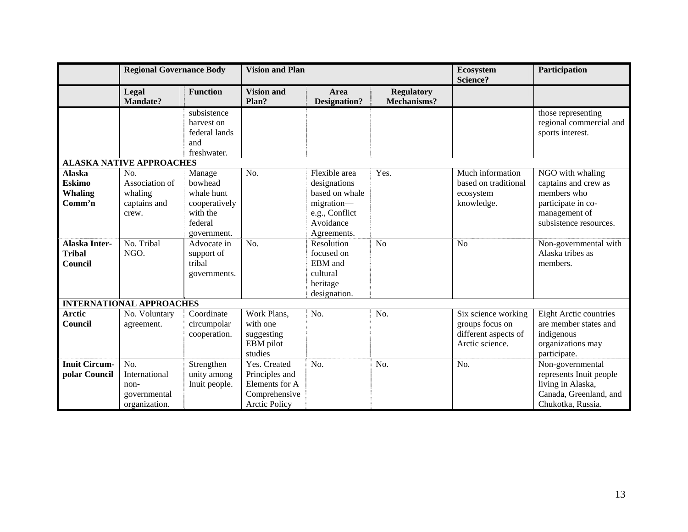|                                                            | <b>Regional Governance Body</b>                                 |                                                                                        | <b>Vision and Plan</b>                                                                    |                                                                                                             |                                  | Ecosystem<br>Science?                                                             | Participation                                                                                                            |
|------------------------------------------------------------|-----------------------------------------------------------------|----------------------------------------------------------------------------------------|-------------------------------------------------------------------------------------------|-------------------------------------------------------------------------------------------------------------|----------------------------------|-----------------------------------------------------------------------------------|--------------------------------------------------------------------------------------------------------------------------|
|                                                            | Legal<br><b>Mandate?</b>                                        | <b>Function</b>                                                                        | <b>Vision and</b><br>Plan?                                                                | Area<br><b>Designation?</b>                                                                                 | <b>Regulatory</b><br>Mechanisms? |                                                                                   |                                                                                                                          |
|                                                            |                                                                 | subsistence<br>harvest on<br>federal lands<br>and<br>freshwater.                       |                                                                                           |                                                                                                             |                                  |                                                                                   | those representing<br>regional commercial and<br>sports interest.                                                        |
|                                                            | <b>ALASKA NATIVE APPROACHES</b>                                 |                                                                                        |                                                                                           |                                                                                                             |                                  |                                                                                   |                                                                                                                          |
| <b>Alaska</b><br><b>Eskimo</b><br><b>Whaling</b><br>Comm'n | No.<br>Association of<br>whaling<br>captains and<br>crew.       | Manage<br>bowhead<br>whale hunt<br>cooperatively<br>with the<br>federal<br>government. | No.                                                                                       | Flexible area<br>designations<br>based on whale<br>migration-<br>e.g., Conflict<br>Avoidance<br>Agreements. | Yes.                             | Much information<br>based on traditional<br>ecosystem<br>knowledge.               | NGO with whaling<br>captains and crew as<br>members who<br>participate in co-<br>management of<br>subsistence resources. |
| <b>Alaska Inter-</b><br><b>Tribal</b><br>Council           | No. Tribal<br>NGO.                                              | Advocate in<br>support of<br>tribal<br>governments.                                    | No.                                                                                       | Resolution<br>focused on<br>EBM and<br>cultural<br>heritage<br>designation.                                 | N <sub>o</sub>                   | N <sub>o</sub>                                                                    | Non-governmental with<br>Alaska tribes as<br>members.                                                                    |
|                                                            | <b>INTERNATIONAL APPROACHES</b>                                 |                                                                                        |                                                                                           |                                                                                                             |                                  |                                                                                   |                                                                                                                          |
| <b>Arctic</b><br>Council                                   | No. Voluntary<br>agreement.                                     | Coordinate<br>circumpolar<br>cooperation.                                              | Work Plans,<br>with one<br>suggesting<br>EBM pilot<br>studies                             | No.                                                                                                         | No.                              | Six science working<br>groups focus on<br>different aspects of<br>Arctic science. | <b>Eight Arctic countries</b><br>are member states and<br>indigenous<br>organizations may<br>participate.                |
| <b>Inuit Circum-</b><br>polar Council                      | No.<br>International<br>$non-$<br>governmental<br>organization. | Strengthen<br>unity among<br>Inuit people.                                             | Yes. Created<br>Principles and<br>Elements for A<br>Comprehensive<br><b>Arctic Policy</b> | No.                                                                                                         | No.                              | No.                                                                               | Non-governmental<br>represents Inuit people<br>living in Alaska,<br>Canada, Greenland, and<br>Chukotka, Russia.          |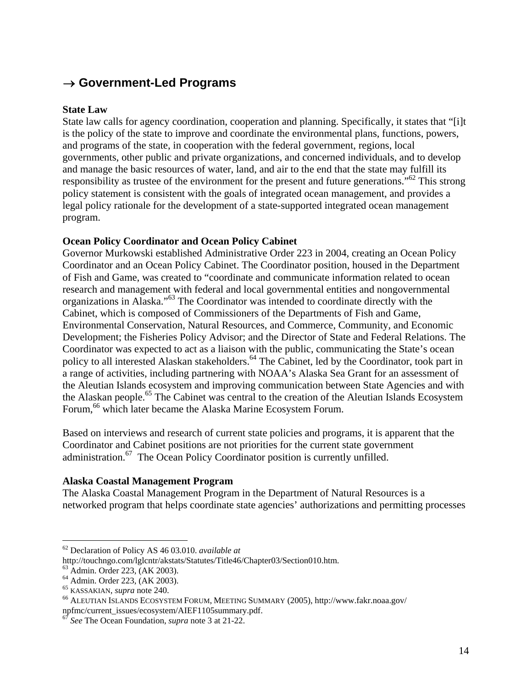## → **Government-Led Programs**

## **State Law**

State law calls for agency coordination, cooperation and planning. Specifically, it states that "[i]t is the policy of the state to improve and coordinate the environmental plans, functions, powers, and programs of the state, in cooperation with the federal government, regions, local governments, other public and private organizations, and concerned individuals, and to develop and manage the basic resources of water, land, and air to the end that the state may fulfill its responsibility as trustee of the environment for the present and future generations."62 This strong policy statement is consistent with the goals of integrated ocean management, and provides a legal policy rationale for the development of a state-supported integrated ocean management program.

## **Ocean Policy Coordinator and Ocean Policy Cabinet**

Governor Murkowski established Administrative Order 223 in 2004, creating an Ocean Policy Coordinator and an Ocean Policy Cabinet. The Coordinator position, housed in the Department of Fish and Game, was created to "coordinate and communicate information related to ocean research and management with federal and local governmental entities and nongovernmental organizations in Alaska."63 The Coordinator was intended to coordinate directly with the Cabinet, which is composed of Commissioners of the Departments of Fish and Game, Environmental Conservation, Natural Resources, and Commerce, Community, and Economic Development; the Fisheries Policy Advisor; and the Director of State and Federal Relations. The Coordinator was expected to act as a liaison with the public, communicating the State's ocean policy to all interested Alaskan stakeholders.<sup>64</sup> The Cabinet, led by the Coordinator, took part in a range of activities, including partnering with NOAA's Alaska Sea Grant for an assessment of the Aleutian Islands ecosystem and improving communication between State Agencies and with the Alaskan people.<sup>65</sup> The Cabinet was central to the creation of the Aleutian Islands Ecosystem Forum,<sup>66</sup> which later became the Alaska Marine Ecosystem Forum.

Based on interviews and research of current state policies and programs, it is apparent that the Coordinator and Cabinet positions are not priorities for the current state government administration.<sup>67</sup> The Ocean Policy Coordinator position is currently unfilled.

## **Alaska Coastal Management Program**

The Alaska Coastal Management Program in the Department of Natural Resources is a networked program that helps coordinate state agencies' authorizations and permitting processes

<sup>62</sup> Declaration of Policy AS 46 03.010. *available at*

http://touchngo.com/lglcntr/akstats/Statutes/Title46/Chapter03/Section010.htm.

<sup>63</sup> Admin. Order 223, (AK 2003).

 $<sup>64</sup>$  Admin. Order 223, (AK 2003).<br> $<sup>65</sup>$  KASSAKIAN, *supra* note 240.</sup></sup>

<sup>&</sup>lt;sup>66</sup> ALEUTIAN ISLANDS ECOSYSTEM FORUM, MEETING SUMMARY (2005), http://www.fakr.noaa.gov/ npfmc/current\_issues/ecosystem/AIEF1105summary.pdf.

<sup>67</sup> *See* The Ocean Foundation, *supra* note 3 at 21-22.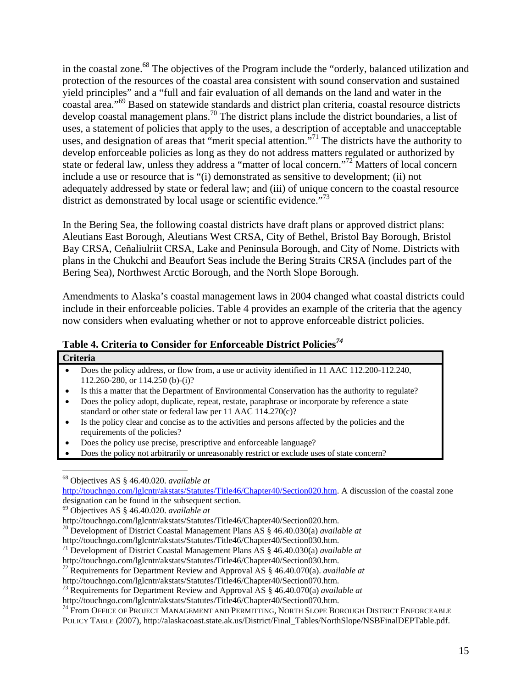in the coastal zone.<sup>68</sup> The objectives of the Program include the "orderly, balanced utilization and protection of the resources of the coastal area consistent with sound conservation and sustained yield principles" and a "full and fair evaluation of all demands on the land and water in the coastal area."69 Based on statewide standards and district plan criteria, coastal resource districts develop coastal management plans.70 The district plans include the district boundaries, a list of uses, a statement of policies that apply to the uses, a description of acceptable and unacceptable uses, and designation of areas that "merit special attention."<sup>71</sup> The districts have the authority to develop enforceable policies as long as they do not address matters regulated or authorized by state or federal law, unless they address a "matter of local concern."72 Matters of local concern include a use or resource that is "(i) demonstrated as sensitive to development; (ii) not adequately addressed by state or federal law; and (iii) of unique concern to the coastal resource district as demonstrated by local usage or scientific evidence."<sup>73</sup>

In the Bering Sea, the following coastal districts have draft plans or approved district plans: Aleutians East Borough, Aleutians West CRSA, City of Bethel, Bristol Bay Borough, Bristol Bay CRSA, Ceñaliulriit CRSA, Lake and Peninsula Borough, and City of Nome. Districts with plans in the Chukchi and Beaufort Seas include the Bering Straits CRSA (includes part of the Bering Sea), Northwest Arctic Borough, and the North Slope Borough.

Amendments to Alaska's coastal management laws in 2004 changed what coastal districts could include in their enforceable policies. Table 4 provides an example of the criteria that the agency now considers when evaluating whether or not to approve enforceable district policies.

| Table 4. Criteria to Consider for Enforceable District Policies <sup>74</sup> |  |
|-------------------------------------------------------------------------------|--|
|-------------------------------------------------------------------------------|--|

| $\bullet$ | Does the policy address, or flow from, a use or activity identified in 11 AAC 112.200-112.240,<br>112.260-280, or 114.250 (b)-(i)?                                    |
|-----------|-----------------------------------------------------------------------------------------------------------------------------------------------------------------------|
|           | Is this a matter that the Department of Environmental Conservation has the authority to regulate?                                                                     |
| ٠         | Does the policy adopt, duplicate, repeat, restate, paraphrase or incorporate by reference a state<br>standard or other state or federal law per 11 AAC $114.270(c)$ ? |
|           | Is the policy clear and concise as to the activities and persons affected by the policies and the<br>requirements of the policies?                                    |
|           | Does the policy use precise, prescriptive and enforceable language?                                                                                                   |
|           | Does the policy not arbitrarily or unreasonably restrict or exclude uses of state concern?                                                                            |

designation can be found in the subsequent section.

http://touchngo.com/lglcntr/akstats/Statutes/Title46/Chapter40/Section030.htm.

72 Requirements for Department Review and Approval AS § 46.40.070(a). *available at*

73 Requirements for Department Review and Approval AS § 46.40.070(a) *available at* http://touchngo.com/lglcntr/akstats/Statutes/Title46/Chapter40/Section070.htm.

<sup>74</sup> From OFFICE OF PROJECT MANAGEMENT AND PERMITTING, NORTH SLOPE BOROUGH DISTRICT ENFORCEABLE

POLICY TABLE (2007), http://alaskacoast.state.ak.us/District/Final\_Tables/NorthSlope/NSBFinalDEPTable.pdf.

<sup>69</sup> Objectives AS § 46.40.020. *available at*

http://touchngo.com/lglcntr/akstats/Statutes/Title46/Chapter40/Section020.htm.

<sup>70</sup> Development of District Coastal Management Plans AS § 46.40.030(a) *available at*

http://touchngo.com/lglcntr/akstats/Statutes/Title46/Chapter40/Section030.htm.

<sup>71</sup> Development of District Coastal Management Plans AS § 46.40.030(a) *available at*

http://touchngo.com/lglcntr/akstats/Statutes/Title46/Chapter40/Section070.htm.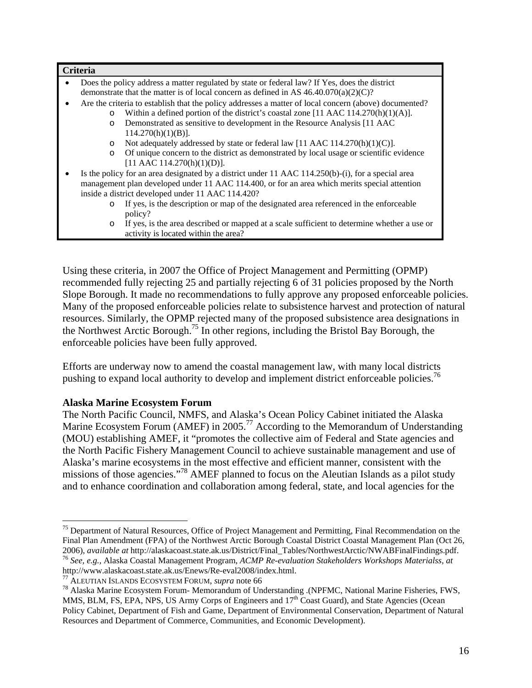| Does the policy address a matter regulated by state or federal law? If Yes, does the district          |
|--------------------------------------------------------------------------------------------------------|
| demonstrate that the matter is of local concern as defined in AS $46.40.070(a)(2)(C)$ ?                |
| Are the criteria to establish that the policy addresses a matter of local concern (above) documented?  |
| Within a defined portion of the district's coastal zone [11 AAC $114.270(h)(1)(A)$ ].<br>$\circ$       |
| Demonstrated as sensitive to development in the Resource Analysis [11 AAC<br>$\Omega$                  |
| $114.270(h)(1)(B)$ ].                                                                                  |
| Not adequately addressed by state or federal law [11 AAC 114.270(h)(1)(C)].<br>$\circ$                 |
| Of unique concern to the district as demonstrated by local usage or scientific evidence<br>$\circ$     |
| [11 AAC 114.270(h)(1)(D)].                                                                             |
| Is the policy for an area designated by a district under 11 AAC 114.250(b)-(i), for a special area     |
| management plan developed under 11 AAC 114.400, or for an area which merits special attention          |
| inside a district developed under 11 AAC 114.420?                                                      |
| If yes, is the description or map of the designated area referenced in the enforceable<br>$\circ$      |
| policy?                                                                                                |
| If yes, is the area described or mapped at a scale sufficient to determine whether a use or<br>$\circ$ |
| activity is located within the area?                                                                   |

Using these criteria, in 2007 the Office of Project Management and Permitting (OPMP) recommended fully rejecting 25 and partially rejecting 6 of 31 policies proposed by the North Slope Borough. It made no recommendations to fully approve any proposed enforceable policies. Many of the proposed enforceable policies relate to subsistence harvest and protection of natural resources. Similarly, the OPMP rejected many of the proposed subsistence area designations in the Northwest Arctic Borough.75 In other regions, including the Bristol Bay Borough, the enforceable policies have been fully approved.

Efforts are underway now to amend the coastal management law, with many local districts pushing to expand local authority to develop and implement district enforceable policies.<sup>76</sup>

## **Alaska Marine Ecosystem Forum**

1

The North Pacific Council, NMFS, and Alaska's Ocean Policy Cabinet initiated the Alaska Marine Ecosystem Forum (AMEF) in 2005.<sup>77</sup> According to the Memorandum of Understanding (MOU) establishing AMEF, it "promotes the collective aim of Federal and State agencies and the North Pacific Fishery Management Council to achieve sustainable management and use of Alaska's marine ecosystems in the most effective and efficient manner, consistent with the missions of those agencies."<sup>78</sup> AMEF planned to focus on the Aleutian Islands as a pilot study and to enhance coordination and collaboration among federal, state, and local agencies for the

<sup>&</sup>lt;sup>75</sup> Department of Natural Resources, Office of Project Management and Permitting, Final Recommendation on the Final Plan Amendment (FPA) of the Northwest Arctic Borough Coastal District Coastal Management Plan (Oct 26, 2006), available at http://alaskacoast.state.ak.us/District/Final\_Tables/NorthwestArctic/NWABFinalFindings.pdf.  $^{76}$  See, e.g., Alaska Coastal Management Program, ACMP Re-evaluation Stakeholders Workshops Materialss, at http://www.alaskacoast.state.ak.us/Enews/Re-eval2008/index.html.

<sup>77</sup> ALEUTIAN ISLANDS ECOSYSTEM FORUM, *supra* note 66 78 Alaska Marine Ecosystem Forum- Memorandum of Understanding .(NPFMC, National Marine Fisheries, FWS, MMS, BLM, FS, EPA, NPS, US Army Corps of Engineers and  $17<sup>th</sup>$  Coast Guard), and State Agencies (Ocean Policy Cabinet, Department of Fish and Game, Department of Environmental Conservation, Department of Natural Resources and Department of Commerce, Communities, and Economic Development).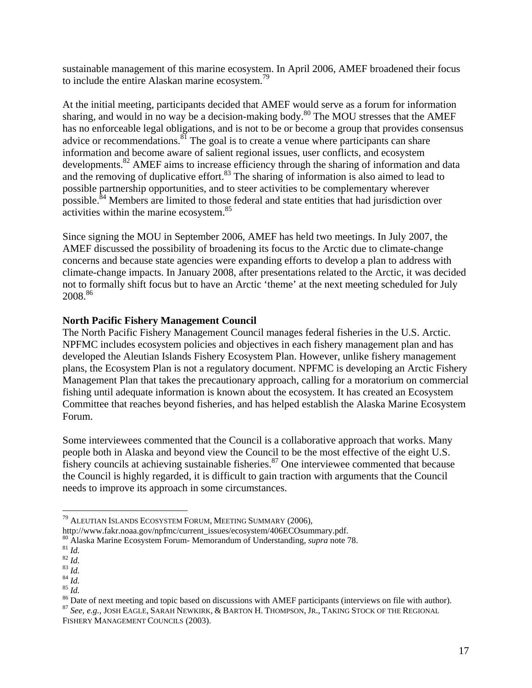sustainable management of this marine ecosystem. In April 2006, AMEF broadened their focus to include the entire Alaskan marine ecosystem.<sup>79</sup>

At the initial meeting, participants decided that AMEF would serve as a forum for information sharing, and would in no way be a decision-making body.<sup>80</sup> The MOU stresses that the AMEF has no enforceable legal obligations, and is not to be or become a group that provides consensus advice or recommendations. $8^{81}$  The goal is to create a venue where participants can share information and become aware of salient regional issues, user conflicts, and ecosystem developments.<sup>82</sup> AMEF aims to increase efficiency through the sharing of information and data and the removing of duplicative effort. $83$  The sharing of information is also aimed to lead to possible partnership opportunities, and to steer activities to be complementary wherever possible.<sup>84</sup> Members are limited to those federal and state entities that had jurisdiction over activities within the marine ecosystem.85

Since signing the MOU in September 2006, AMEF has held two meetings. In July 2007, the AMEF discussed the possibility of broadening its focus to the Arctic due to climate-change concerns and because state agencies were expanding efforts to develop a plan to address with climate-change impacts. In January 2008, after presentations related to the Arctic, it was decided not to formally shift focus but to have an Arctic 'theme' at the next meeting scheduled for July 2008.86

## **North Pacific Fishery Management Council**

The North Pacific Fishery Management Council manages federal fisheries in the U.S. Arctic. NPFMC includes ecosystem policies and objectives in each fishery management plan and has developed the Aleutian Islands Fishery Ecosystem Plan. However, unlike fishery management plans, the Ecosystem Plan is not a regulatory document. NPFMC is developing an Arctic Fishery Management Plan that takes the precautionary approach, calling for a moratorium on commercial fishing until adequate information is known about the ecosystem. It has created an Ecosystem Committee that reaches beyond fisheries, and has helped establish the Alaska Marine Ecosystem Forum.

Some interviewees commented that the Council is a collaborative approach that works. Many people both in Alaska and beyond view the Council to be the most effective of the eight U.S. fishery councils at achieving sustainable fisheries.<sup>87</sup> One interviewee commented that because the Council is highly regarded, it is difficult to gain traction with arguments that the Council needs to improve its approach in some circumstances.

 $^{79}$  ALEUTIAN ISLANDS ECOSYSTEM FORUM, MEETING SUMMARY (2006), http://www.fakr.noaa.gov/npfmc/current\_issues/ecosystem/406ECOsummary.pdf.

<sup>&</sup>lt;sup>80</sup> Alaska Marine Ecosystem Forum- Memorandum of Understanding, *supra* note 78.<br><sup>81</sup> Id.<br><sup>82</sup> Id.<br><sup>84</sup> Id.<br><sup>85</sup> Id.<br><sup>85</sup> Date of next meeting and topic based on discussions with AMEF participants (interviews on file wit

<sup>87</sup> *See, e.g.,* JOSH EAGLE, SARAH NEWKIRK, & BARTON H. THOMPSON, JR., TAKING STOCK OF THE REGIONAL FISHERY MANAGEMENT COUNCILS (2003).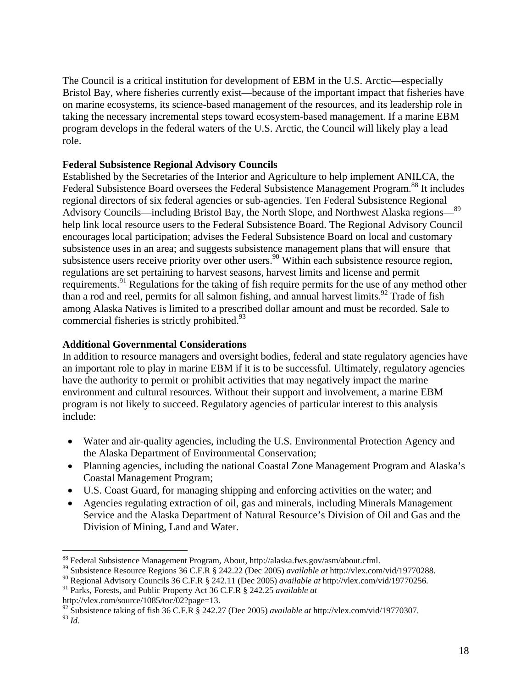The Council is a critical institution for development of EBM in the U.S. Arctic—especially Bristol Bay, where fisheries currently exist—because of the important impact that fisheries have on marine ecosystems, its science-based management of the resources, and its leadership role in taking the necessary incremental steps toward ecosystem-based management. If a marine EBM program develops in the federal waters of the U.S. Arctic, the Council will likely play a lead role.

## **Federal Subsistence Regional Advisory Councils**

Established by the Secretaries of the Interior and Agriculture to help implement ANILCA, the Federal Subsistence Board oversees the Federal Subsistence Management Program.<sup>88</sup> It includes regional directors of six federal agencies or sub-agencies. Ten Federal Subsistence Regional Advisory Councils—including Bristol Bay, the North Slope, and Northwest Alaska regions—89 help link local resource users to the Federal Subsistence Board. The Regional Advisory Council encourages local participation; advises the Federal Subsistence Board on local and customary subsistence uses in an area; and suggests subsistence management plans that will ensure that subsistence users receive priority over other users.<sup>90</sup> Within each subsistence resource region, regulations are set pertaining to harvest seasons, harvest limits and license and permit requirements.<sup>91</sup> Regulations for the taking of fish require permits for the use of any method other than a rod and reel, permits for all salmon fishing, and annual harvest limits.<sup>92</sup> Trade of fish among Alaska Natives is limited to a prescribed dollar amount and must be recorded. Sale to commercial fisheries is strictly prohibited.<sup>93</sup>

## **Additional Governmental Considerations**

In addition to resource managers and oversight bodies, federal and state regulatory agencies have an important role to play in marine EBM if it is to be successful. Ultimately, regulatory agencies have the authority to permit or prohibit activities that may negatively impact the marine environment and cultural resources. Without their support and involvement, a marine EBM program is not likely to succeed. Regulatory agencies of particular interest to this analysis include:

- Water and air-quality agencies, including the U.S. Environmental Protection Agency and the Alaska Department of Environmental Conservation;
- Planning agencies, including the national Coastal Zone Management Program and Alaska's Coastal Management Program;
- U.S. Coast Guard, for managing shipping and enforcing activities on the water; and
- Agencies regulating extraction of oil, gas and minerals, including Minerals Management Service and the Alaska Department of Natural Resource's Division of Oil and Gas and the Division of Mining, Land and Water.

<sup>93</sup> *Id.*

<sup>88</sup> Federal Subsistence Management Program, About, http://alaska.fws.gov/asm/about.cfml.

<sup>89</sup> Subsistence Resource Regions 36 C.F.R § 242.22 (Dec 2005) *available at* http://vlex.com/vid/19770288.

<sup>90</sup> Regional Advisory Councils 36 C.F.R § 242.11 (Dec 2005) *available at* http://vlex.com/vid/19770256.

<sup>91</sup> Parks, Forests, and Public Property Act 36 C.F.R § 242.25 *available at*

http://vlex.com/source/1085/toc/02?page=13.

<sup>92</sup> Subsistence taking of fish 36 C.F.R § 242.27 (Dec 2005) *available at* http://vlex.com/vid/19770307.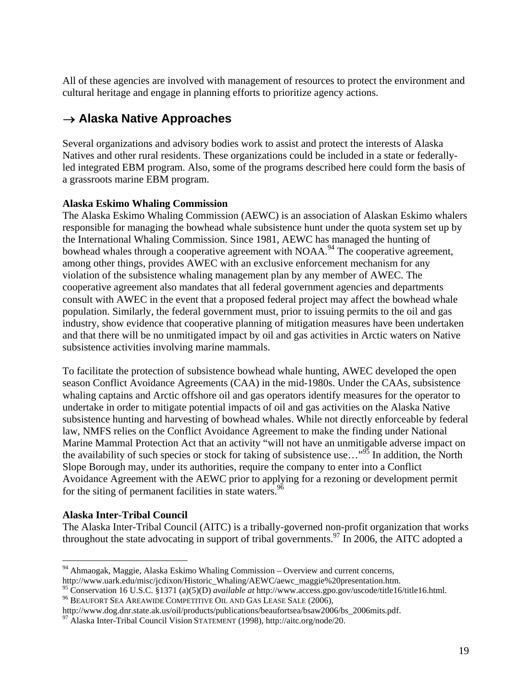All of these agencies are involved with management of resources to protect the environment and cultural heritage and engage in planning efforts to prioritize agency actions.

## → **Alaska Native Approaches**

Several organizations and advisory bodies work to assist and protect the interests of Alaska Natives and other rural residents. These organizations could be included in a state or federallyled integrated EBM program. Also, some of the programs described here could form the basis of a grassroots marine EBM program.

## **Alaska Eskimo Whaling Commission**

The Alaska Eskimo Whaling Commission (AEWC) is an association of Alaskan Eskimo whalers responsible for managing the bowhead whale subsistence hunt under the quota system set up by the International Whaling Commission. Since 1981, AEWC has managed the hunting of bowhead whales through a cooperative agreement with  $NOAA$ <sup>94</sup>. The cooperative agreement, among other things, provides AWEC with an exclusive enforcement mechanism for any violation of the subsistence whaling management plan by any member of AWEC. The cooperative agreement also mandates that all federal government agencies and departments consult with AWEC in the event that a proposed federal project may affect the bowhead whale population. Similarly, the federal government must, prior to issuing permits to the oil and gas industry, show evidence that cooperative planning of mitigation measures have been undertaken and that there will be no unmitigated impact by oil and gas activities in Arctic waters on Native subsistence activities involving marine mammals.

To facilitate the protection of subsistence bowhead whale hunting, AWEC developed the open season Conflict Avoidance Agreements (CAA) in the mid-1980s. Under the CAAs, subsistence whaling captains and Arctic offshore oil and gas operators identify measures for the operator to undertake in order to mitigate potential impacts of oil and gas activities on the Alaska Native subsistence hunting and harvesting of bowhead whales. While not directly enforceable by federal law, NMFS relies on the Conflict Avoidance Agreement to make the finding under National Marine Mammal Protection Act that an activity "will not have an unmitigable adverse impact on the availability of such species or stock for taking of subsistence use...<sup>"95</sup> In addition, the North Slope Borough may, under its authorities, require the company to enter into a Conflict Avoidance Agreement with the AEWC prior to applying for a rezoning or development permit for the siting of permanent facilities in state waters.<sup>96</sup>

## **Alaska Inter-Tribal Council**

The Alaska Inter-Tribal Council (AITC) is a tribally-governed non-profit organization that works throughout the state advocating in support of tribal governments.<sup>97</sup> In 2006, the AITC adopted a

 $\overline{a}$  $94$  Ahmaogak, Maggie, Alaska Eskimo Whaling Commission – Overview and current concerns, http://www.uark.edu/misc/jcdixon/Historic\_Whaling/AEWC/aewc\_maggie%20presentation.htm.

<sup>95</sup> Conservation 16 U.S.C. §1371 (a)(5)(D) *available at* http://www.access.gpo.gov/uscode/title16/title16.html. 96 BEAUFORT SEA AREAWIDE COMPETITIVE OIL AND GAS LEASE SALE (2006),

http://www.dog.dnr.state.ak.us/oil/products/publications/beaufortsea/bsaw2006/bs\_2006mits.pdf. 97 Alaska Inter-Tribal Council Vision STATEMENT (1998), http://aitc.org/node/20.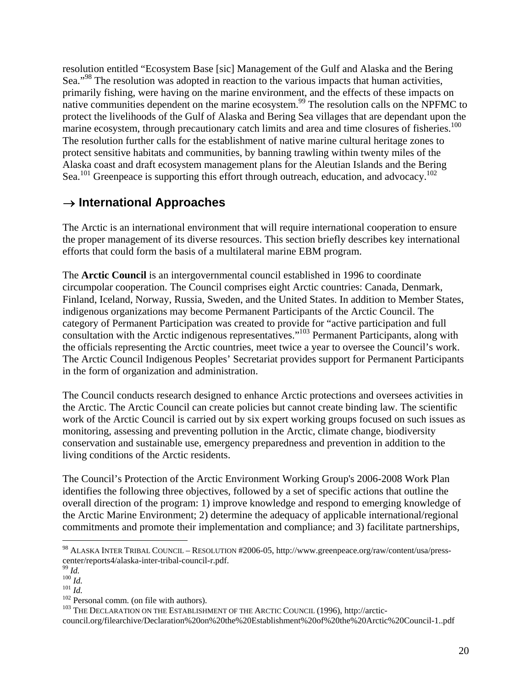resolution entitled "Ecosystem Base [sic] Management of the Gulf and Alaska and the Bering Sea."<sup>98</sup> The resolution was adopted in reaction to the various impacts that human activities, primarily fishing, were having on the marine environment, and the effects of these impacts on native communities dependent on the marine ecosystem.<sup>99</sup> The resolution calls on the NPFMC to protect the livelihoods of the Gulf of Alaska and Bering Sea villages that are dependant upon the marine ecosystem, through precautionary catch limits and area and time closures of fisheries.<sup>100</sup> The resolution further calls for the establishment of native marine cultural heritage zones to protect sensitive habitats and communities, by banning trawling within twenty miles of the Alaska coast and draft ecosystem management plans for the Aleutian Islands and the Bering Sea.<sup>101</sup> Greenpeace is supporting this effort through outreach, education, and advocacy.<sup>102</sup>

## → **International Approaches**

The Arctic is an international environment that will require international cooperation to ensure the proper management of its diverse resources. This section briefly describes key international efforts that could form the basis of a multilateral marine EBM program.

The **Arctic Council** is an intergovernmental council established in 1996 to coordinate circumpolar cooperation. The Council comprises eight Arctic countries: Canada, Denmark, Finland, Iceland, Norway, Russia, Sweden, and the United States. In addition to Member States, indigenous organizations may become Permanent Participants of the Arctic Council. The category of Permanent Participation was created to provide for "active participation and full consultation with the Arctic indigenous representatives."103 Permanent Participants, along with the officials representing the Arctic countries, meet twice a year to oversee the Council's work. The Arctic Council Indigenous Peoples' Secretariat provides support for Permanent Participants in the form of organization and administration.

The Council conducts research designed to enhance Arctic protections and oversees activities in the Arctic. The Arctic Council can create policies but cannot create binding law. The scientific work of the Arctic Council is carried out by six expert working groups focused on such issues as monitoring, assessing and preventing pollution in the Arctic, climate change, biodiversity conservation and sustainable use, emergency preparedness and prevention in addition to the living conditions of the Arctic residents.

The Council's Protection of the Arctic Environment Working Group's 2006-2008 Work Plan identifies the following three objectives, followed by a set of specific actions that outline the overall direction of the program: 1) improve knowledge and respond to emerging knowledge of the Arctic Marine Environment; 2) determine the adequacy of applicable international/regional commitments and promote their implementation and compliance; and 3) facilitate partnerships,

<sup>98</sup> ALASKA INTER TRIBAL COUNCIL – RESOLUTION #2006-05, http://www.greenpeace.org/raw/content/usa/presscenter/reports4/alaska-inter-tribal-council-r.pdf.

<sup>&</sup>lt;sup>100</sup> *Id.*<br><sup>101</sup> *Id.* 202 Personal comm. (on file with authors). <sup>102</sup> Personal comm. (on file with authors). <sup>103</sup> THE DECLARATION ON THE ESTABLISHMENT OF THE ARCTIC COUNCIL (1996), http://arctic-

council.org/filearchive/Declaration%20on%20the%20Establishment%20of%20the%20Arctic%20Council-1..pdf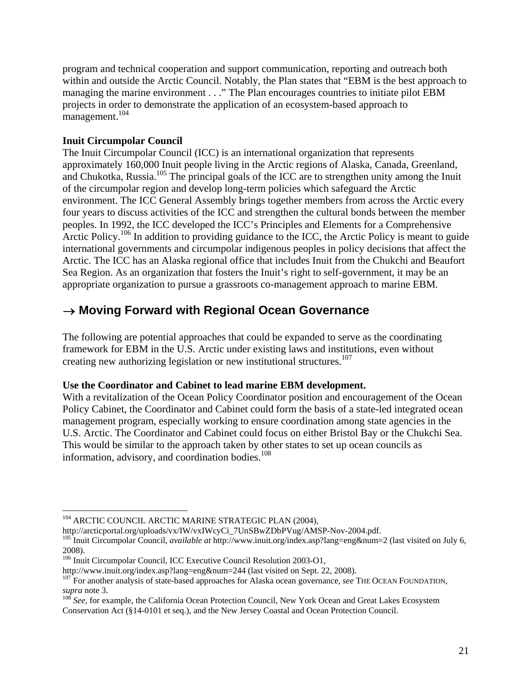program and technical cooperation and support communication, reporting and outreach both within and outside the Arctic Council. Notably, the Plan states that "EBM is the best approach to managing the marine environment . . ." The Plan encourages countries to initiate pilot EBM projects in order to demonstrate the application of an ecosystem-based approach to management.<sup>104</sup>

## **Inuit Circumpolar Council**

The Inuit Circumpolar Council (ICC) is an international organization that represents approximately 160,000 Inuit people living in the Arctic regions of Alaska, Canada, Greenland, and Chukotka, Russia.105 The principal goals of the ICC are to strengthen unity among the Inuit of the circumpolar region and develop long-term policies which safeguard the Arctic environment. The ICC General Assembly brings together members from across the Arctic every four years to discuss activities of the ICC and strengthen the cultural bonds between the member peoples. In 1992, the ICC developed the ICC's Principles and Elements for a Comprehensive Arctic Policy.<sup>106</sup> In addition to providing guidance to the ICC, the Arctic Policy is meant to guide international governments and circumpolar indigenous peoples in policy decisions that affect the Arctic. The ICC has an Alaska regional office that includes Inuit from the Chukchi and Beaufort Sea Region. As an organization that fosters the Inuit's right to self-government, it may be an appropriate organization to pursue a grassroots co-management approach to marine EBM.

## → **Moving Forward with Regional Ocean Governance**

The following are potential approaches that could be expanded to serve as the coordinating framework for EBM in the U.S. Arctic under existing laws and institutions, even without creating new authorizing legislation or new institutional structures.<sup>107</sup>

## **Use the Coordinator and Cabinet to lead marine EBM development.**

With a revitalization of the Ocean Policy Coordinator position and encouragement of the Ocean Policy Cabinet, the Coordinator and Cabinet could form the basis of a state-led integrated ocean management program, especially working to ensure coordination among state agencies in the U.S. Arctic. The Coordinator and Cabinet could focus on either Bristol Bay or the Chukchi Sea. This would be similar to the approach taken by other states to set up ocean councils as information, advisory, and coordination bodies. $108$ 

1

<sup>104</sup> ARCTIC COUNCIL ARCTIC MARINE STRATEGIC PLAN (2004),

http://arcticportal.org/uploads/vx/IW/vxIWcyCi\_7UnSBwZDbPVug/AMSP-Nov-2004.pdf.<br><sup>105</sup> Inuit Circumpolar Council, *available at* http://www.inuit.org/index.asp?lang=eng&num=2 (last visited on July 6, 2008).

<sup>&</sup>lt;sup>106</sup> Inuit Circumpolar Council, ICC Executive Council Resolution 2003-O1,<br>http://www.inuit.org/index.asp?lang=eng&num=244 (last visited on Sept. 22, 2008).

<sup>&</sup>lt;sup>107</sup> For another analysis of state-based approaches for Alaska ocean governance, *see* THE OCEAN FOUNDATION,

*supra* note 3.<br><sup>108</sup> *See*, for example, the California Ocean Protection Council, New York Ocean and Great Lakes Ecosystem Conservation Act (§14-0101 et seq.), and the New Jersey Coastal and Ocean Protection Council.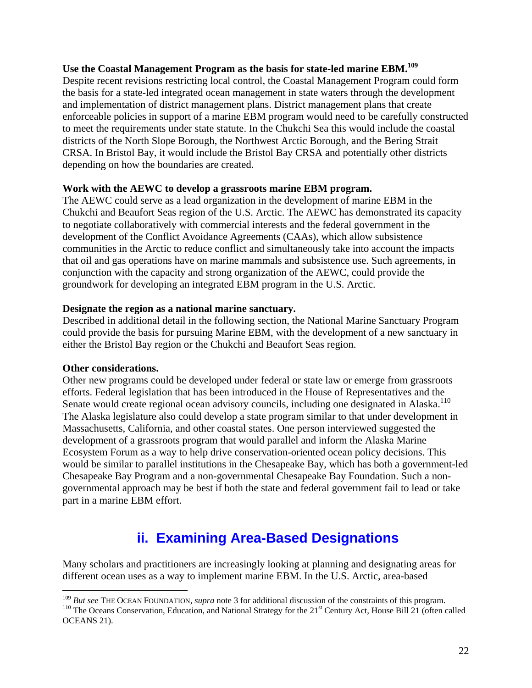## **Use the Coastal Management Program as the basis for state-led marine EBM.109**

Despite recent revisions restricting local control, the Coastal Management Program could form the basis for a state-led integrated ocean management in state waters through the development and implementation of district management plans. District management plans that create enforceable policies in support of a marine EBM program would need to be carefully constructed to meet the requirements under state statute. In the Chukchi Sea this would include the coastal districts of the North Slope Borough, the Northwest Arctic Borough, and the Bering Strait CRSA. In Bristol Bay, it would include the Bristol Bay CRSA and potentially other districts depending on how the boundaries are created.

## **Work with the AEWC to develop a grassroots marine EBM program.**

The AEWC could serve as a lead organization in the development of marine EBM in the Chukchi and Beaufort Seas region of the U.S. Arctic. The AEWC has demonstrated its capacity to negotiate collaboratively with commercial interests and the federal government in the development of the Conflict Avoidance Agreements (CAAs), which allow subsistence communities in the Arctic to reduce conflict and simultaneously take into account the impacts that oil and gas operations have on marine mammals and subsistence use. Such agreements, in conjunction with the capacity and strong organization of the AEWC, could provide the groundwork for developing an integrated EBM program in the U.S. Arctic.

## **Designate the region as a national marine sanctuary.**

Described in additional detail in the following section, the National Marine Sanctuary Program could provide the basis for pursuing Marine EBM, with the development of a new sanctuary in either the Bristol Bay region or the Chukchi and Beaufort Seas region.

### **Other considerations.**

 $\overline{a}$ 

Other new programs could be developed under federal or state law or emerge from grassroots efforts. Federal legislation that has been introduced in the House of Representatives and the Senate would create regional ocean advisory councils, including one designated in Alaska.<sup>110</sup> The Alaska legislature also could develop a state program similar to that under development in Massachusetts, California, and other coastal states. One person interviewed suggested the development of a grassroots program that would parallel and inform the Alaska Marine Ecosystem Forum as a way to help drive conservation-oriented ocean policy decisions. This would be similar to parallel institutions in the Chesapeake Bay, which has both a government-led Chesapeake Bay Program and a non-governmental Chesapeake Bay Foundation. Such a nongovernmental approach may be best if both the state and federal government fail to lead or take part in a marine EBM effort.

## **ii. Examining Area-Based Designations**

Many scholars and practitioners are increasingly looking at planning and designating areas for different ocean uses as a way to implement marine EBM. In the U.S. Arctic, area-based

<sup>&</sup>lt;sup>109</sup> But see THE OCEAN FOUNDATION, supra note 3 for additional discussion of the constraints of this program.<br><sup>110</sup> The Oceans Conservation, Education, and National Strategy for the 21<sup>st</sup> Century Act, House Bill 21 (oft

OCEANS 21).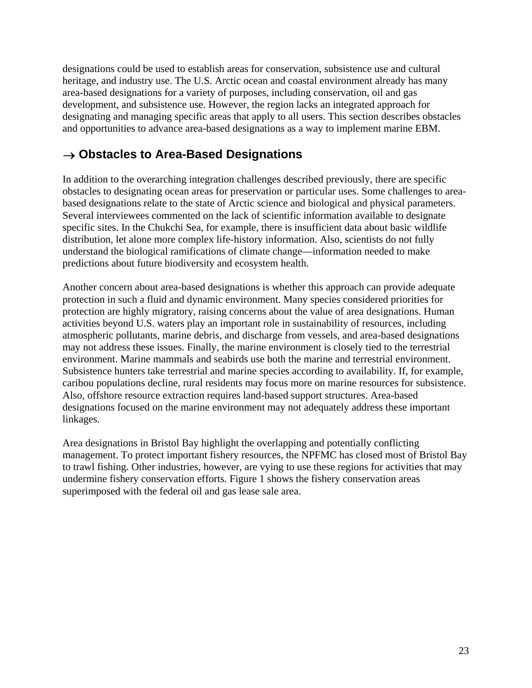designations could be used to establish areas for conservation, subsistence use and cultural heritage, and industry use. The U.S. Arctic ocean and coastal environment already has many area-based designations for a variety of purposes, including conservation, oil and gas development, and subsistence use. However, the region lacks an integrated approach for designating and managing specific areas that apply to all users. This section describes obstacles and opportunities to advance area-based designations as a way to implement marine EBM.

## → **Obstacles to Area-Based Designations**

In addition to the overarching integration challenges described previously, there are specific obstacles to designating ocean areas for preservation or particular uses. Some challenges to areabased designations relate to the state of Arctic science and biological and physical parameters. Several interviewees commented on the lack of scientific information available to designate specific sites. In the Chukchi Sea, for example, there is insufficient data about basic wildlife distribution, let alone more complex life-history information. Also, scientists do not fully understand the biological ramifications of climate change—information needed to make predictions about future biodiversity and ecosystem health.

Another concern about area-based designations is whether this approach can provide adequate protection in such a fluid and dynamic environment. Many species considered priorities for protection are highly migratory, raising concerns about the value of area designations. Human activities beyond U.S. waters play an important role in sustainability of resources, including atmospheric pollutants, marine debris, and discharge from vessels, and area-based designations may not address these issues. Finally, the marine environment is closely tied to the terrestrial environment. Marine mammals and seabirds use both the marine and terrestrial environment. Subsistence hunters take terrestrial and marine species according to availability. If, for example, caribou populations decline, rural residents may focus more on marine resources for subsistence. Also, offshore resource extraction requires land-based support structures. Area-based designations focused on the marine environment may not adequately address these important linkages.

Area designations in Bristol Bay highlight the overlapping and potentially conflicting management. To protect important fishery resources, the NPFMC has closed most of Bristol Bay to trawl fishing. Other industries, however, are vying to use these regions for activities that may undermine fishery conservation efforts. Figure 1 shows the fishery conservation areas superimposed with the federal oil and gas lease sale area.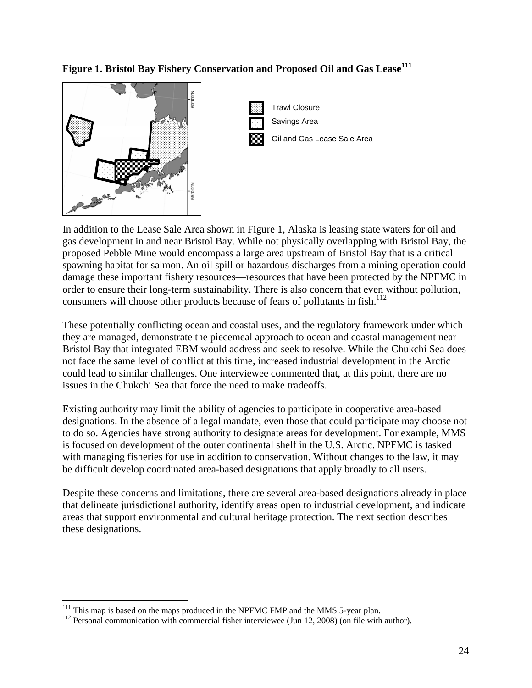## **Figure 1. Bristol Bay Fishery Conservation and Proposed Oil and Gas Lease<sup>111</sup>**





In addition to the Lease Sale Area shown in Figure 1, Alaska is leasing state waters for oil and gas development in and near Bristol Bay. While not physically overlapping with Bristol Bay, the proposed Pebble Mine would encompass a large area upstream of Bristol Bay that is a critical spawning habitat for salmon. An oil spill or hazardous discharges from a mining operation could damage these important fishery resources—resources that have been protected by the NPFMC in order to ensure their long-term sustainability. There is also concern that even without pollution, consumers will choose other products because of fears of pollutants in fish.<sup>112</sup>

These potentially conflicting ocean and coastal uses, and the regulatory framework under which they are managed, demonstrate the piecemeal approach to ocean and coastal management near Bristol Bay that integrated EBM would address and seek to resolve. While the Chukchi Sea does not face the same level of conflict at this time, increased industrial development in the Arctic could lead to similar challenges. One interviewee commented that, at this point, there are no issues in the Chukchi Sea that force the need to make tradeoffs.

Existing authority may limit the ability of agencies to participate in cooperative area-based designations. In the absence of a legal mandate, even those that could participate may choose not to do so. Agencies have strong authority to designate areas for development. For example, MMS is focused on development of the outer continental shelf in the U.S. Arctic. NPFMC is tasked with managing fisheries for use in addition to conservation. Without changes to the law, it may be difficult develop coordinated area-based designations that apply broadly to all users.

Despite these concerns and limitations, there are several area-based designations already in place that delineate jurisdictional authority, identify areas open to industrial development, and indicate areas that support environmental and cultural heritage protection. The next section describes these designations.

<sup>&</sup>lt;sup>111</sup> This map is based on the maps produced in the NPFMC FMP and the MMS 5-year plan.

 $112$  Personal communication with commercial fisher interviewee (Jun 12, 2008) (on file with author).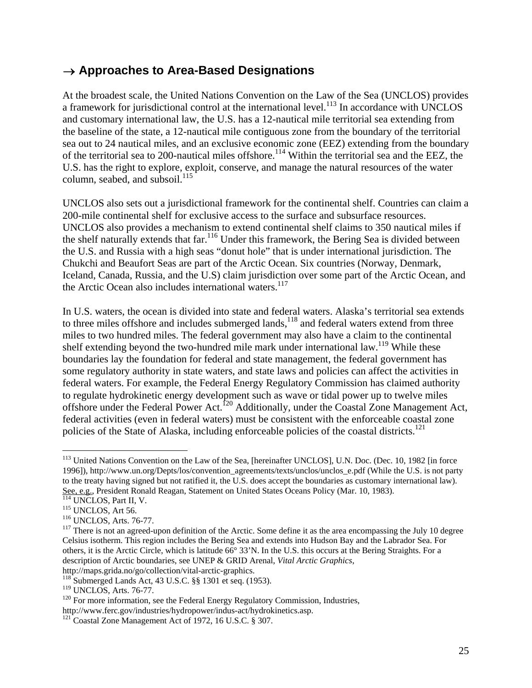## → **Approaches to Area-Based Designations**

At the broadest scale, the United Nations Convention on the Law of the Sea (UNCLOS) provides a framework for jurisdictional control at the international level. $^{113}$  In accordance with UNCLOS and customary international law, the U.S. has a 12-nautical mile territorial sea extending from the baseline of the state, a 12-nautical mile contiguous zone from the boundary of the territorial sea out to 24 nautical miles, and an exclusive economic zone (EEZ) extending from the boundary of the territorial sea to 200-nautical miles offshore.<sup>114</sup> Within the territorial sea and the EEZ, the U.S. has the right to explore, exploit, conserve, and manage the natural resources of the water column, seabed, and subsoil. $^{115}$ 

UNCLOS also sets out a jurisdictional framework for the continental shelf. Countries can claim a 200-mile continental shelf for exclusive access to the surface and subsurface resources. UNCLOS also provides a mechanism to extend continental shelf claims to 350 nautical miles if the shelf naturally extends that far.<sup>116</sup> Under this framework, the Bering Sea is divided between the U.S. and Russia with a high seas "donut hole" that is under international jurisdiction. The Chukchi and Beaufort Seas are part of the Arctic Ocean. Six countries (Norway, Denmark, Iceland, Canada, Russia, and the U.S) claim jurisdiction over some part of the Arctic Ocean, and the Arctic Ocean also includes international waters.<sup>117</sup>

In U.S. waters, the ocean is divided into state and federal waters. Alaska's territorial sea extends to three miles offshore and includes submerged lands, $118$  and federal waters extend from three miles to two hundred miles. The federal government may also have a claim to the continental shelf extending beyond the two-hundred mile mark under international law.<sup>119</sup> While these boundaries lay the foundation for federal and state management, the federal government has some regulatory authority in state waters, and state laws and policies can affect the activities in federal waters. For example, the Federal Energy Regulatory Commission has claimed authority to regulate hydrokinetic energy development such as wave or tidal power up to twelve miles offshore under the Federal Power Act.120 Additionally, under the Coastal Zone Management Act, federal activities (even in federal waters) must be consistent with the enforceable coastal zone policies of the State of Alaska, including enforceable policies of the coastal districts.<sup>121</sup>

<sup>&</sup>lt;sup>113</sup> United Nations Convention on the Law of the Sea, [hereinafter UNCLOS], U.N. Doc. (Dec. 10, 1982 [in force 1996]), http://www.un.org/Depts/los/convention\_agreements/texts/unclos/unclos\_e.pdf (While the U.S. is not party to the treaty having signed but not ratified it, the U.S. does accept the boundaries as customary international law). See, e.g., President Ronald Reagan, Statement on United States Oceans Policy (Mar. 10, 1983).<br>
<sup>114</sup> UNCLOS, Part II, V.<br>
<sup>115</sup> UNCLOS, Art 56.<br>
<sup>116</sup> UNCLOS, Arts. 76-77.<br>
<sup>116</sup> UNCLOS, Arts. 76-77.<br>
<sup>117</sup> There is not an

Celsius isotherm. This region includes the Bering Sea and extends into Hudson Bay and the Labrador Sea. For others, it is the Arctic Circle, which is latitude 66° 33'N. In the U.S. this occurs at the Bering Straights. For a description of Arctic boundaries, see UNEP & GRID Arenal, *Vital Arctic Graphics*, http://maps.grida.no/go/collection/vital-arctic-graphics.

<sup>&</sup>lt;sup>118</sup> Submerged Lands Act, 43 U.S.C.  $\S$ § 1301 et seq. (1953).<br><sup>119</sup> UNCLOS, Arts. 76-77.

 $120$  For more information, see the Federal Energy Regulatory Commission, Industries, http://www.ferc.gov/industries/hydropower/indus-act/hydrokinetics.asp. 121 Coastal Zone Management Act of 1972, 16 U.S.C. § 307.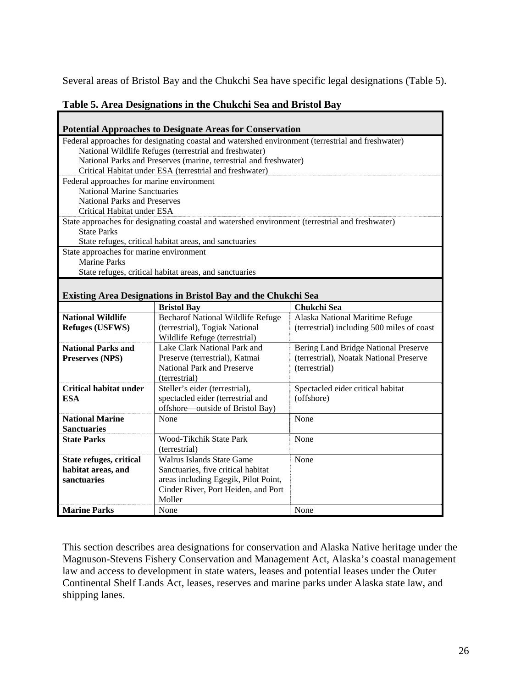Several areas of Bristol Bay and the Chukchi Sea have specific legal designations (Table 5).

## **Table 5. Area Designations in the Chukchi Sea and Bristol Bay**

|                                                                                                   | <b>Potential Approaches to Designate Areas for Conservation</b>      |                                            |  |  |  |  |  |
|---------------------------------------------------------------------------------------------------|----------------------------------------------------------------------|--------------------------------------------|--|--|--|--|--|
| Federal approaches for designating coastal and watershed environment (terrestrial and freshwater) |                                                                      |                                            |  |  |  |  |  |
| National Wildlife Refuges (terrestrial and freshwater)                                            |                                                                      |                                            |  |  |  |  |  |
| National Parks and Preserves (marine, terrestrial and freshwater)                                 |                                                                      |                                            |  |  |  |  |  |
|                                                                                                   | Critical Habitat under ESA (terrestrial and freshwater)              |                                            |  |  |  |  |  |
| Federal approaches for marine environment                                                         |                                                                      |                                            |  |  |  |  |  |
| <b>National Marine Sanctuaries</b>                                                                |                                                                      |                                            |  |  |  |  |  |
| <b>National Parks and Preserves</b>                                                               |                                                                      |                                            |  |  |  |  |  |
| Critical Habitat under ESA                                                                        |                                                                      |                                            |  |  |  |  |  |
| State approaches for designating coastal and watershed environment (terrestrial and freshwater)   |                                                                      |                                            |  |  |  |  |  |
| <b>State Parks</b>                                                                                |                                                                      |                                            |  |  |  |  |  |
|                                                                                                   | State refuges, critical habitat areas, and sanctuaries               |                                            |  |  |  |  |  |
| State approaches for marine environment                                                           |                                                                      |                                            |  |  |  |  |  |
| <b>Marine Parks</b>                                                                               |                                                                      |                                            |  |  |  |  |  |
|                                                                                                   | State refuges, critical habitat areas, and sanctuaries               |                                            |  |  |  |  |  |
|                                                                                                   |                                                                      |                                            |  |  |  |  |  |
|                                                                                                   | <b>Existing Area Designations in Bristol Bay and the Chukchi Sea</b> |                                            |  |  |  |  |  |
|                                                                                                   | <b>Bristol Bay</b>                                                   | Chukchi Sea                                |  |  |  |  |  |
| <b>National Wildlife</b>                                                                          | Becharof National Wildlife Refuge                                    | Alaska National Maritime Refuge            |  |  |  |  |  |
|                                                                                                   |                                                                      |                                            |  |  |  |  |  |
| <b>Refuges (USFWS)</b>                                                                            | (terrestrial), Togiak National                                       | (terrestrial) including 500 miles of coast |  |  |  |  |  |
|                                                                                                   | Wildlife Refuge (terrestrial)                                        |                                            |  |  |  |  |  |
| <b>National Parks and</b>                                                                         | Lake Clark National Park and                                         | Bering Land Bridge National Preserve       |  |  |  |  |  |
| Preserves (NPS)                                                                                   | Preserve (terrestrial), Katmai                                       | (terrestrial), Noatak National Preserve    |  |  |  |  |  |
|                                                                                                   | National Park and Preserve                                           | (terrestrial)                              |  |  |  |  |  |
|                                                                                                   | (terrestrial)                                                        |                                            |  |  |  |  |  |
| <b>Critical habitat under</b>                                                                     | Steller's eider (terrestrial),                                       | Spectacled eider critical habitat          |  |  |  |  |  |
| <b>ESA</b>                                                                                        | spectacled eider (terrestrial and                                    | (offshore)                                 |  |  |  |  |  |
|                                                                                                   | offshore—outside of Bristol Bay)                                     |                                            |  |  |  |  |  |
| <b>National Marine</b>                                                                            | None                                                                 | None                                       |  |  |  |  |  |
| <b>Sanctuaries</b>                                                                                |                                                                      |                                            |  |  |  |  |  |
| <b>State Parks</b>                                                                                | Wood-Tikchik State Park                                              | None                                       |  |  |  |  |  |
|                                                                                                   | (terrestrial)                                                        |                                            |  |  |  |  |  |
| State refuges, critical                                                                           | Walrus Islands State Game                                            | None                                       |  |  |  |  |  |
| habitat areas, and                                                                                | Sanctuaries, five critical habitat                                   |                                            |  |  |  |  |  |
| sanctuaries                                                                                       | areas including Egegik, Pilot Point,                                 |                                            |  |  |  |  |  |
|                                                                                                   | Cinder River, Port Heiden, and Port                                  |                                            |  |  |  |  |  |
| <b>Marine Parks</b>                                                                               | Moller<br>None                                                       | None                                       |  |  |  |  |  |

This section describes area designations for conservation and Alaska Native heritage under the Magnuson-Stevens Fishery Conservation and Management Act, Alaska's coastal management law and access to development in state waters, leases and potential leases under the Outer Continental Shelf Lands Act, leases, reserves and marine parks under Alaska state law, and shipping lanes.

٦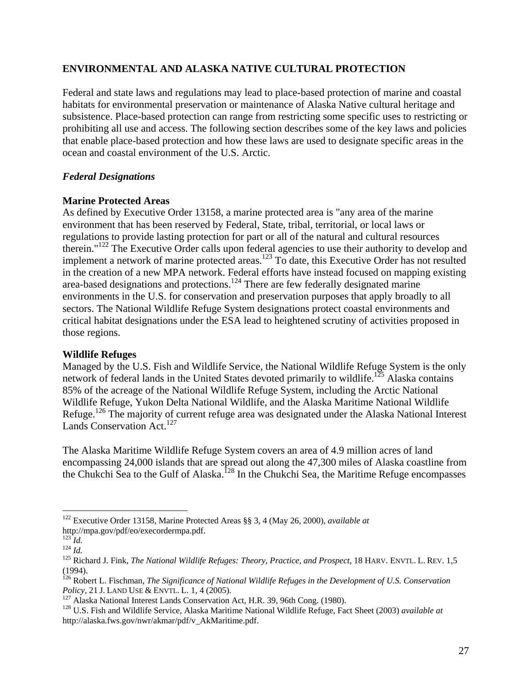## **ENVIRONMENTAL AND ALASKA NATIVE CULTURAL PROTECTION**

Federal and state laws and regulations may lead to place-based protection of marine and coastal habitats for environmental preservation or maintenance of Alaska Native cultural heritage and subsistence. Place-based protection can range from restricting some specific uses to restricting or prohibiting all use and access. The following section describes some of the key laws and policies that enable place-based protection and how these laws are used to designate specific areas in the ocean and coastal environment of the U.S. Arctic.

## *Federal Designations*

## **Marine Protected Areas**

As defined by Executive Order 13158, a marine protected area is "any area of the marine environment that has been reserved by Federal, State, tribal, territorial, or local laws or regulations to provide lasting protection for part or all of the natural and cultural resources therein."122 The Executive Order calls upon federal agencies to use their authority to develop and implement a network of marine protected areas.<sup>123</sup> To date, this Executive Order has not resulted in the creation of a new MPA network. Federal efforts have instead focused on mapping existing area-based designations and protections.124 There are few federally designated marine environments in the U.S. for conservation and preservation purposes that apply broadly to all sectors. The National Wildlife Refuge System designations protect coastal environments and critical habitat designations under the ESA lead to heightened scrutiny of activities proposed in those regions.

## **Wildlife Refuges**

Managed by the U.S. Fish and Wildlife Service, the National Wildlife Refuge System is the only network of federal lands in the United States devoted primarily to wildlife.<sup>125</sup> Alaska contains 85% of the acreage of the National Wildlife Refuge System, including the Arctic National Wildlife Refuge, Yukon Delta National Wildlife, and the Alaska Maritime National Wildlife Refuge.<sup>126</sup> The majority of current refuge area was designated under the Alaska National Interest Lands Conservation Act.<sup>127</sup>

The Alaska Maritime Wildlife Refuge System covers an area of 4.9 million acres of land encompassing 24,000 islands that are spread out along the 47,300 miles of Alaska coastline from the Chukchi Sea to the Gulf of Alaska.<sup>128</sup> In the Chukchi Sea, the Maritime Refuge encompasses

<sup>122</sup> Executive Order 13158, Marine Protected Areas §§ 3, 4 (May 26, 2000), *available at*

http://mpa.gov/pdf/eo/execordermpa.pdf.<br><sup>123</sup> *Id.* 124 *Id.* 124 *Id.* 124 *Id.* 125 Richard J. Fink, *The National Wildlife Refuges: Theory, Practice, and Prospect,* 18 HARV. ENVTL. L. REV. 1,5 (1994).

<sup>&</sup>lt;sup>126</sup> Robert L. Fischman, *The Significance of National Wildlife Refuges in the Development of U.S. Conservation Policy*, 21 J. LAND USE & ENVTL. L. 1, 4 (2005).

 $^{127}$  Alaska National Interest Lands Conservation Act, H.R. 39, 96th Cong. (1980).<br><sup>128</sup> U.S. Fish and Wildlife Service, Alaska Maritime National Wildlife Refuge, Fact Sheet (2003) *available at* http://alaska.fws.gov/nwr/akmar/pdf/v\_AkMaritime.pdf.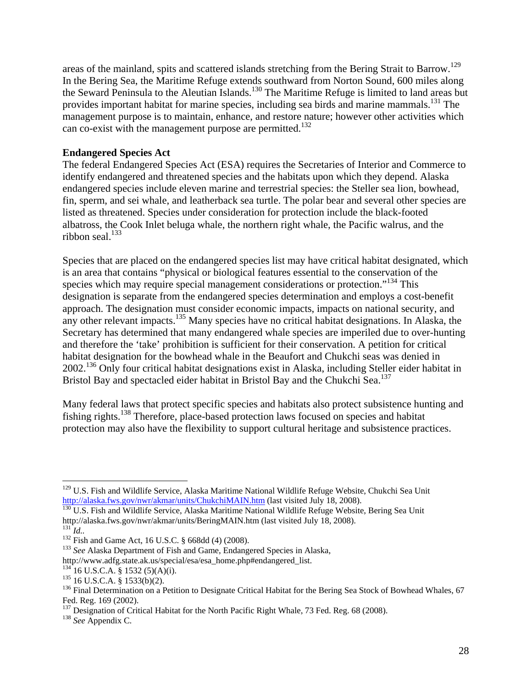areas of the mainland, spits and scattered islands stretching from the Bering Strait to Barrow.<sup>129</sup> In the Bering Sea, the Maritime Refuge extends southward from Norton Sound, 600 miles along the Seward Peninsula to the Aleutian Islands.<sup>130</sup> The Maritime Refuge is limited to land areas but provides important habitat for marine species, including sea birds and marine mammals.<sup>131</sup> The management purpose is to maintain, enhance, and restore nature; however other activities which can co-exist with the management purpose are permitted.<sup>132</sup>

## **Endangered Species Act**

The federal Endangered Species Act (ESA) requires the Secretaries of Interior and Commerce to identify endangered and threatened species and the habitats upon which they depend. Alaska endangered species include eleven marine and terrestrial species: the Steller sea lion, bowhead, fin, sperm, and sei whale, and leatherback sea turtle. The polar bear and several other species are listed as threatened. Species under consideration for protection include the black-footed albatross, the Cook Inlet beluga whale, the northern right whale, the Pacific walrus, and the ribbon seal. $133$ 

Species that are placed on the endangered species list may have critical habitat designated, which is an area that contains "physical or biological features essential to the conservation of the species which may require special management considerations or protection."<sup>134</sup> This designation is separate from the endangered species determination and employs a cost-benefit approach. The designation must consider economic impacts, impacts on national security, and any other relevant impacts.135 Many species have no critical habitat designations. In Alaska, the Secretary has determined that many endangered whale species are imperiled due to over-hunting and therefore the 'take' prohibition is sufficient for their conservation. A petition for critical habitat designation for the bowhead whale in the Beaufort and Chukchi seas was denied in 2002.136 Only four critical habitat designations exist in Alaska, including Steller eider habitat in Bristol Bay and spectacled eider habitat in Bristol Bay and the Chukchi Sea.<sup>137</sup>

Many federal laws that protect specific species and habitats also protect subsistence hunting and fishing rights.138 Therefore, place-based protection laws focused on species and habitat protection may also have the flexibility to support cultural heritage and subsistence practices.

<sup>&</sup>lt;sup>129</sup> U.S. Fish and Wildlife Service, Alaska Maritime National Wildlife Refuge Website, Chukchi Sea Unit http://alaska.fws.gov/nwr/akmar/units/ChukchiMAIN.htm (last visited July 18, 2008).<br><sup>130</sup> U.S. Fish and Wildlife Service, Alaska Maritime National Wildlife Refuge Website, Bering Sea Unit

http://alaska.fws.gov/nwr/akmar/units/BeringMAIN.htm (last visited July 18, 2008).<br>
<sup>131</sup> *Id.*.<br>
<sup>132</sup> Fish and Game Act, 16 U.S.C. § 668dd (4) (2008).<br>
<sup>133</sup> *See* Alaska Department of Fish and Game, Endangered Species i

<sup>&</sup>lt;sup>134</sup> 16 U.S.C.A. § 1532 (5)(A)(i).<br><sup>135</sup> 16 U.S.C.A. § 1533(b)(2).<br><sup>136</sup> Final Determination on a Petition to Designate Critical Habitat for the Bering Sea Stock of Bowhead Whales, 67 Fed. Reg. 169 (2002).

<sup>137</sup> Designation of Critical Habitat for the North Pacific Right Whale, 73 Fed. Reg. 68 (2008). 138 *See* Appendix C.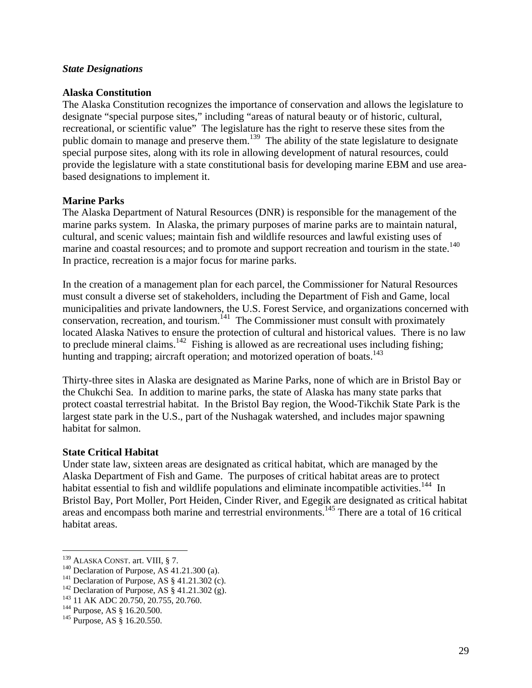#### *State Designations*

#### **Alaska Constitution**

The Alaska Constitution recognizes the importance of conservation and allows the legislature to designate "special purpose sites," including "areas of natural beauty or of historic, cultural, recreational, or scientific value" The legislature has the right to reserve these sites from the public domain to manage and preserve them.<sup>139</sup> The ability of the state legislature to designate special purpose sites, along with its role in allowing development of natural resources, could provide the legislature with a state constitutional basis for developing marine EBM and use areabased designations to implement it.

### **Marine Parks**

The Alaska Department of Natural Resources (DNR) is responsible for the management of the marine parks system. In Alaska, the primary purposes of marine parks are to maintain natural, cultural, and scenic values; maintain fish and wildlife resources and lawful existing uses of marine and coastal resources; and to promote and support recreation and tourism in the state.<sup>140</sup> In practice, recreation is a major focus for marine parks.

In the creation of a management plan for each parcel, the Commissioner for Natural Resources must consult a diverse set of stakeholders, including the Department of Fish and Game, local municipalities and private landowners, the U.S. Forest Service, and organizations concerned with conservation, recreation, and tourism.<sup>141</sup> The Commissioner must consult with proximately located Alaska Natives to ensure the protection of cultural and historical values. There is no law to preclude mineral claims.<sup>142</sup> Fishing is allowed as are recreational uses including fishing; hunting and trapping; aircraft operation; and motorized operation of boats.<sup>143</sup>

Thirty-three sites in Alaska are designated as Marine Parks, none of which are in Bristol Bay or the Chukchi Sea. In addition to marine parks, the state of Alaska has many state parks that protect coastal terrestrial habitat. In the Bristol Bay region, the Wood-Tikchik State Park is the largest state park in the U.S., part of the Nushagak watershed, and includes major spawning habitat for salmon.

#### **State Critical Habitat**

Under state law, sixteen areas are designated as critical habitat, which are managed by the Alaska Department of Fish and Game. The purposes of critical habitat areas are to protect habitat essential to fish and wildlife populations and eliminate incompatible activities.<sup>144</sup> In Bristol Bay, Port Moller, Port Heiden, Cinder River, and Egegik are designated as critical habitat areas and encompass both marine and terrestrial environments.145 There are a total of 16 critical habitat areas.

<sup>&</sup>lt;sup>139</sup> ALASKA CONST. art. VIII, § 7.

<sup>&</sup>lt;sup>140</sup> Declaration of Purpose, AS 41.21.300 (a).<br>
<sup>141</sup> Declaration of Purpose, AS § 41.21.302 (c).<br>
<sup>142</sup> Declaration of Purpose, AS § 41.21.302 (g).<br>
<sup>143</sup> 11 AK ADC 20.750, 20.755, 20.760.<br>
<sup>144</sup> Purpose, AS § 16.20.500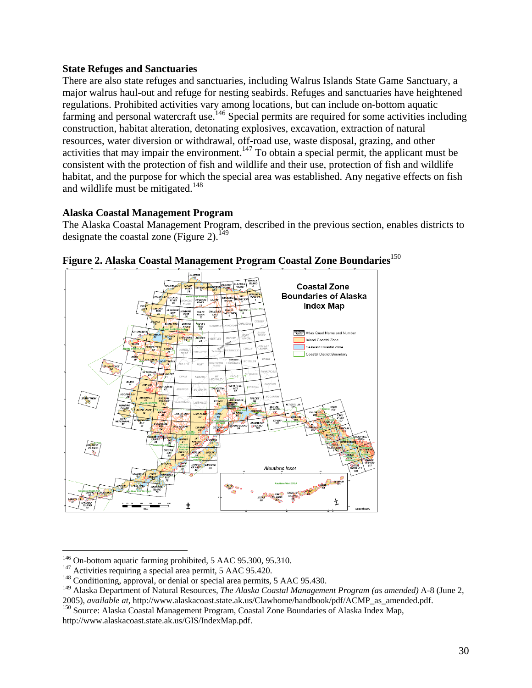### **State Refuges and Sanctuaries**

There are also state refuges and sanctuaries, including Walrus Islands State Game Sanctuary, a major walrus haul-out and refuge for nesting seabirds. Refuges and sanctuaries have heightened regulations. Prohibited activities vary among locations, but can include on-bottom aquatic farming and personal watercraft use.146 Special permits are required for some activities including construction, habitat alteration, detonating explosives, excavation, extraction of natural resources, water diversion or withdrawal, off-road use, waste disposal, grazing, and other activities that may impair the environment.<sup>147</sup> To obtain a special permit, the applicant must be consistent with the protection of fish and wildlife and their use, protection of fish and wildlife habitat, and the purpose for which the special area was established. Any negative effects on fish and wildlife must be mitigated.<sup>148</sup>

### **Alaska Coastal Management Program**

The Alaska Coastal Management Program, described in the previous section, enables districts to designate the coastal zone (Figure 2).<sup>149</sup>





<sup>&</sup>lt;sup>146</sup> On-bottom aquatic farming prohibited, 5 AAC 95.300, 95.310.

<sup>&</sup>lt;sup>147</sup> Activities requiring a special area permit, 5 AAC 95.420. <sup>148</sup> Conditioning, approval, or denial or special area permits, 5 AAC 95.430.

<sup>149</sup> Alaska Department of Natural Resources, *The Alaska Coastal Management Program (as amended)* A-8 (June 2,

<sup>2005),</sup> *available at*, http://www.alaskacoast.state.ak.us/Clawhome/handbook/pdf/ACMP\_as\_amended.pdf. 150 Source: Alaska Coastal Management Program, Coastal Zone Boundaries of Alaska Index Map, http://www.alaskacoast.state.ak.us/GIS/IndexMap.pdf.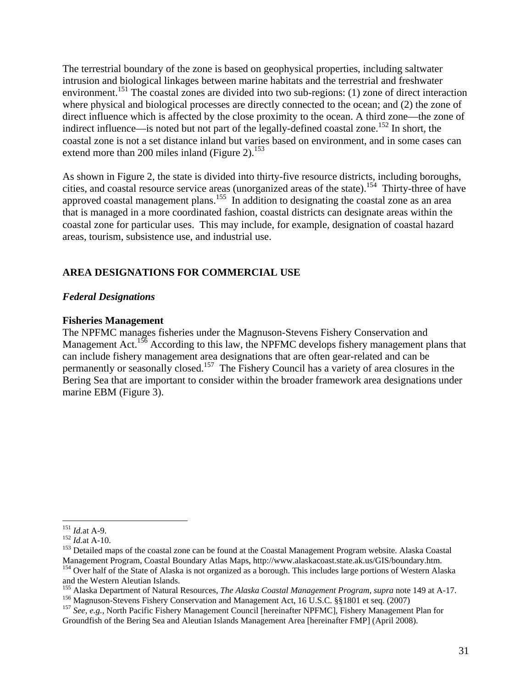The terrestrial boundary of the zone is based on geophysical properties, including saltwater intrusion and biological linkages between marine habitats and the terrestrial and freshwater environment.<sup>151</sup> The coastal zones are divided into two sub-regions: (1) zone of direct interaction where physical and biological processes are directly connected to the ocean; and (2) the zone of direct influence which is affected by the close proximity to the ocean. A third zone—the zone of indirect influence—is noted but not part of the legally-defined coastal zone.<sup>152</sup> In short, the coastal zone is not a set distance inland but varies based on environment, and in some cases can extend more than 200 miles inland (Figure 2). $153$ 

As shown in Figure 2, the state is divided into thirty-five resource districts, including boroughs, cities, and coastal resource service areas (unorganized areas of the state).<sup>154</sup> Thirty-three of have approved coastal management plans.<sup>155</sup> In addition to designating the coastal zone as an area that is managed in a more coordinated fashion, coastal districts can designate areas within the coastal zone for particular uses. This may include, for example, designation of coastal hazard areas, tourism, subsistence use, and industrial use.

### **AREA DESIGNATIONS FOR COMMERCIAL USE**

### *Federal Designations*

### **Fisheries Management**

The NPFMC manages fisheries under the Magnuson-Stevens Fishery Conservation and Management Act.<sup>156</sup> According to this law, the NPFMC develops fishery management plans that can include fishery management area designations that are often gear-related and can be permanently or seasonally closed.157 The Fishery Council has a variety of area closures in the Bering Sea that are important to consider within the broader framework area designations under marine EBM (Figure 3).

 $^{151}$  *Id.at* A-9.

<sup>152</sup> *Id.at* A-9.<br><sup>152</sup> *Id.at* A-10.<br><sup>153</sup> Detailed maps of the coastal zone can be found at the Coastal Management Program website. Alaska Coastal<br>Management Program, Coastal Boundary Atlas Maps, http://www.alaskacoast.st  $^{154}$  Over half of the State of Alaska is not organized as a borough. This includes large portions of Western Alaska

and the Western Aleutian Islands.<br><sup>155</sup> Alaska Department of Natural Resources, *The Alaska Coastal Management Program, supra* note 149 at A-17.

<sup>&</sup>lt;sup>156</sup> Magnuson-Stevens Fishery Conservation and Management Act, 16 U.S.C.  $\S$  1801 et seq. (2007)<br><sup>157</sup> See, e.g., North Pacific Fishery Management Council [hereinafter NPFMC], Fishery Management Plan for

Groundfish of the Bering Sea and Aleutian Islands Management Area [hereinafter FMP] (April 2008).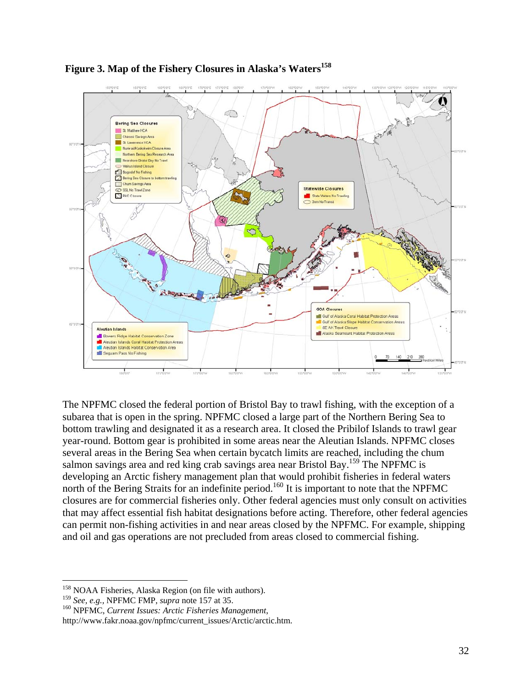



The NPFMC closed the federal portion of Bristol Bay to trawl fishing, with the exception of a subarea that is open in the spring. NPFMC closed a large part of the Northern Bering Sea to bottom trawling and designated it as a research area. It closed the Pribilof Islands to trawl gear year-round. Bottom gear is prohibited in some areas near the Aleutian Islands. NPFMC closes several areas in the Bering Sea when certain bycatch limits are reached, including the chum salmon savings area and red king crab savings area near Bristol Bay.<sup>159</sup> The NPFMC is developing an Arctic fishery management plan that would prohibit fisheries in federal waters north of the Bering Straits for an indefinite period.<sup>160</sup> It is important to note that the NPFMC closures are for commercial fisheries only. Other federal agencies must only consult on activities that may affect essential fish habitat designations before acting. Therefore, other federal agencies can permit non-fishing activities in and near areas closed by the NPFMC. For example, shipping and oil and gas operations are not precluded from areas closed to commercial fishing.

<sup>&</sup>lt;sup>158</sup> NOAA Fisheries, Alaska Region (on file with authors).<br><sup>159</sup> *See, e.g.*, NPFMC FMP, *supra* note 157 at 35.

<sup>&</sup>lt;sup>160</sup> **NPFMC**, *Current Issues: Arctic Fisheries Management*,

http://www.fakr.noaa.gov/npfmc/current\_issues/Arctic/arctic.htm.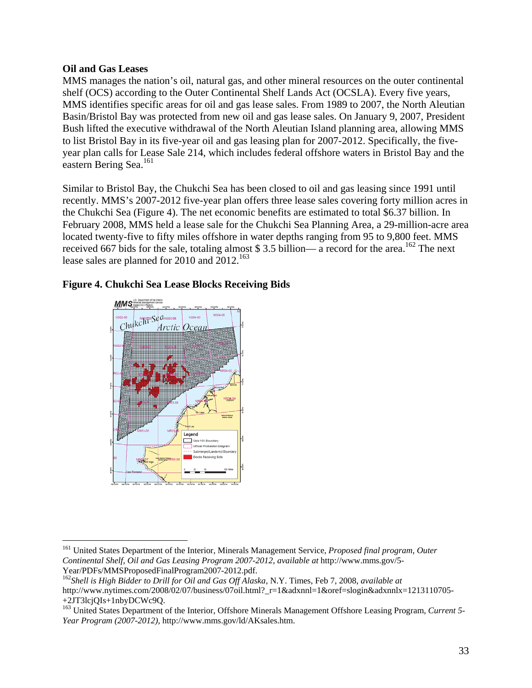### **Oil and Gas Leases**

 $\overline{a}$ 

MMS manages the nation's oil, natural gas, and other mineral resources on the outer continental shelf (OCS) according to the Outer Continental Shelf Lands Act (OCSLA). Every five years, MMS identifies specific areas for oil and gas lease sales. From 1989 to 2007, the North Aleutian Basin/Bristol Bay was protected from new oil and gas lease sales. On January 9, 2007, President Bush lifted the executive withdrawal of the North Aleutian Island planning area, allowing MMS to list Bristol Bay in its five-year oil and gas leasing plan for 2007-2012. Specifically, the fiveyear plan calls for Lease Sale 214, which includes federal offshore waters in Bristol Bay and the eastern Bering Sea.<sup>161</sup>

Similar to Bristol Bay, the Chukchi Sea has been closed to oil and gas leasing since 1991 until recently. MMS's 2007-2012 five-year plan offers three lease sales covering forty million acres in the Chukchi Sea (Figure 4). The net economic benefits are estimated to total \$6.37 billion. In February 2008, MMS held a lease sale for the Chukchi Sea Planning Area, a 29-million-acre area located twenty-five to fifty miles offshore in water depths ranging from 95 to 9,800 feet. MMS received 667 bids for the sale, totaling almost \$3.5 billion— a record for the area.<sup>162</sup> The next lease sales are planned for 2010 and  $2012$ .<sup>163</sup>





<sup>161</sup> United States Department of the Interior, Minerals Management Service, *Proposed final program, Outer Continental Shelf, Oil and Gas Leasing Program 2007-2012*, *available at* http://www.mms.gov/5- Year/PDFs/MMSProposedFinalProgram2007-2012.pdf.

<sup>162</sup>*Shell is High Bidder to Drill for Oil and Gas Off Alaska*, N.Y. Times, Feb 7, 2008, *available at* http://www.nytimes.com/2008/02/07/business/07oil.html?\_r=1&adxnnl=1&oref=slogin&adxnnlx=1213110705-+2JT3lcjQIs+1nbyDCWc9Q.

<sup>163</sup> United States Department of the Interior, Offshore Minerals Management Offshore Leasing Program, *Current 5- Year Program (2007-2012)*, http://www.mms.gov/ld/AKsales.htm.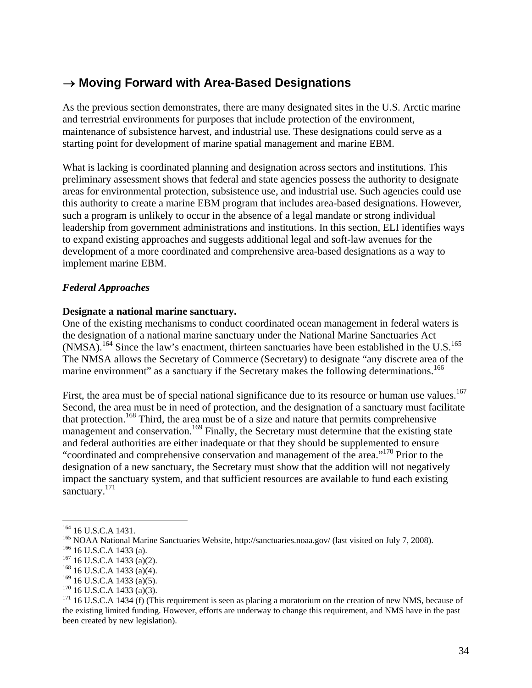### → **Moving Forward with Area-Based Designations**

As the previous section demonstrates, there are many designated sites in the U.S. Arctic marine and terrestrial environments for purposes that include protection of the environment, maintenance of subsistence harvest, and industrial use. These designations could serve as a starting point for development of marine spatial management and marine EBM.

What is lacking is coordinated planning and designation across sectors and institutions. This preliminary assessment shows that federal and state agencies possess the authority to designate areas for environmental protection, subsistence use, and industrial use. Such agencies could use this authority to create a marine EBM program that includes area-based designations. However, such a program is unlikely to occur in the absence of a legal mandate or strong individual leadership from government administrations and institutions. In this section, ELI identifies ways to expand existing approaches and suggests additional legal and soft-law avenues for the development of a more coordinated and comprehensive area-based designations as a way to implement marine EBM.

### *Federal Approaches*

### **Designate a national marine sanctuary.**

One of the existing mechanisms to conduct coordinated ocean management in federal waters is the designation of a national marine sanctuary under the National Marine Sanctuaries Act (NMSA).<sup>164</sup> Since the law's enactment, thirteen sanctuaries have been established in the U.S.<sup>165</sup> The NMSA allows the Secretary of Commerce (Secretary) to designate "any discrete area of the marine environment" as a sanctuary if the Secretary makes the following determinations.<sup>166</sup>

First, the area must be of special national significance due to its resource or human use values.<sup>167</sup> Second, the area must be in need of protection, and the designation of a sanctuary must facilitate that protection.<sup>168</sup> Third, the area must be of a size and nature that permits comprehensive management and conservation.<sup>169</sup> Finally, the Secretary must determine that the existing state and federal authorities are either inadequate or that they should be supplemented to ensure "coordinated and comprehensive conservation and management of the area."170 Prior to the designation of a new sanctuary, the Secretary must show that the addition will not negatively impact the sanctuary system, and that sufficient resources are available to fund each existing sanctuary.<sup>171</sup>

 $\overline{a}$ 

<sup>&</sup>lt;sup>164</sup> 16 U.S.C.A 1431.<br><sup>165</sup> NOAA National Marine Sanctuaries Website, http://sanctuaries.noaa.gov/ (last visited on July 7, 2008).<br><sup>166</sup> 16 U.S.C.A 1433 (a)(2).<br><sup>167</sup> 16 U.S.C.A 1433 (a)(4).<br><sup>168</sup> 16 U.S.C.A 1433 (a)(5).

<sup>&</sup>lt;sup>170</sup> 16 U.S.C.A 1433 (a)(3). <sup>170</sup> 16 U.S.C.A 1433 (a)(3). <sup>171</sup> 16 U.S.C.A 1434 (f) (This requirement is seen as placing a moratorium on the creation of new NMS, because of the existing limited funding. However, efforts are underway to change this requirement, and NMS have in the past been created by new legislation).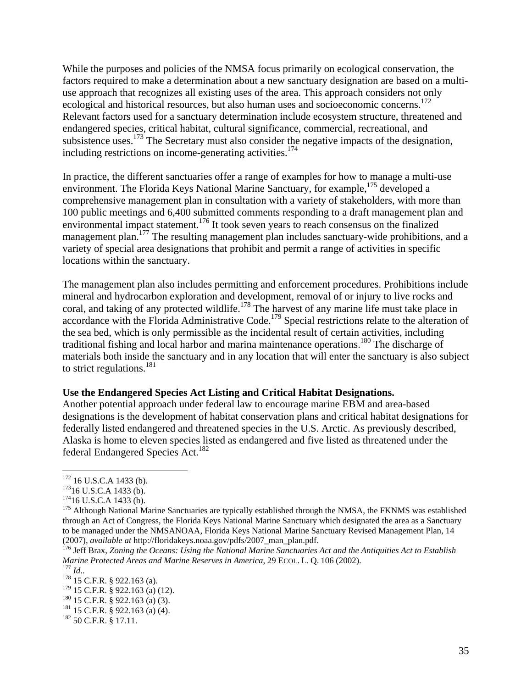While the purposes and policies of the NMSA focus primarily on ecological conservation, the factors required to make a determination about a new sanctuary designation are based on a multiuse approach that recognizes all existing uses of the area. This approach considers not only ecological and historical resources, but also human uses and socioeconomic concerns.<sup>172</sup> Relevant factors used for a sanctuary determination include ecosystem structure, threatened and endangered species, critical habitat, cultural significance, commercial, recreational, and subsistence uses.<sup>173</sup> The Secretary must also consider the negative impacts of the designation, including restrictions on income-generating activities.<sup>174</sup>

In practice, the different sanctuaries offer a range of examples for how to manage a multi-use environment. The Florida Keys National Marine Sanctuary, for example,<sup>175</sup> developed a comprehensive management plan in consultation with a variety of stakeholders, with more than 100 public meetings and 6,400 submitted comments responding to a draft management plan and environmental impact statement.<sup>176</sup> It took seven years to reach consensus on the finalized management plan.<sup>177</sup> The resulting management plan includes sanctuary-wide prohibitions, and a variety of special area designations that prohibit and permit a range of activities in specific locations within the sanctuary.

The management plan also includes permitting and enforcement procedures. Prohibitions include mineral and hydrocarbon exploration and development, removal of or injury to live rocks and coral, and taking of any protected wildlife.<sup>178</sup> The harvest of any marine life must take place in accordance with the Florida Administrative Code.<sup>179</sup> Special restrictions relate to the alteration of the sea bed, which is only permissible as the incidental result of certain activities, including traditional fishing and local harbor and marina maintenance operations.180 The discharge of materials both inside the sanctuary and in any location that will enter the sanctuary is also subject to strict regulations.<sup>181</sup>

#### **Use the Endangered Species Act Listing and Critical Habitat Designations.**

Another potential approach under federal law to encourage marine EBM and area-based designations is the development of habitat conservation plans and critical habitat designations for federally listed endangered and threatened species in the U.S. Arctic. As previously described, Alaska is home to eleven species listed as endangered and five listed as threatened under the federal Endangered Species Act.<sup>182</sup>

<sup>&</sup>lt;sup>172</sup> 16 U.S.C.A 1433 (b).

<sup>&</sup>lt;sup>173</sup>16 U.S.C.A 1433 (b).<br><sup>174</sup>16 U.S.C.A 1433 (b).<br><sup>175</sup> Although National Marine Sanctuaries are typically established through the NMSA, the FKNMS was established through an Act of Congress, the Florida Keys National Marine Sanctuary which designated the area as a Sanctuary to be managed under the NMSANOAA, Florida Keys National Marine Sanctuary Revised Management Plan, 14 (2007), available at http://floridakeys.noaa.gov/pdfs/2007\_man\_plan.pdf.

<sup>&</sup>lt;sup>176</sup> Jeff Brax, *Zoning the Oceans: Using the National Marine Sanctuaries Act and the Antiquities Act to Establish Marine Protected Areas and Marine Reserves in America*, 29 ECOL. L. Q. 106 (2002).<br><sup>177</sup> *Id.*. <sup>178</sup> 15 C.F.R. § 922.163 (a).<br><sup>179</sup> 15 C.F.R. § 922.163 (a) (12).

<sup>180 15</sup> C.F.R. § 922.163 (a) (3).<br><sup>181</sup> 15 C.F.R. § 922.163 (a) (4).<br><sup>182</sup> 50 C.F.R. § 17.11.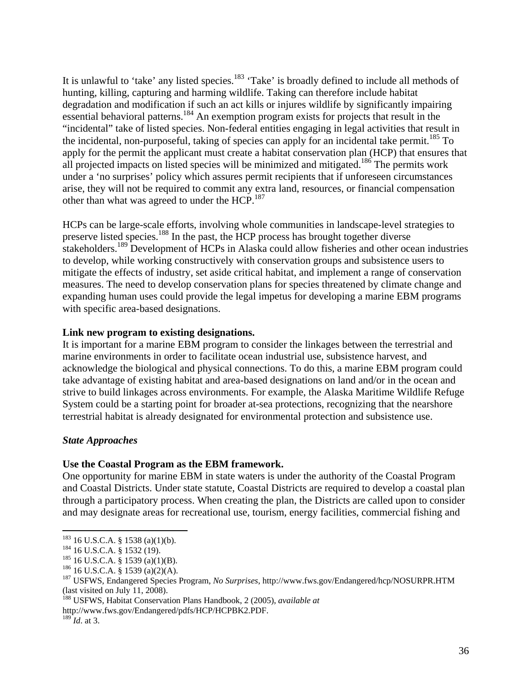It is unlawful to 'take' any listed species.<sup>183</sup> 'Take' is broadly defined to include all methods of hunting, killing, capturing and harming wildlife. Taking can therefore include habitat degradation and modification if such an act kills or injures wildlife by significantly impairing essential behavioral patterns.184 An exemption program exists for projects that result in the "incidental" take of listed species. Non-federal entities engaging in legal activities that result in the incidental, non-purposeful, taking of species can apply for an incidental take permit.<sup>185</sup> To apply for the permit the applicant must create a habitat conservation plan (HCP) that ensures that all projected impacts on listed species will be minimized and mitigated.<sup>186</sup> The permits work under a 'no surprises' policy which assures permit recipients that if unforeseen circumstances arise, they will not be required to commit any extra land, resources, or financial compensation other than what was agreed to under the HCP.<sup>187</sup>

HCPs can be large-scale efforts, involving whole communities in landscape-level strategies to preserve listed species.188 In the past, the HCP process has brought together diverse stakeholders.<sup>189</sup> Development of HCPs in Alaska could allow fisheries and other ocean industries to develop, while working constructively with conservation groups and subsistence users to mitigate the effects of industry, set aside critical habitat, and implement a range of conservation measures. The need to develop conservation plans for species threatened by climate change and expanding human uses could provide the legal impetus for developing a marine EBM programs with specific area-based designations.

### **Link new program to existing designations.**

It is important for a marine EBM program to consider the linkages between the terrestrial and marine environments in order to facilitate ocean industrial use, subsistence harvest, and acknowledge the biological and physical connections. To do this, a marine EBM program could take advantage of existing habitat and area-based designations on land and/or in the ocean and strive to build linkages across environments. For example, the Alaska Maritime Wildlife Refuge System could be a starting point for broader at-sea protections, recognizing that the nearshore terrestrial habitat is already designated for environmental protection and subsistence use.

### *State Approaches*

### **Use the Coastal Program as the EBM framework.**

One opportunity for marine EBM in state waters is under the authority of the Coastal Program and Coastal Districts. Under state statute, Coastal Districts are required to develop a coastal plan through a participatory process. When creating the plan, the Districts are called upon to consider and may designate areas for recreational use, tourism, energy facilities, commercial fishing and

http://www.fws.gov/Endangered/pdfs/HCP/HCPBK2.PDF.

 $\overline{a}$ 

<sup>&</sup>lt;sup>183</sup> 16 U.S.C.A. § 1538 (a)(1)(b).<br><sup>184</sup> 16 U.S.C.A. § 1532 (19).<br><sup>185</sup> 16 U.S.C.A. § 1539 (a)(1)(B).<br><sup>185</sup> 16 U.S.C.A. § 1539 (a)(2)(A).<br><sup>186</sup> 16 U.S.C.A. § 1539 (a)(2)(A).<br><sup>187</sup> USFWS, Endangered Species Program, *No S* (last visited on July 11, 2008).

<sup>188</sup> USFWS, Habitat Conservation Plans Handbook, 2 (2005), *available at*

 $^{189}$ *Id.* at 3.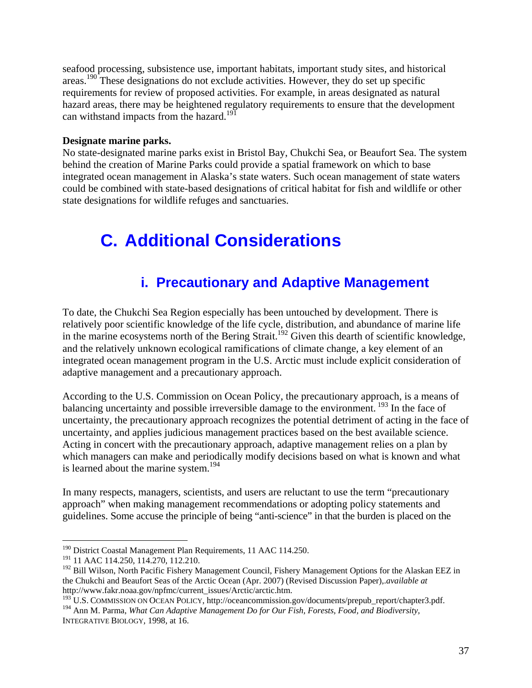seafood processing, subsistence use, important habitats, important study sites, and historical areas.190 These designations do not exclude activities. However, they do set up specific requirements for review of proposed activities. For example, in areas designated as natural hazard areas, there may be heightened regulatory requirements to ensure that the development can withstand impacts from the hazard.<sup>191</sup>

#### **Designate marine parks.**

No state-designated marine parks exist in Bristol Bay, Chukchi Sea, or Beaufort Sea. The system behind the creation of Marine Parks could provide a spatial framework on which to base integrated ocean management in Alaska's state waters. Such ocean management of state waters could be combined with state-based designations of critical habitat for fish and wildlife or other state designations for wildlife refuges and sanctuaries.

## **C. Additional Considerations**

### **i. Precautionary and Adaptive Management**

To date, the Chukchi Sea Region especially has been untouched by development. There is relatively poor scientific knowledge of the life cycle, distribution, and abundance of marine life in the marine ecosystems north of the Bering Strait.<sup>192</sup> Given this dearth of scientific knowledge, and the relatively unknown ecological ramifications of climate change, a key element of an integrated ocean management program in the U.S. Arctic must include explicit consideration of adaptive management and a precautionary approach.

According to the U.S. Commission on Ocean Policy, the precautionary approach, is a means of balancing uncertainty and possible irreversible damage to the environment.  $193$  In the face of uncertainty, the precautionary approach recognizes the potential detriment of acting in the face of uncertainty, and applies judicious management practices based on the best available science. Acting in concert with the precautionary approach, adaptive management relies on a plan by which managers can make and periodically modify decisions based on what is known and what is learned about the marine system.<sup>194</sup>

In many respects, managers, scientists, and users are reluctant to use the term "precautionary approach" when making management recommendations or adopting policy statements and guidelines. Some accuse the principle of being "anti-science" in that the burden is placed on the

<sup>&</sup>lt;sup>190</sup> District Coastal Management Plan Requirements, 11 AAC 114.250.

<sup>&</sup>lt;sup>191</sup> 11 AAC 114.250, 114.270, 112.210.

<sup>&</sup>lt;sup>192</sup> Bill Wilson, North Pacific Fishery Management Council, Fishery Management Options for the Alaskan EEZ in the Chukchi and Beaufort Seas of the Arctic Ocean (Apr. 2007) (Revised Discussion Paper),.*available at* http://www.fakr.noaa.gov/npfmc/current\_issues/Arctic/arctic.htm.

<sup>&</sup>lt;sup>193</sup> U.S. COMMISSION ON OCEAN POLICY, http://oceancommission.gov/documents/prepub\_report/chapter3.pdf. 194 Ann M. Parma, *What Can Adaptive Management Do for Our Fish, Forests, Food, and Biodiversity,* 

INTEGRATIVE BIOLOGY*,* 1998, at 16.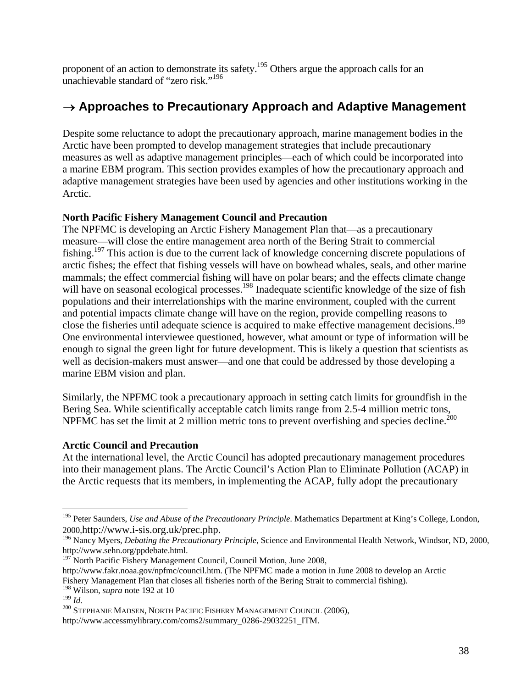proponent of an action to demonstrate its safety.<sup>195</sup> Others argue the approach calls for an unachievable standard of "zero risk."196

### → **Approaches to Precautionary Approach and Adaptive Management**

Despite some reluctance to adopt the precautionary approach, marine management bodies in the Arctic have been prompted to develop management strategies that include precautionary measures as well as adaptive management principles—each of which could be incorporated into a marine EBM program. This section provides examples of how the precautionary approach and adaptive management strategies have been used by agencies and other institutions working in the Arctic.

### **North Pacific Fishery Management Council and Precaution**

The NPFMC is developing an Arctic Fishery Management Plan that—as a precautionary measure—will close the entire management area north of the Bering Strait to commercial fishing.197 This action is due to the current lack of knowledge concerning discrete populations of arctic fishes; the effect that fishing vessels will have on bowhead whales, seals, and other marine mammals; the effect commercial fishing will have on polar bears; and the effects climate change will have on seasonal ecological processes.<sup>198</sup> Inadequate scientific knowledge of the size of fish populations and their interrelationships with the marine environment, coupled with the current and potential impacts climate change will have on the region, provide compelling reasons to close the fisheries until adequate science is acquired to make effective management decisions.<sup>199</sup> One environmental interviewee questioned, however, what amount or type of information will be enough to signal the green light for future development. This is likely a question that scientists as well as decision-makers must answer—and one that could be addressed by those developing a marine EBM vision and plan.

Similarly, the NPFMC took a precautionary approach in setting catch limits for groundfish in the Bering Sea. While scientifically acceptable catch limits range from 2.5-4 million metric tons, NPFMC has set the limit at 2 million metric tons to prevent overfishing and species decline.<sup>200</sup>

### **Arctic Council and Precaution**

At the international level, the Arctic Council has adopted precautionary management procedures into their management plans. The Arctic Council's Action Plan to Eliminate Pollution (ACAP) in the Arctic requests that its members, in implementing the ACAP, fully adopt the precautionary

<sup>&</sup>lt;sup>195</sup> Peter Saunders, *Use and Abuse of the Precautionary Principle*. Mathematics Department at King's College, London, 2000,http://www.i-sis.org.uk/prec.php.

<sup>&</sup>lt;sup>196</sup> Nancy Myers, *Debating the Precautionary Principle*, Science and Environmental Health Network, Windsor, ND, 2000, http://www.sehn.org/ppdebate.html.

 $197$  North Pacific Fishery Management Council, Council Motion, June 2008,

http://www.fakr.noaa.gov/npfmc/council.htm. (The NPFMC made a motion in June 2008 to develop an Arctic Fishery Management Plan that closes all fisheries north of the Bering Strait to commercial fishing). <sup>198</sup> Wilson, *supra* note 192 at 10<br><sup>199</sup> *Id.* 

<sup>&</sup>lt;sup>200</sup> STEPHANIE MADSEN, NORTH PACIFIC FISHERY MANAGEMENT COUNCIL (2006),

http://www.accessmylibrary.com/coms2/summary\_0286-29032251\_ITM.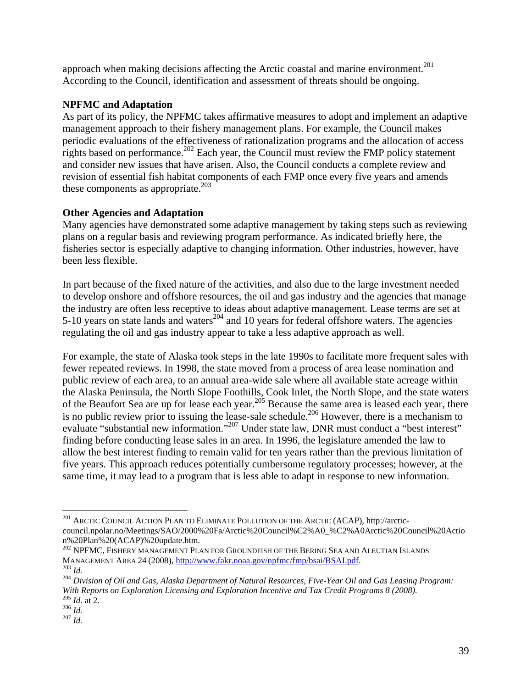approach when making decisions affecting the Arctic coastal and marine environment.<sup>201</sup> According to the Council, identification and assessment of threats should be ongoing.

### **NPFMC and Adaptation**

As part of its policy, the NPFMC takes affirmative measures to adopt and implement an adaptive management approach to their fishery management plans. For example, the Council makes periodic evaluations of the effectiveness of rationalization programs and the allocation of access rights based on performance.<sup>202</sup> Each year, the Council must review the FMP policy statement and consider new issues that have arisen. Also, the Council conducts a complete review and revision of essential fish habitat components of each FMP once every five years and amends these components as appropriate. $203$ 

### **Other Agencies and Adaptation**

Many agencies have demonstrated some adaptive management by taking steps such as reviewing plans on a regular basis and reviewing program performance. As indicated briefly here, the fisheries sector is especially adaptive to changing information. Other industries, however, have been less flexible.

In part because of the fixed nature of the activities, and also due to the large investment needed to develop onshore and offshore resources, the oil and gas industry and the agencies that manage the industry are often less receptive to ideas about adaptive management. Lease terms are set at 5-10 years on state lands and waters<sup>204</sup> and 10 years for federal offshore waters. The agencies regulating the oil and gas industry appear to take a less adaptive approach as well.

For example, the state of Alaska took steps in the late 1990s to facilitate more frequent sales with fewer repeated reviews. In 1998, the state moved from a process of area lease nomination and public review of each area, to an annual area-wide sale where all available state acreage within the Alaska Peninsula, the North Slope Foothills, Cook Inlet, the North Slope, and the state waters of the Beaufort Sea are up for lease each year.<sup>205</sup> Because the same area is leased each year, there is no public review prior to issuing the lease-sale schedule.<sup>206</sup> However, there is a mechanism to evaluate "substantial new information."207 Under state law, DNR must conduct a "best interest" finding before conducting lease sales in an area. In 1996, the legislature amended the law to allow the best interest finding to remain valid for ten years rather than the previous limitation of five years. This approach reduces potentially cumbersome regulatory processes; however, at the same time, it may lead to a program that is less able to adapt in response to new information.

<sup>201</sup> ARCTIC COUNCIL ACTION PLAN TO ELIMINATE POLLUTION OF THE ARCTIC (ACAP), http://arcticcouncil.npolar.no/Meetings/SAO/2000%20Fa/Arctic%20Council%C2%A0\_%C2%A0Arctic%20Council%20Actio n%20Plan%20(ACAP)%20update.htm.

<sup>&</sup>lt;sup>202</sup> NPFMC, FISHERY MANAGEMENT PLAN FOR GROUNDFISH OF THE BERING SEA AND ALEUTIAN ISLANDS<br>MANAGEMENT AREA 24 (2008), http://www.fakr.noaa.gov/npfmc/fmp/bsai/BSAI.pdf.

<sup>&</sup>lt;sup>203</sup> Id.<br><sup>204</sup> Division of Oil and Gas, Alaska Department of Natural Resources, Five-Year Oil and Gas Leasing Program: *With Reports on Exploration Licensing and Exploration Incentive and Tax Credit Programs 8 (2008).* <sup>205</sup> *Id.* at 2.<br><sup>206</sup> *Id. Id.*<br><sup>206</sup> *Id.*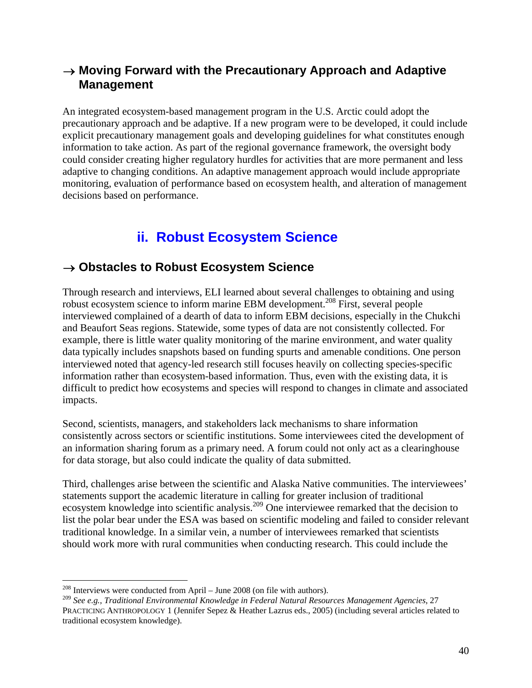### → **Moving Forward with the Precautionary Approach and Adaptive Management**

An integrated ecosystem-based management program in the U.S. Arctic could adopt the precautionary approach and be adaptive. If a new program were to be developed, it could include explicit precautionary management goals and developing guidelines for what constitutes enough information to take action. As part of the regional governance framework, the oversight body could consider creating higher regulatory hurdles for activities that are more permanent and less adaptive to changing conditions. An adaptive management approach would include appropriate monitoring, evaluation of performance based on ecosystem health, and alteration of management decisions based on performance.

### **ii. Robust Ecosystem Science**

### → **Obstacles to Robust Ecosystem Science**

Through research and interviews, ELI learned about several challenges to obtaining and using robust ecosystem science to inform marine EBM development.<sup>208</sup> First, several people interviewed complained of a dearth of data to inform EBM decisions, especially in the Chukchi and Beaufort Seas regions. Statewide, some types of data are not consistently collected. For example, there is little water quality monitoring of the marine environment, and water quality data typically includes snapshots based on funding spurts and amenable conditions. One person interviewed noted that agency-led research still focuses heavily on collecting species-specific information rather than ecosystem-based information. Thus, even with the existing data, it is difficult to predict how ecosystems and species will respond to changes in climate and associated impacts.

Second, scientists, managers, and stakeholders lack mechanisms to share information consistently across sectors or scientific institutions. Some interviewees cited the development of an information sharing forum as a primary need. A forum could not only act as a clearinghouse for data storage, but also could indicate the quality of data submitted.

Third, challenges arise between the scientific and Alaska Native communities. The interviewees' statements support the academic literature in calling for greater inclusion of traditional ecosystem knowledge into scientific analysis.<sup>209</sup> One interviewee remarked that the decision to list the polar bear under the ESA was based on scientific modeling and failed to consider relevant traditional knowledge. In a similar vein, a number of interviewees remarked that scientists should work more with rural communities when conducting research. This could include the

 $^{208}$  Interviews were conducted from April – June 2008 (on file with authors).

<sup>209</sup> *See e.g., Traditional Environmental Knowledge in Federal Natural Resources Management Agencies*, 27 PRACTICING ANTHROPOLOGY 1 (Jennifer Sepez & Heather Lazrus eds., 2005) (including several articles related to traditional ecosystem knowledge).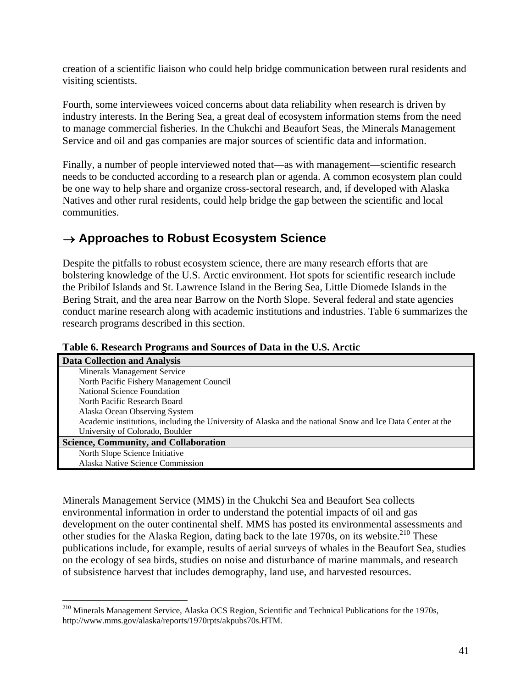creation of a scientific liaison who could help bridge communication between rural residents and visiting scientists.

Fourth, some interviewees voiced concerns about data reliability when research is driven by industry interests. In the Bering Sea, a great deal of ecosystem information stems from the need to manage commercial fisheries. In the Chukchi and Beaufort Seas, the Minerals Management Service and oil and gas companies are major sources of scientific data and information.

Finally, a number of people interviewed noted that—as with management—scientific research needs to be conducted according to a research plan or agenda. A common ecosystem plan could be one way to help share and organize cross-sectoral research, and, if developed with Alaska Natives and other rural residents, could help bridge the gap between the scientific and local communities.

### → **Approaches to Robust Ecosystem Science**

Despite the pitfalls to robust ecosystem science, there are many research efforts that are bolstering knowledge of the U.S. Arctic environment. Hot spots for scientific research include the Pribilof Islands and St. Lawrence Island in the Bering Sea, Little Diomede Islands in the Bering Strait, and the area near Barrow on the North Slope. Several federal and state agencies conduct marine research along with academic institutions and industries. Table 6 summarizes the research programs described in this section.

| <b>Data Collection and Analysis</b>                                                                        |
|------------------------------------------------------------------------------------------------------------|
| Minerals Management Service                                                                                |
| North Pacific Fishery Management Council                                                                   |
| National Science Foundation                                                                                |
| North Pacific Research Board                                                                               |
| Alaska Ocean Observing System                                                                              |
| Academic institutions, including the University of Alaska and the national Snow and Ice Data Center at the |
| University of Colorado, Boulder                                                                            |
| <b>Science, Community, and Collaboration</b>                                                               |
| North Slope Science Initiative                                                                             |
| Alaska Native Science Commission                                                                           |

**Table 6. Research Programs and Sources of Data in the U.S. Arctic** 

Minerals Management Service (MMS) in the Chukchi Sea and Beaufort Sea collects environmental information in order to understand the potential impacts of oil and gas development on the outer continental shelf. MMS has posted its environmental assessments and other studies for the Alaska Region, dating back to the late  $1970s$ , on its website.<sup>210</sup> These publications include, for example, results of aerial surveys of whales in the Beaufort Sea, studies on the ecology of sea birds, studies on noise and disturbance of marine mammals, and research of subsistence harvest that includes demography, land use, and harvested resources.

<sup>&</sup>lt;sup>210</sup> Minerals Management Service, Alaska OCS Region, Scientific and Technical Publications for the 1970s, http://www.mms.gov/alaska/reports/1970rpts/akpubs70s.HTM.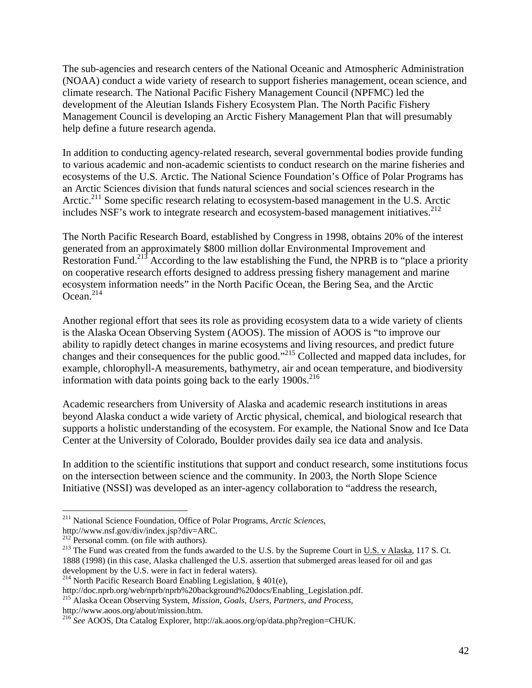The sub-agencies and research centers of the National Oceanic and Atmospheric Administration (NOAA) conduct a wide variety of research to support fisheries management, ocean science, and climate research. The National Pacific Fishery Management Council (NPFMC) led the development of the Aleutian Islands Fishery Ecosystem Plan. The North Pacific Fishery Management Council is developing an Arctic Fishery Management Plan that will presumably help define a future research agenda.

In addition to conducting agency-related research, several governmental bodies provide funding to various academic and non-academic scientists to conduct research on the marine fisheries and ecosystems of the U.S. Arctic. The National Science Foundation's Office of Polar Programs has an Arctic Sciences division that funds natural sciences and social sciences research in the Arctic.<sup>211</sup> Some specific research relating to ecosystem-based management in the U.S. Arctic includes NSF's work to integrate research and ecosystem-based management initiatives.<sup>212</sup>

The North Pacific Research Board, established by Congress in 1998, obtains 20% of the interest generated from an approximately \$800 million dollar Environmental Improvement and Restoration Fund.<sup>213</sup> According to the law establishing the Fund, the NPRB is to "place a priority" on cooperative research efforts designed to address pressing fishery management and marine ecosystem information needs" in the North Pacific Ocean, the Bering Sea, and the Arctic  $Ocean<sup>214</sup>$ 

Another regional effort that sees its role as providing ecosystem data to a wide variety of clients is the Alaska Ocean Observing System (AOOS). The mission of AOOS is "to improve our ability to rapidly detect changes in marine ecosystems and living resources, and predict future changes and their consequences for the public good."215 Collected and mapped data includes, for example, chlorophyll-A measurements, bathymetry, air and ocean temperature, and biodiversity information with data points going back to the early  $1900s$ <sup>216</sup>

Academic researchers from University of Alaska and academic research institutions in areas beyond Alaska conduct a wide variety of Arctic physical, chemical, and biological research that supports a holistic understanding of the ecosystem. For example, the National Snow and Ice Data Center at the University of Colorado, Boulder provides daily sea ice data and analysis.

In addition to the scientific institutions that support and conduct research, some institutions focus on the intersection between science and the community. In 2003, the North Slope Science Initiative (NSSI) was developed as an inter-agency collaboration to "address the research,

1

<sup>211</sup> National Science Foundation, Office of Polar Programs, *Arctic Sciences*,

http://www.nsf.gov/div/index.jsp?div=ARC.<br><sup>212</sup> Personal comm. (on file with authors).

<sup>&</sup>lt;sup>213</sup> The Fund was created from the funds awarded to the U.S. by the Supreme Court in U.S. v Alaska, 117 S. Ct. 1888 (1998) (in this case, Alaska challenged the U.S. assertion that submerged areas leased for oil and gas development by the U.S. were in fact in federal waters).

<sup>&</sup>lt;sup>214</sup> North Pacific Research Board Enabling Legislation, § 401(e),

http://doc.nprb.org/web/nprb/nprb%20background%20docs/Enabling\_Legislation.pdf.

<sup>215</sup> Alaska Ocean Observing System, *Mission, Goals, Users, Partners, and Process*, http://www.aoos.org/about/mission.htm.

<sup>216</sup> *See* AOOS, Dta Catalog Explorer, http://ak.aoos.org/op/data.php?region=CHUK.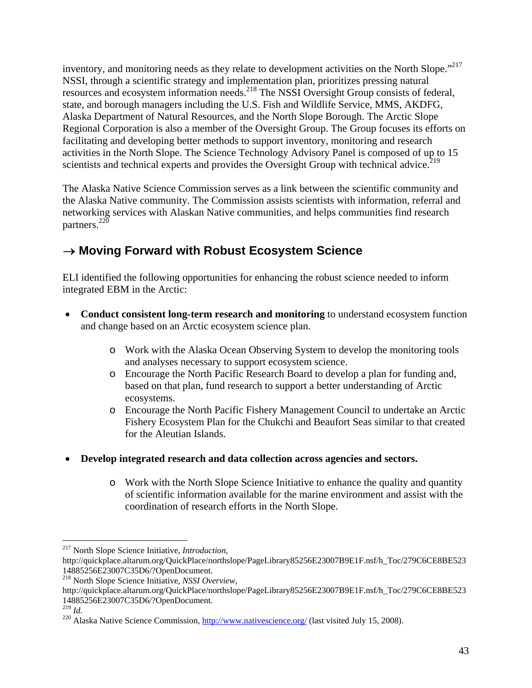inventory, and monitoring needs as they relate to development activities on the North Slope."217 NSSI, through a scientific strategy and implementation plan, prioritizes pressing natural resources and ecosystem information needs.218 The NSSI Oversight Group consists of federal, state, and borough managers including the U.S. Fish and Wildlife Service, MMS, AKDFG, Alaska Department of Natural Resources, and the North Slope Borough. The Arctic Slope Regional Corporation is also a member of the Oversight Group. The Group focuses its efforts on facilitating and developing better methods to support inventory, monitoring and research activities in the North Slope. The Science Technology Advisory Panel is composed of up to 15 scientists and technical experts and provides the Oversight Group with technical advice.<sup>219</sup>

The Alaska Native Science Commission serves as a link between the scientific community and the Alaska Native community. The Commission assists scientists with information, referral and networking services with Alaskan Native communities, and helps communities find research partners.220

### → **Moving Forward with Robust Ecosystem Science**

ELI identified the following opportunities for enhancing the robust science needed to inform integrated EBM in the Arctic:

- **Conduct consistent long-term research and monitoring** to understand ecosystem function and change based on an Arctic ecosystem science plan.
	- o Work with the Alaska Ocean Observing System to develop the monitoring tools and analyses necessary to support ecosystem science.
	- o Encourage the North Pacific Research Board to develop a plan for funding and, based on that plan, fund research to support a better understanding of Arctic ecosystems.
	- o Encourage the North Pacific Fishery Management Council to undertake an Arctic Fishery Ecosystem Plan for the Chukchi and Beaufort Seas similar to that created for the Aleutian Islands.
- **Develop integrated research and data collection across agencies and sectors.**
	- o Work with the North Slope Science Initiative to enhance the quality and quantity of scientific information available for the marine environment and assist with the coordination of research efforts in the North Slope.

1

<sup>217</sup> North Slope Science Initiative, *Introduction*,

http://quickplace.altarum.org/QuickPlace/northslope/PageLibrary85256E23007B9E1F.nsf/h\_Toc/279C6CE8BE523 14885256E23007C35D6/?OpenDocument.

<sup>218</sup> North Slope Science Initiative, *NSSI Overview*,

http://quickplace.altarum.org/QuickPlace/northslope/PageLibrary85256E23007B9E1F.nsf/h\_Toc/279C6CE8BE523 14885256E23007C35D6/?OpenDocument.<br><sup>219</sup> Id

<sup>&</sup>lt;sup>220</sup> Alaska Native Science Commission, http://www.nativescience.org/ (last visited July 15, 2008).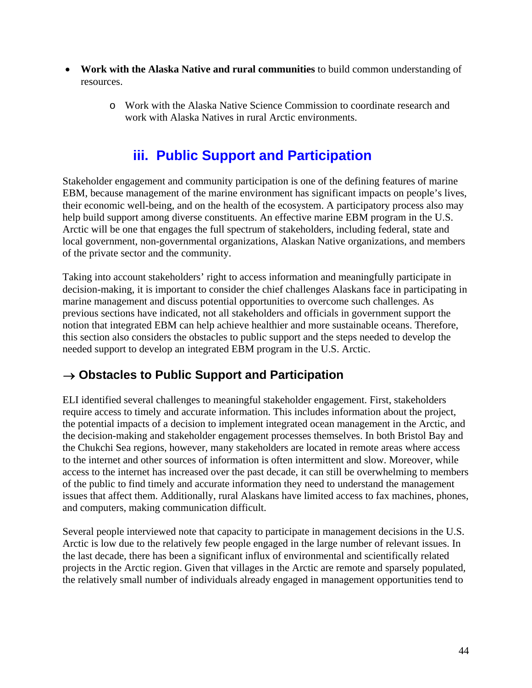- **Work with the Alaska Native and rural communities** to build common understanding of resources.
	- o Work with the Alaska Native Science Commission to coordinate research and work with Alaska Natives in rural Arctic environments.

### **iii. Public Support and Participation**

Stakeholder engagement and community participation is one of the defining features of marine EBM, because management of the marine environment has significant impacts on people's lives, their economic well-being, and on the health of the ecosystem. A participatory process also may help build support among diverse constituents. An effective marine EBM program in the U.S. Arctic will be one that engages the full spectrum of stakeholders, including federal, state and local government, non-governmental organizations, Alaskan Native organizations, and members of the private sector and the community.

Taking into account stakeholders' right to access information and meaningfully participate in decision-making, it is important to consider the chief challenges Alaskans face in participating in marine management and discuss potential opportunities to overcome such challenges. As previous sections have indicated, not all stakeholders and officials in government support the notion that integrated EBM can help achieve healthier and more sustainable oceans. Therefore, this section also considers the obstacles to public support and the steps needed to develop the needed support to develop an integrated EBM program in the U.S. Arctic.

### → **Obstacles to Public Support and Participation**

ELI identified several challenges to meaningful stakeholder engagement. First, stakeholders require access to timely and accurate information. This includes information about the project, the potential impacts of a decision to implement integrated ocean management in the Arctic, and the decision-making and stakeholder engagement processes themselves. In both Bristol Bay and the Chukchi Sea regions, however, many stakeholders are located in remote areas where access to the internet and other sources of information is often intermittent and slow. Moreover, while access to the internet has increased over the past decade, it can still be overwhelming to members of the public to find timely and accurate information they need to understand the management issues that affect them. Additionally, rural Alaskans have limited access to fax machines, phones, and computers, making communication difficult.

Several people interviewed note that capacity to participate in management decisions in the U.S. Arctic is low due to the relatively few people engaged in the large number of relevant issues. In the last decade, there has been a significant influx of environmental and scientifically related projects in the Arctic region. Given that villages in the Arctic are remote and sparsely populated, the relatively small number of individuals already engaged in management opportunities tend to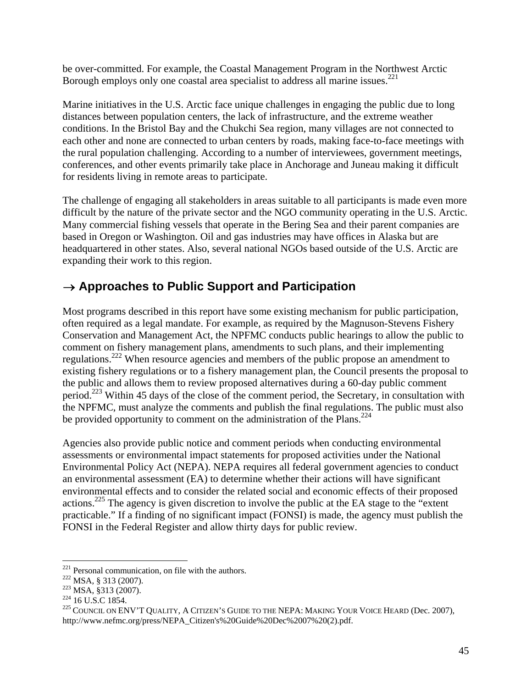be over-committed. For example, the Coastal Management Program in the Northwest Arctic Borough employs only one coastal area specialist to address all marine issues.<sup>221</sup>

Marine initiatives in the U.S. Arctic face unique challenges in engaging the public due to long distances between population centers, the lack of infrastructure, and the extreme weather conditions. In the Bristol Bay and the Chukchi Sea region, many villages are not connected to each other and none are connected to urban centers by roads, making face-to-face meetings with the rural population challenging. According to a number of interviewees, government meetings, conferences, and other events primarily take place in Anchorage and Juneau making it difficult for residents living in remote areas to participate.

The challenge of engaging all stakeholders in areas suitable to all participants is made even more difficult by the nature of the private sector and the NGO community operating in the U.S. Arctic. Many commercial fishing vessels that operate in the Bering Sea and their parent companies are based in Oregon or Washington. Oil and gas industries may have offices in Alaska but are headquartered in other states. Also, several national NGOs based outside of the U.S. Arctic are expanding their work to this region.

### → **Approaches to Public Support and Participation**

Most programs described in this report have some existing mechanism for public participation, often required as a legal mandate. For example, as required by the Magnuson-Stevens Fishery Conservation and Management Act, the NPFMC conducts public hearings to allow the public to comment on fishery management plans, amendments to such plans, and their implementing regulations.222 When resource agencies and members of the public propose an amendment to existing fishery regulations or to a fishery management plan, the Council presents the proposal to the public and allows them to review proposed alternatives during a 60-day public comment period.<sup>223</sup> Within 45 days of the close of the comment period, the Secretary, in consultation with the NPFMC, must analyze the comments and publish the final regulations. The public must also be provided opportunity to comment on the administration of the Plans.<sup>224</sup>

Agencies also provide public notice and comment periods when conducting environmental assessments or environmental impact statements for proposed activities under the National Environmental Policy Act (NEPA). NEPA requires all federal government agencies to conduct an environmental assessment (EA) to determine whether their actions will have significant environmental effects and to consider the related social and economic effects of their proposed actions.<sup>225</sup> The agency is given discretion to involve the public at the EA stage to the "extent" practicable." If a finding of no significant impact (FONSI) is made, the agency must publish the FONSI in the Federal Register and allow thirty days for public review.

 $221$  Personal communication, on file with the authors.

<sup>&</sup>lt;sup>222</sup> MSA, § 313 (2007). <sup>223</sup> MSA, §313 (2007). <br><sup>223</sup> MSA, §313 (2007). <sup>224</sup> 16 U.S.C 1854. <br><sup>225</sup> COUNCIL ON ENV'T QUALITY, A CITIZEN'S GUIDE TO THE NEPA: MAKING YOUR VOICE HEARD (Dec. 2007), http://www.nefmc.org/press/NEPA\_Citizen's%20Guide%20Dec%2007%20(2).pdf.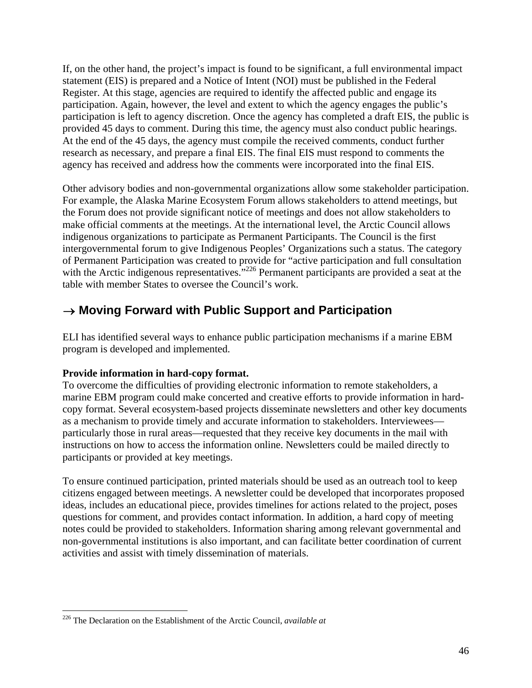If, on the other hand, the project's impact is found to be significant, a full environmental impact statement (EIS) is prepared and a Notice of Intent (NOI) must be published in the Federal Register. At this stage, agencies are required to identify the affected public and engage its participation. Again, however, the level and extent to which the agency engages the public's participation is left to agency discretion. Once the agency has completed a draft EIS, the public is provided 45 days to comment. During this time, the agency must also conduct public hearings. At the end of the 45 days, the agency must compile the received comments, conduct further research as necessary, and prepare a final EIS. The final EIS must respond to comments the agency has received and address how the comments were incorporated into the final EIS.

Other advisory bodies and non-governmental organizations allow some stakeholder participation. For example, the Alaska Marine Ecosystem Forum allows stakeholders to attend meetings, but the Forum does not provide significant notice of meetings and does not allow stakeholders to make official comments at the meetings. At the international level, the Arctic Council allows indigenous organizations to participate as Permanent Participants. The Council is the first intergovernmental forum to give Indigenous Peoples' Organizations such a status. The category of Permanent Participation was created to provide for "active participation and full consultation with the Arctic indigenous representatives."<sup>226</sup> Permanent participants are provided a seat at the table with member States to oversee the Council's work.

### → **Moving Forward with Public Support and Participation**

ELI has identified several ways to enhance public participation mechanisms if a marine EBM program is developed and implemented.

### **Provide information in hard-copy format.**

To overcome the difficulties of providing electronic information to remote stakeholders, a marine EBM program could make concerted and creative efforts to provide information in hardcopy format. Several ecosystem-based projects disseminate newsletters and other key documents as a mechanism to provide timely and accurate information to stakeholders. Interviewees particularly those in rural areas—requested that they receive key documents in the mail with instructions on how to access the information online. Newsletters could be mailed directly to participants or provided at key meetings.

To ensure continued participation, printed materials should be used as an outreach tool to keep citizens engaged between meetings. A newsletter could be developed that incorporates proposed ideas, includes an educational piece, provides timelines for actions related to the project, poses questions for comment, and provides contact information. In addition, a hard copy of meeting notes could be provided to stakeholders. Information sharing among relevant governmental and non-governmental institutions is also important, and can facilitate better coordination of current activities and assist with timely dissemination of materials.

<sup>226</sup> The Declaration on the Establishment of the Arctic Council, *available at*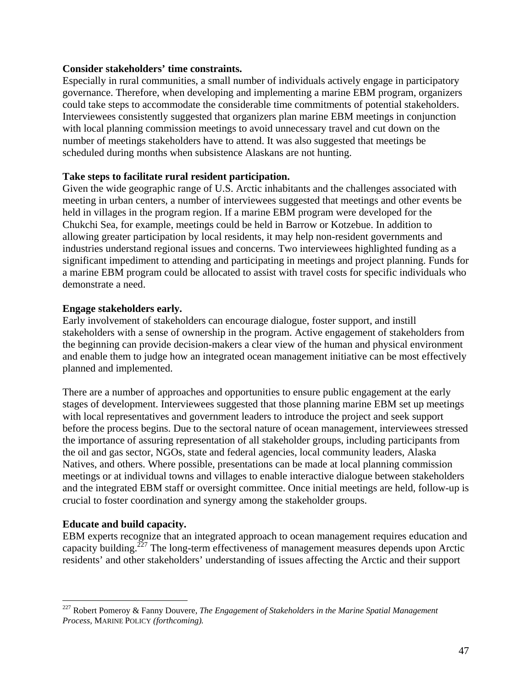### **Consider stakeholders' time constraints.**

Especially in rural communities, a small number of individuals actively engage in participatory governance. Therefore, when developing and implementing a marine EBM program, organizers could take steps to accommodate the considerable time commitments of potential stakeholders. Interviewees consistently suggested that organizers plan marine EBM meetings in conjunction with local planning commission meetings to avoid unnecessary travel and cut down on the number of meetings stakeholders have to attend. It was also suggested that meetings be scheduled during months when subsistence Alaskans are not hunting.

### **Take steps to facilitate rural resident participation.**

Given the wide geographic range of U.S. Arctic inhabitants and the challenges associated with meeting in urban centers, a number of interviewees suggested that meetings and other events be held in villages in the program region. If a marine EBM program were developed for the Chukchi Sea, for example, meetings could be held in Barrow or Kotzebue. In addition to allowing greater participation by local residents, it may help non-resident governments and industries understand regional issues and concerns. Two interviewees highlighted funding as a significant impediment to attending and participating in meetings and project planning. Funds for a marine EBM program could be allocated to assist with travel costs for specific individuals who demonstrate a need.

### **Engage stakeholders early.**

Early involvement of stakeholders can encourage dialogue, foster support, and instill stakeholders with a sense of ownership in the program. Active engagement of stakeholders from the beginning can provide decision-makers a clear view of the human and physical environment and enable them to judge how an integrated ocean management initiative can be most effectively planned and implemented.

There are a number of approaches and opportunities to ensure public engagement at the early stages of development. Interviewees suggested that those planning marine EBM set up meetings with local representatives and government leaders to introduce the project and seek support before the process begins. Due to the sectoral nature of ocean management, interviewees stressed the importance of assuring representation of all stakeholder groups, including participants from the oil and gas sector, NGOs, state and federal agencies, local community leaders, Alaska Natives, and others. Where possible, presentations can be made at local planning commission meetings or at individual towns and villages to enable interactive dialogue between stakeholders and the integrated EBM staff or oversight committee. Once initial meetings are held, follow-up is crucial to foster coordination and synergy among the stakeholder groups.

### **Educate and build capacity.**

 $\overline{a}$ 

EBM experts recognize that an integrated approach to ocean management requires education and capacity building.<sup> $227$ </sup> The long-term effectiveness of management measures depends upon Arctic residents' and other stakeholders' understanding of issues affecting the Arctic and their support

<sup>227</sup> Robert Pomeroy & Fanny Douvere, *The Engagement of Stakeholders in the Marine Spatial Management Process,* MARINE POLICY *(forthcoming).*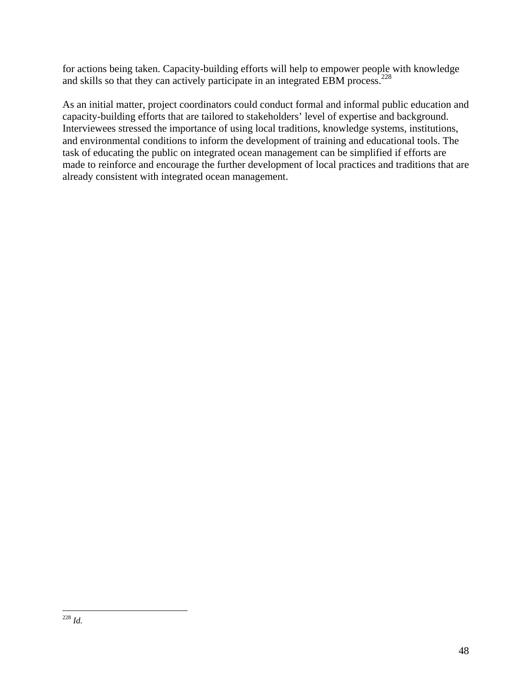for actions being taken. Capacity-building efforts will help to empower people with knowledge and skills so that they can actively participate in an integrated EBM process.<sup>228</sup>

As an initial matter, project coordinators could conduct formal and informal public education and capacity-building efforts that are tailored to stakeholders' level of expertise and background. Interviewees stressed the importance of using local traditions, knowledge systems, institutions, and environmental conditions to inform the development of training and educational tools. The task of educating the public on integrated ocean management can be simplified if efforts are made to reinforce and encourage the further development of local practices and traditions that are already consistent with integrated ocean management.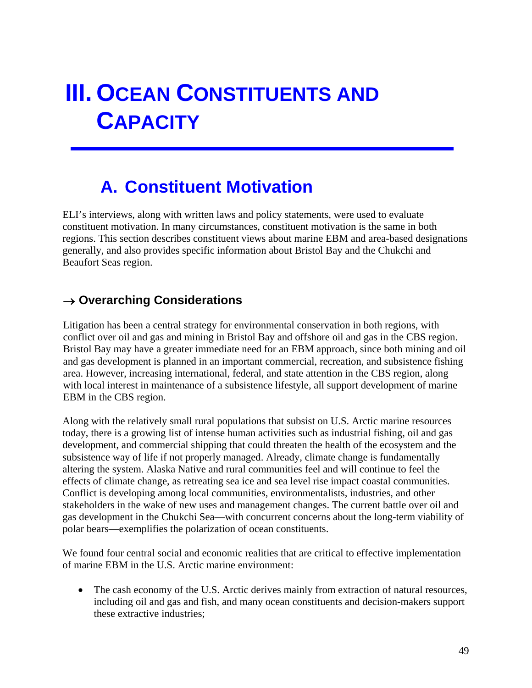# **III. OCEAN CONSTITUENTS AND CAPACITY**

## **A. Constituent Motivation**

ELI's interviews, along with written laws and policy statements, were used to evaluate constituent motivation. In many circumstances, constituent motivation is the same in both regions. This section describes constituent views about marine EBM and area-based designations generally, and also provides specific information about Bristol Bay and the Chukchi and Beaufort Seas region.

### → **Overarching Considerations**

Litigation has been a central strategy for environmental conservation in both regions, with conflict over oil and gas and mining in Bristol Bay and offshore oil and gas in the CBS region. Bristol Bay may have a greater immediate need for an EBM approach, since both mining and oil and gas development is planned in an important commercial, recreation, and subsistence fishing area. However, increasing international, federal, and state attention in the CBS region, along with local interest in maintenance of a subsistence lifestyle, all support development of marine EBM in the CBS region.

Along with the relatively small rural populations that subsist on U.S. Arctic marine resources today, there is a growing list of intense human activities such as industrial fishing, oil and gas development, and commercial shipping that could threaten the health of the ecosystem and the subsistence way of life if not properly managed. Already, climate change is fundamentally altering the system. Alaska Native and rural communities feel and will continue to feel the effects of climate change, as retreating sea ice and sea level rise impact coastal communities. Conflict is developing among local communities, environmentalists, industries, and other stakeholders in the wake of new uses and management changes. The current battle over oil and gas development in the Chukchi Sea—with concurrent concerns about the long-term viability of polar bears—exemplifies the polarization of ocean constituents.

We found four central social and economic realities that are critical to effective implementation of marine EBM in the U.S. Arctic marine environment:

• The cash economy of the U.S. Arctic derives mainly from extraction of natural resources, including oil and gas and fish, and many ocean constituents and decision-makers support these extractive industries;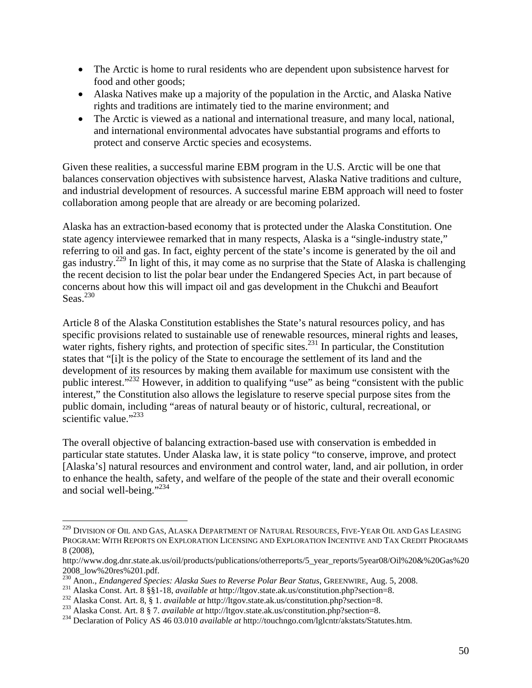- The Arctic is home to rural residents who are dependent upon subsistence harvest for food and other goods;
- Alaska Natives make up a majority of the population in the Arctic, and Alaska Native rights and traditions are intimately tied to the marine environment; and
- The Arctic is viewed as a national and international treasure, and many local, national, and international environmental advocates have substantial programs and efforts to protect and conserve Arctic species and ecosystems.

Given these realities, a successful marine EBM program in the U.S. Arctic will be one that balances conservation objectives with subsistence harvest, Alaska Native traditions and culture, and industrial development of resources. A successful marine EBM approach will need to foster collaboration among people that are already or are becoming polarized.

Alaska has an extraction-based economy that is protected under the Alaska Constitution. One state agency interviewee remarked that in many respects, Alaska is a "single-industry state," referring to oil and gas. In fact, eighty percent of the state's income is generated by the oil and gas industry.229 In light of this, it may come as no surprise that the State of Alaska is challenging the recent decision to list the polar bear under the Endangered Species Act, in part because of concerns about how this will impact oil and gas development in the Chukchi and Beaufort Seas. $230$ 

Article 8 of the Alaska Constitution establishes the State's natural resources policy, and has specific provisions related to sustainable use of renewable resources, mineral rights and leases, water rights, fishery rights, and protection of specific sites.<sup>231</sup> In particular, the Constitution states that "[i]t is the policy of the State to encourage the settlement of its land and the development of its resources by making them available for maximum use consistent with the public interest."<sup>232</sup> However, in addition to qualifying "use" as being "consistent with the public interest," the Constitution also allows the legislature to reserve special purpose sites from the public domain, including "areas of natural beauty or of historic, cultural, recreational, or scientific value."<sup>233</sup>

The overall objective of balancing extraction-based use with conservation is embedded in particular state statutes. Under Alaska law, it is state policy "to conserve, improve, and protect [Alaska's] natural resources and environment and control water, land, and air pollution, in order to enhance the health, safety, and welfare of the people of the state and their overall economic and social well-being."<sup>234</sup>

<sup>&</sup>lt;sup>229</sup> DIVISION OF OIL AND GAS, ALASKA DEPARTMENT OF NATURAL RESOURCES, FIVE-YEAR OIL AND GAS LEASING PROGRAM: WITH REPORTS ON EXPLORATION LICENSING AND EXPLORATION INCENTIVE AND TAX CREDIT PROGRAMS 8 (2008),

http://www.dog.dnr.state.ak.us/oil/products/publications/otherreports/5\_year\_reports/5year08/Oil%20&%20Gas%20

<sup>2008</sup>\_low%20res%201.pdf.<br><sup>230</sup> Anon., *Endangered Species: Alaska Sues to Reverse Polar Bear Status*, GREENWIRE, Aug. 5, 2008.

<sup>231</sup> Alaska Const. Art. 8 § § 1-18, *available at http://ltgov.state.ak.us/constitution.php?section=8.*<br><sup>232</sup> Alaska Const. Art. 8, § 1*. available at http://ltgov.state.ak.us/constitution.php?section=8.*<br><sup>233</sup> Alaska Const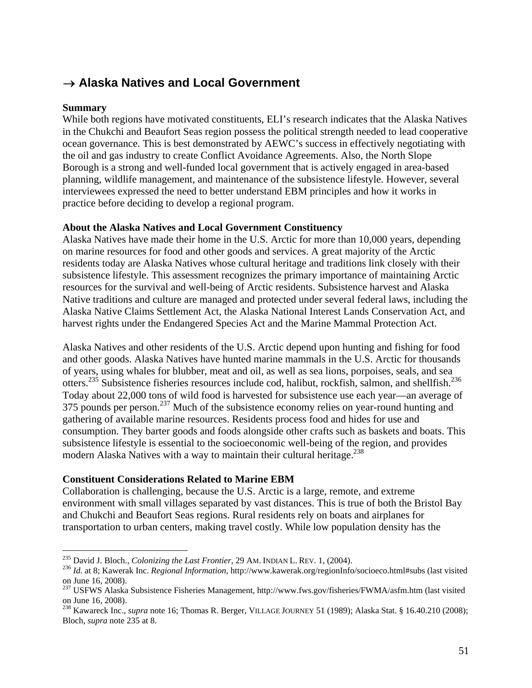### → **Alaska Natives and Local Government**

### **Summary**

While both regions have motivated constituents, ELI's research indicates that the Alaska Natives in the Chukchi and Beaufort Seas region possess the political strength needed to lead cooperative ocean governance. This is best demonstrated by AEWC's success in effectively negotiating with the oil and gas industry to create Conflict Avoidance Agreements. Also, the North Slope Borough is a strong and well-funded local government that is actively engaged in area-based planning, wildlife management, and maintenance of the subsistence lifestyle. However, several interviewees expressed the need to better understand EBM principles and how it works in practice before deciding to develop a regional program.

### **About the Alaska Natives and Local Government Constituency**

Alaska Natives have made their home in the U.S. Arctic for more than 10,000 years, depending on marine resources for food and other goods and services. A great majority of the Arctic residents today are Alaska Natives whose cultural heritage and traditions link closely with their subsistence lifestyle. This assessment recognizes the primary importance of maintaining Arctic resources for the survival and well-being of Arctic residents. Subsistence harvest and Alaska Native traditions and culture are managed and protected under several federal laws, including the Alaska Native Claims Settlement Act, the Alaska National Interest Lands Conservation Act, and harvest rights under the Endangered Species Act and the Marine Mammal Protection Act.

Alaska Natives and other residents of the U.S. Arctic depend upon hunting and fishing for food and other goods. Alaska Natives have hunted marine mammals in the U.S. Arctic for thousands of years, using whales for blubber, meat and oil, as well as sea lions, porpoises, seals, and sea otters.235 Subsistence fisheries resources include cod, halibut, rockfish, salmon, and shellfish.236 Today about 22,000 tons of wild food is harvested for subsistence use each year—an average of 375 pounds per person.<sup>237</sup> Much of the subsistence economy relies on year-round hunting and gathering of available marine resources. Residents process food and hides for use and consumption. They barter goods and foods alongside other crafts such as baskets and boats. This subsistence lifestyle is essential to the socioeconomic well-being of the region, and provides modern Alaska Natives with a way to maintain their cultural heritage.<sup>238</sup>

### **Constituent Considerations Related to Marine EBM**

Collaboration is challenging, because the U.S. Arctic is a large, remote, and extreme environment with small villages separated by vast distances. This is true of both the Bristol Bay and Chukchi and Beaufort Seas regions. Rural residents rely on boats and airplanes for transportation to urban centers, making travel costly. While low population density has the

<sup>&</sup>lt;sup>235</sup> David J. Bloch., *Colonizing the Last Frontier*, 29 AM. INDIAN L. REV. 1, (2004).

<sup>&</sup>lt;sup>236</sup> Id. at 8; Kawerak Inc. *Regional Information*, http://www.kawerak.org/regionInfo/socioeco.html#subs (last visited on June 16, 2008).

<sup>&</sup>lt;sup>237</sup> USFWS Alaska Subsistence Fisheries Management, http://www.fws.gov/fisheries/FWMA/asfm.htm (last visited on June 16, 2008).

<sup>&</sup>lt;sup>238</sup> Kawareck Inc., *supra* note 16; Thomas R. Berger, VILLAGE JOURNEY 51 (1989); Alaska Stat. § 16.40.210 (2008); Bloch, *supra* note 235 at 8.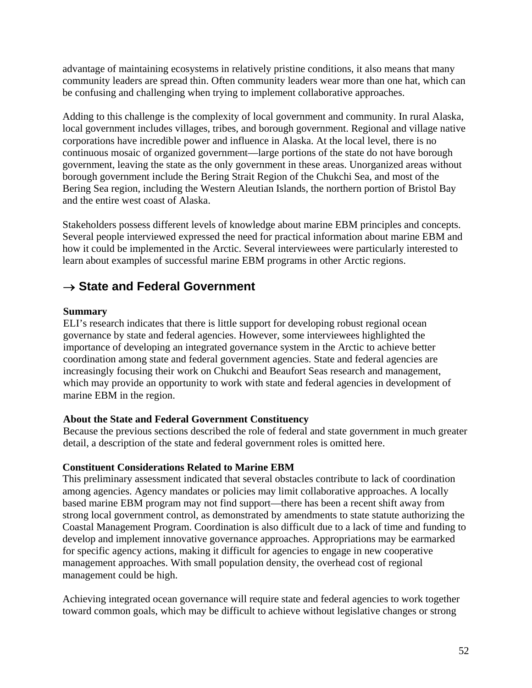advantage of maintaining ecosystems in relatively pristine conditions, it also means that many community leaders are spread thin. Often community leaders wear more than one hat, which can be confusing and challenging when trying to implement collaborative approaches.

Adding to this challenge is the complexity of local government and community. In rural Alaska, local government includes villages, tribes, and borough government. Regional and village native corporations have incredible power and influence in Alaska. At the local level, there is no continuous mosaic of organized government—large portions of the state do not have borough government, leaving the state as the only government in these areas. Unorganized areas without borough government include the Bering Strait Region of the Chukchi Sea, and most of the Bering Sea region, including the Western Aleutian Islands, the northern portion of Bristol Bay and the entire west coast of Alaska.

Stakeholders possess different levels of knowledge about marine EBM principles and concepts. Several people interviewed expressed the need for practical information about marine EBM and how it could be implemented in the Arctic. Several interviewees were particularly interested to learn about examples of successful marine EBM programs in other Arctic regions.

### → **State and Federal Government**

### **Summary**

ELI's research indicates that there is little support for developing robust regional ocean governance by state and federal agencies. However, some interviewees highlighted the importance of developing an integrated governance system in the Arctic to achieve better coordination among state and federal government agencies. State and federal agencies are increasingly focusing their work on Chukchi and Beaufort Seas research and management, which may provide an opportunity to work with state and federal agencies in development of marine EBM in the region.

### **About the State and Federal Government Constituency**

Because the previous sections described the role of federal and state government in much greater detail, a description of the state and federal government roles is omitted here.

### **Constituent Considerations Related to Marine EBM**

This preliminary assessment indicated that several obstacles contribute to lack of coordination among agencies. Agency mandates or policies may limit collaborative approaches. A locally based marine EBM program may not find support—there has been a recent shift away from strong local government control, as demonstrated by amendments to state statute authorizing the Coastal Management Program. Coordination is also difficult due to a lack of time and funding to develop and implement innovative governance approaches. Appropriations may be earmarked for specific agency actions, making it difficult for agencies to engage in new cooperative management approaches. With small population density, the overhead cost of regional management could be high.

Achieving integrated ocean governance will require state and federal agencies to work together toward common goals, which may be difficult to achieve without legislative changes or strong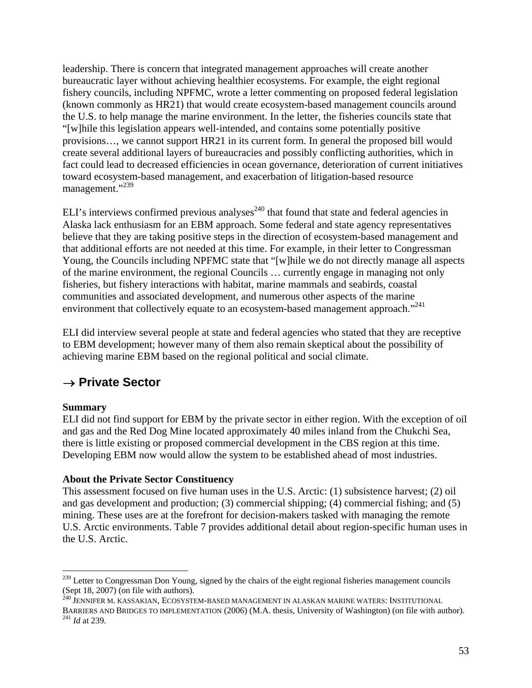leadership. There is concern that integrated management approaches will create another bureaucratic layer without achieving healthier ecosystems. For example, the eight regional fishery councils, including NPFMC, wrote a letter commenting on proposed federal legislation (known commonly as HR21) that would create ecosystem-based management councils around the U.S. to help manage the marine environment. In the letter, the fisheries councils state that "[w]hile this legislation appears well-intended, and contains some potentially positive provisions…, we cannot support HR21 in its current form. In general the proposed bill would create several additional layers of bureaucracies and possibly conflicting authorities, which in fact could lead to decreased efficiencies in ocean governance, deterioration of current initiatives toward ecosystem-based management, and exacerbation of litigation-based resource management."<sup>239</sup>

ELI's interviews confirmed previous analyses<sup>240</sup> that found that state and federal agencies in Alaska lack enthusiasm for an EBM approach. Some federal and state agency representatives believe that they are taking positive steps in the direction of ecosystem-based management and that additional efforts are not needed at this time. For example, in their letter to Congressman Young, the Councils including NPFMC state that "[w]hile we do not directly manage all aspects of the marine environment, the regional Councils … currently engage in managing not only fisheries, but fishery interactions with habitat, marine mammals and seabirds, coastal communities and associated development, and numerous other aspects of the marine environment that collectively equate to an ecosystem-based management approach."<sup>241</sup>

ELI did interview several people at state and federal agencies who stated that they are receptive to EBM development; however many of them also remain skeptical about the possibility of achieving marine EBM based on the regional political and social climate.

### → **Private Sector**

### **Summary**

ELI did not find support for EBM by the private sector in either region. With the exception of oil and gas and the Red Dog Mine located approximately 40 miles inland from the Chukchi Sea, there is little existing or proposed commercial development in the CBS region at this time. Developing EBM now would allow the system to be established ahead of most industries.

### **About the Private Sector Constituency**

This assessment focused on five human uses in the U.S. Arctic: (1) subsistence harvest; (2) oil and gas development and production; (3) commercial shipping; (4) commercial fishing; and (5) mining. These uses are at the forefront for decision-makers tasked with managing the remote U.S. Arctic environments. Table 7 provides additional detail about region-specific human uses in the U.S. Arctic.

 $\overline{a}$ <sup>239</sup> Letter to Congressman Don Young, signed by the chairs of the eight regional fisheries management councils (Sept 18, 2007) (on file with authors). 240 JENNIFER M. KASSAKIAN, ECOSYSTEM-BASED MANAGEMENT IN ALASKAN MARINE WATERS: INSTITUTIONAL

BARRIERS AND BRIDGES TO IMPLEMENTATION (2006) (M.A. thesis, University of Washington) (on file with author). 241 *Id* at 239.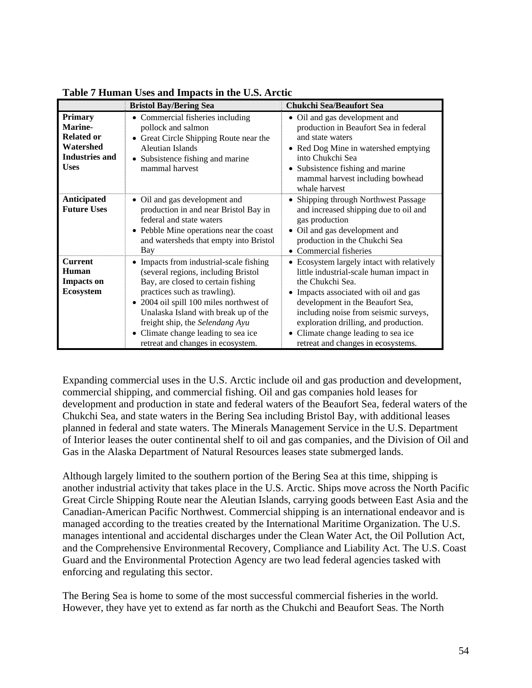|                                                                                              | <b>Bristol Bay/Bering Sea</b>                                                                                                                                                                                                                                                                                                                          | <b>Chukchi Sea/Beaufort Sea</b>                                                                                                                                                                                                                                                                                                                     |
|----------------------------------------------------------------------------------------------|--------------------------------------------------------------------------------------------------------------------------------------------------------------------------------------------------------------------------------------------------------------------------------------------------------------------------------------------------------|-----------------------------------------------------------------------------------------------------------------------------------------------------------------------------------------------------------------------------------------------------------------------------------------------------------------------------------------------------|
| Primary<br>Marine-<br><b>Related or</b><br>Watershed<br><b>Industries and</b><br><b>Uses</b> | • Commercial fisheries including<br>pollock and salmon<br>• Great Circle Shipping Route near the<br>Aleutian Islands<br>• Subsistence fishing and marine<br>mammal harvest                                                                                                                                                                             | • Oil and gas development and<br>production in Beaufort Sea in federal<br>and state waters<br>• Red Dog Mine in watershed emptying<br>into Chukchi Sea<br>• Subsistence fishing and marine<br>mammal harvest including bowhead<br>whale harvest                                                                                                     |
| Anticipated<br><b>Future Uses</b>                                                            | • Oil and gas development and<br>production in and near Bristol Bay in<br>federal and state waters<br>• Pebble Mine operations near the coast<br>and watersheds that empty into Bristol<br>Bay                                                                                                                                                         | • Shipping through Northwest Passage<br>and increased shipping due to oil and<br>gas production<br>Oil and gas development and<br>production in the Chukchi Sea<br>• Commercial fisheries                                                                                                                                                           |
| <b>Current</b><br>Human<br><b>Impacts on</b><br>Ecosystem                                    | • Impacts from industrial-scale fishing<br>(several regions, including Bristol<br>Bay, are closed to certain fishing<br>practices such as trawling).<br>• 2004 oil spill 100 miles northwest of<br>Unalaska Island with break up of the<br>freight ship, the Selendang Ayu<br>• Climate change leading to sea ice<br>retreat and changes in ecosystem. | Ecosystem largely intact with relatively<br>little industrial-scale human impact in<br>the Chukchi Sea.<br>• Impacts associated with oil and gas<br>development in the Beaufort Sea,<br>including noise from seismic surveys,<br>exploration drilling, and production.<br>• Climate change leading to sea ice<br>retreat and changes in ecosystems. |

**Table 7 Human Uses and Impacts in the U.S. Arctic** 

Expanding commercial uses in the U.S. Arctic include oil and gas production and development, commercial shipping, and commercial fishing. Oil and gas companies hold leases for development and production in state and federal waters of the Beaufort Sea, federal waters of the Chukchi Sea, and state waters in the Bering Sea including Bristol Bay, with additional leases planned in federal and state waters. The Minerals Management Service in the U.S. Department of Interior leases the outer continental shelf to oil and gas companies, and the Division of Oil and Gas in the Alaska Department of Natural Resources leases state submerged lands.

Although largely limited to the southern portion of the Bering Sea at this time, shipping is another industrial activity that takes place in the U.S. Arctic. Ships move across the North Pacific Great Circle Shipping Route near the Aleutian Islands, carrying goods between East Asia and the Canadian-American Pacific Northwest. Commercial shipping is an international endeavor and is managed according to the treaties created by the International Maritime Organization. The U.S. manages intentional and accidental discharges under the Clean Water Act, the Oil Pollution Act, and the Comprehensive Environmental Recovery, Compliance and Liability Act. The U.S. Coast Guard and the Environmental Protection Agency are two lead federal agencies tasked with enforcing and regulating this sector.

The Bering Sea is home to some of the most successful commercial fisheries in the world. However, they have yet to extend as far north as the Chukchi and Beaufort Seas. The North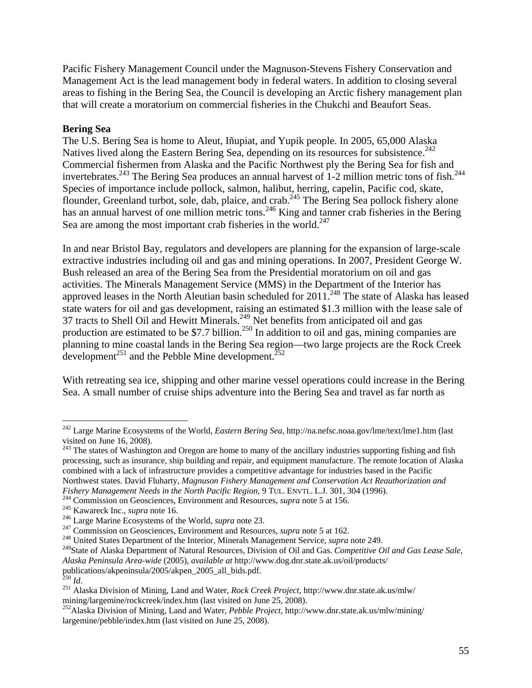Pacific Fishery Management Council under the Magnuson-Stevens Fishery Conservation and Management Act is the lead management body in federal waters. In addition to closing several areas to fishing in the Bering Sea, the Council is developing an Arctic fishery management plan that will create a moratorium on commercial fisheries in the Chukchi and Beaufort Seas.

### **Bering Sea**

The U.S. Bering Sea is home to Aleut, Iñupiat, and Yupik people. In 2005, 65,000 Alaska Natives lived along the Eastern Bering Sea, depending on its resources for subsistence.<sup>242</sup> Commercial fishermen from Alaska and the Pacific Northwest ply the Bering Sea for fish and invertebrates.<sup>243</sup> The Bering Sea produces an annual harvest of 1-2 million metric tons of fish.<sup>244</sup> Species of importance include pollock, salmon, halibut, herring, capelin, Pacific cod, skate, flounder, Greenland turbot, sole, dab, plaice, and crab.<sup>245</sup> The Bering Sea pollock fishery alone has an annual harvest of one million metric tons.<sup>246</sup> King and tanner crab fisheries in the Bering Sea are among the most important crab fisheries in the world. $247$ 

In and near Bristol Bay, regulators and developers are planning for the expansion of large-scale extractive industries including oil and gas and mining operations. In 2007, President George W. Bush released an area of the Bering Sea from the Presidential moratorium on oil and gas activities. The Minerals Management Service (MMS) in the Department of the Interior has approved leases in the North Aleutian basin scheduled for  $2011$ .<sup>248</sup> The state of Alaska has leased state waters for oil and gas development, raising an estimated \$1.3 million with the lease sale of 37 tracts to Shell Oil and Hewitt Minerals.<sup>249</sup> Net benefits from anticipated oil and gas production are estimated to be \$7.7 billion.<sup>250</sup> In addition to oil and gas, mining companies are planning to mine coastal lands in the Bering Sea region—two large projects are the Rock Creek development<sup>251</sup> and the Pebble Mine development.<sup>252</sup>

With retreating sea ice, shipping and other marine vessel operations could increase in the Bering Sea. A small number of cruise ships adventure into the Bering Sea and travel as far north as

<sup>243</sup> The states of Washington and Oregon are home to many of the ancillary industries supporting fishing and fish processing, such as insurance, ship building and repair, and equipment manufacture. The remote location of Alaska combined with a lack of infrastructure provides a competitive advantage for industries based in the Pacific Northwest states. David Fluharty, *Magnuson Fishery Management and Conservation Act Reauthorization and Fishery Management Needs in the North Pacific Region*, 9 TUL. ENVTL. L.J. 301, 304 (1996).<br><sup>244</sup> Commission on Geosciences, Environment and Resources, *supra* note 5 at 156.<br><sup>245</sup> Kawareck Inc., *supra* note 16.<br><sup>245</sup> Lar

249State of Alaska Department of Natural Resources, Division of Oil and Gas. *Competitive Oil and Gas Lease Sale*, *Alaska Peninsula Area-wide* (2005), *available at* http://www.dog.dnr.state.ak.us/oil/products/ publications/akpeninsula/2005/akpen\_2005\_all\_bids.pdf.<br><sup>250</sup> Id.

<sup>242</sup> Large Marine Ecosystems of the World, *Eastern Bering Sea*, http://na.nefsc.noaa.gov/lme/text/lme1.htm (last visited on June 16, 2008).

<sup>&</sup>lt;sup>251</sup> Alaska Division of Mining, Land and Water, *Rock Creek Project*, http://www.dnr.state.ak.us/mlw/ mining/largemine/rockcreek/index.htm (last visited on June 25, 2008).

<sup>252</sup>Alaska Division of Mining, Land and Water, *Pebble Project*, http://www.dnr.state.ak.us/mlw/mining/ largemine/pebble/index.htm (last visited on June 25, 2008).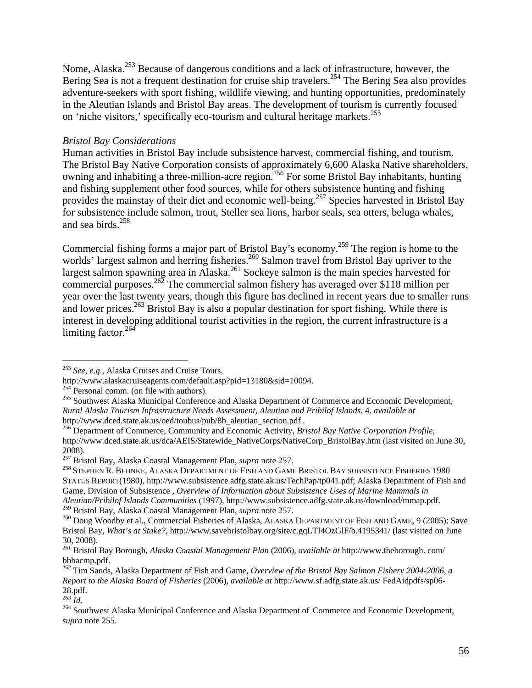Nome, Alaska.253 Because of dangerous conditions and a lack of infrastructure, however, the Bering Sea is not a frequent destination for cruise ship travelers.<sup>254</sup> The Bering Sea also provides adventure-seekers with sport fishing, wildlife viewing, and hunting opportunities, predominately in the Aleutian Islands and Bristol Bay areas. The development of tourism is currently focused on 'niche visitors,' specifically eco-tourism and cultural heritage markets.<sup>255</sup>

### *Bristol Bay Considerations*

Human activities in Bristol Bay include subsistence harvest, commercial fishing, and tourism. The Bristol Bay Native Corporation consists of approximately 6,600 Alaska Native shareholders, owning and inhabiting a three-million-acre region.<sup>256</sup> For some Bristol Bay inhabitants, hunting and fishing supplement other food sources, while for others subsistence hunting and fishing provides the mainstay of their diet and economic well-being.<sup>257</sup> Species harvested in Bristol Bay for subsistence include salmon, trout, Steller sea lions, harbor seals, sea otters, beluga whales, and sea birds. $258$ 

Commercial fishing forms a major part of Bristol Bay's economy.259 The region is home to the worlds' largest salmon and herring fisheries.<sup>260</sup> Salmon travel from Bristol Bay upriver to the largest salmon spawning area in Alaska.<sup>261</sup> Sockeye salmon is the main species harvested for commercial purposes.<sup>262</sup> The commercial salmon fishery has averaged over \$118 million per year over the last twenty years, though this figure has declined in recent years due to smaller runs and lower prices.<sup>263</sup> Bristol Bay is also a popular destination for sport fishing. While there is interest in developing additional tourist activities in the region, the current infrastructure is a limiting factor.<sup>264</sup>

<sup>253</sup> *See, e.g.,* Alaska Cruises and Cruise Tours,

http://www.alaskacruiseagents.com/default.asp?pid=13180&sid=10094.<br><sup>254</sup> Personal comm. (on file with authors).<br><sup>255</sup> Southwest Alaska Municipal Conference and Alaska Department of Commerce and Economic Development, *Rural Alaska Tourism Infrastructure Needs Assessment, Aleutian and Pribilof Islands*, 4, *available at* http://www.dced.state.ak.us/oed/toubus/pub/8b\_aleutian\_section.pdf .

<sup>256</sup> Department of Commerce, Community and Economic Activity, *Bristol Bay Native Corporation Profile*, http://www.dced.state.ak.us/dca/AEIS/Statewide\_NativeCorps/NativeCorp\_BristolBay.htm (last visited on June 30, 2008).<br><sup>257</sup> Bristol Bay, Alaska Coastal Management Plan, *supra* note 257.

<sup>&</sup>lt;sup>258</sup> STEPHEN R. BEHNKE, ALASKA DEPARTMENT OF FISH AND GAME BRISTOL BAY SUBSISTENCE FISHERIES 1980 STATUS REPORT(1980), http://www.subsistence.adfg.state.ak.us/TechPap/tp041.pdf; Alaska Department of Fish and Game, Division of Subsistence , *Overview of Information about Subsistence Uses of Marine Mammals in Aleutian/Pribilof Islands Communities* (1997), http://www.subsistence.adfg.state.ak.us/download/mmap.pdf.

<sup>&</sup>lt;sup>259</sup> Bristol Bay, Alaska Coastal Management Plan, *supra* note 257.<br><sup>260</sup> Doug Woodby et al., Commercial Fisheries of Alaska, ALASKA DEPARTMENT OF FISH AND GAME, 9 (2005); Save Bristol Bay, *What's at Stake?,* http://www.savebristolbay.org/site/c.gqLTI4OzGlF/b.4195341/ (last visited on June 30, 2008).

<sup>261</sup> Bristol Bay Borough, *Alaska Coastal Management Plan* (2006), *available at* http://www.theborough. com/ bbbacmp.pdf.

<sup>262</sup> Tim Sands, Alaska Department of Fish and Game, *Overview of the Bristol Bay Salmon Fishery 2004-2006, a Report to the Alaska Board of Fisheries* (2006), *available at* http://www.sf.adfg.state.ak.us/ FedAidpdfs/sp06-  $28.$ pdf.<br> $^{263}$  *Id.* 

<sup>&</sup>lt;sup>264</sup> Southwest Alaska Municipal Conference and Alaska Department of Commerce and Economic Development, *supra* note 255.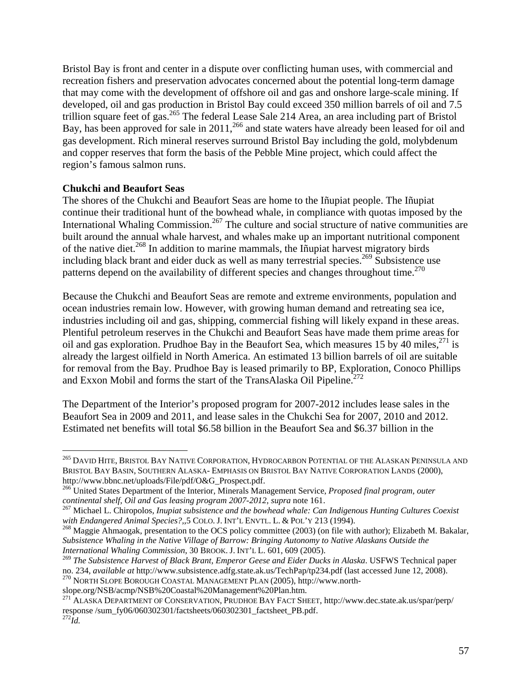Bristol Bay is front and center in a dispute over conflicting human uses, with commercial and recreation fishers and preservation advocates concerned about the potential long-term damage that may come with the development of offshore oil and gas and onshore large-scale mining. If developed, oil and gas production in Bristol Bay could exceed 350 million barrels of oil and 7.5 trillion square feet of gas.<sup>265</sup> The federal Lease Sale 214 Area, an area including part of Bristol Bay, has been approved for sale in 2011,<sup>266</sup> and state waters have already been leased for oil and gas development. Rich mineral reserves surround Bristol Bay including the gold, molybdenum and copper reserves that form the basis of the Pebble Mine project, which could affect the region's famous salmon runs.

### **Chukchi and Beaufort Seas**

 $\overline{a}$ 

The shores of the Chukchi and Beaufort Seas are home to the Iñupiat people. The Iñupiat continue their traditional hunt of the bowhead whale, in compliance with quotas imposed by the International Whaling Commission.<sup>267</sup> The culture and social structure of native communities are built around the annual whale harvest, and whales make up an important nutritional component of the native diet.268 In addition to marine mammals, the Iñupiat harvest migratory birds including black brant and eider duck as well as many terrestrial species.<sup>269</sup> Subsistence use patterns depend on the availability of different species and changes throughout time.<sup> $270$ </sup>

Because the Chukchi and Beaufort Seas are remote and extreme environments, population and ocean industries remain low. However, with growing human demand and retreating sea ice, industries including oil and gas, shipping, commercial fishing will likely expand in these areas. Plentiful petroleum reserves in the Chukchi and Beaufort Seas have made them prime areas for oil and gas exploration. Prudhoe Bay in the Beaufort Sea, which measures 15 by 40 miles,  $271$  is already the largest oilfield in North America. An estimated 13 billion barrels of oil are suitable for removal from the Bay. Prudhoe Bay is leased primarily to BP, Exploration, Conoco Phillips and Exxon Mobil and forms the start of the TransAlaska Oil Pipeline.<sup>272</sup>

The Department of the Interior's proposed program for 2007-2012 includes lease sales in the Beaufort Sea in 2009 and 2011, and lease sales in the Chukchi Sea for 2007, 2010 and 2012. Estimated net benefits will total \$6.58 billion in the Beaufort Sea and \$6.37 billion in the

<sup>270</sup> NORTH SLOPE BOROUGH COASTAL MANAGEMENT PLAN (2005), http://www.northslope.org/NSB/acmp/NSB%20Coastal%20Management%20Plan.htm.

<sup>&</sup>lt;sup>265</sup> DAVID HITE, BRISTOL BAY NATIVE CORPORATION, HYDROCARBON POTENTIAL OF THE ALASKAN PENINSULA AND BRISTOL BAY BASIN, SOUTHERN ALASKA- EMPHASIS ON BRISTOL BAY NATIVE CORPORATION LANDS (2000), http://www.bbnc.net/uploads/File/pdf/O&G\_Prospect.pdf. 266 United States Department of the Interior, Minerals Management Service, *Proposed final program, outer* 

*continental shelf, Oil and Gas leasing program 2007-2012, supra* note 161.<br><sup>267</sup> Michael L. Chiropolos, *Inupiat subsistence and the bowhead whale: Can Indigenous Hunting Cultures Coexist with Endangered Animal Species?* 

<sup>&</sup>lt;sup>268</sup> Maggie Ahmaogak, presentation to the OCS policy committee (2003) (on file with author); Elizabeth M. Bakalar, *Subsistence Whaling in the Native Village of Barrow: Bringing Autonomy to Native Alaskans Outside the International Whaling Commission*, 30 BROOK. J. INT'L L. 601, 609 (2005).

<sup>&</sup>lt;sup>269</sup> *The Subsistence Harvest of Black Brant, Emperor Geese and Eider Ducks in Alaska*. USFWS Technical paper no. 234, *available at http://www.subsistence.adfg.state.ak.us/TechPap/tp234.pdf (last accessed June 12, 2008).* 

<sup>271</sup> ALASKA DEPARTMENT OF CONSERVATION, PRUDHOE BAY FACT SHEET, http://www.dec.state.ak.us/spar/perp/ response /sum\_fy06/060302301/factsheets/060302301\_factsheet\_PB.pdf. <sup>272</sup>*Id.*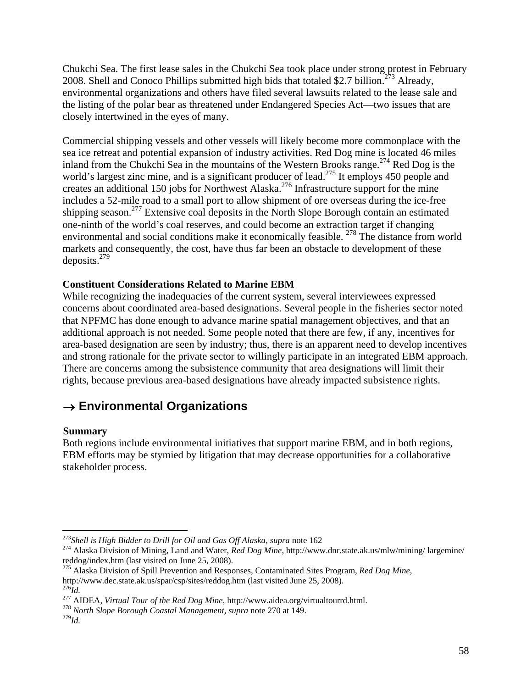Chukchi Sea. The first lease sales in the Chukchi Sea took place under strong protest in February 2008. Shell and Conoco Phillips submitted high bids that totaled \$2.7 billion.<sup>273</sup> Already, environmental organizations and others have filed several lawsuits related to the lease sale and the listing of the polar bear as threatened under Endangered Species Act—two issues that are closely intertwined in the eyes of many.

Commercial shipping vessels and other vessels will likely become more commonplace with the sea ice retreat and potential expansion of industry activities. Red Dog mine is located 46 miles inland from the Chukchi Sea in the mountains of the Western Brooks range.<sup>274</sup> Red Dog is the world's largest zinc mine, and is a significant producer of lead.<sup>275</sup> It employs 450 people and creates an additional 150 jobs for Northwest Alaska.276 Infrastructure support for the mine includes a 52-mile road to a small port to allow shipment of ore overseas during the ice-free shipping season.277 Extensive coal deposits in the North Slope Borough contain an estimated one-ninth of the world's coal reserves, and could become an extraction target if changing environmental and social conditions make it economically feasible. <sup>278</sup> The distance from world markets and consequently, the cost, have thus far been an obstacle to development of these deposits. $279$ 

### **Constituent Considerations Related to Marine EBM**

While recognizing the inadequacies of the current system, several interviewees expressed concerns about coordinated area-based designations. Several people in the fisheries sector noted that NPFMC has done enough to advance marine spatial management objectives, and that an additional approach is not needed. Some people noted that there are few, if any, incentives for area-based designation are seen by industry; thus, there is an apparent need to develop incentives and strong rationale for the private sector to willingly participate in an integrated EBM approach. There are concerns among the subsistence community that area designations will limit their rights, because previous area-based designations have already impacted subsistence rights.

### → **Environmental Organizations**

### **Summary**

Both regions include environmental initiatives that support marine EBM, and in both regions, EBM efforts may be stymied by litigation that may decrease opportunities for a collaborative stakeholder process.

http://www.dec.state.ak.us/spar/csp/sites/reddog.htm (last visited June 25, 2008).<br><sup>276</sup>Id.<br><sup>277</sup> AIDEA, *Virtual Tour of the Red Dog Mine*, http://www.aidea.org/virtualtourrd.html.<br><sup>278</sup> North Slope Borough Coastal Manage

<sup>&</sup>lt;sup>273</sup>Shell is High Bidder to Drill for Oil and Gas Off Alaska, supra note 162<br><sup>274</sup> Alaska Division of Mining, Land and Water, *Red Dog Mine*, http://www.dnr.state.ak.us/mlw/mining/ largemine/ reddog/index.htm (last visited on June 25, 2008).

<sup>275</sup> Alaska Division of Spill Prevention and Responses, Contaminated Sites Program, *Red Dog Mine*,

<sup>279</sup>*Id.*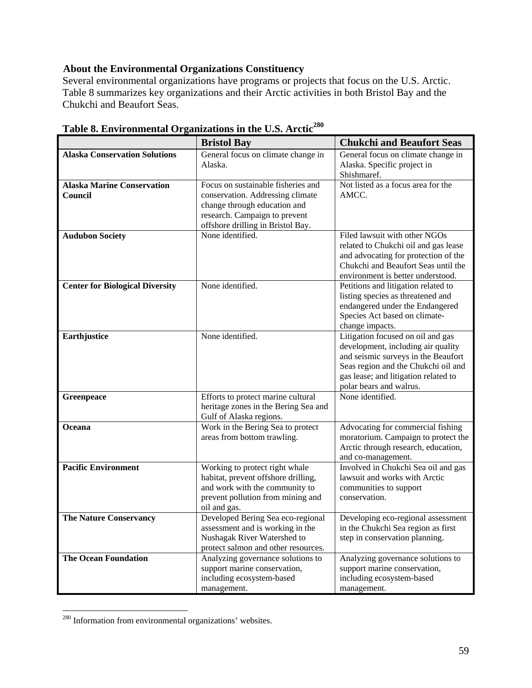### **About the Environmental Organizations Constituency**

Several environmental organizations have programs or projects that focus on the U.S. Arctic. Table 8 summarizes key organizations and their Arctic activities in both Bristol Bay and the Chukchi and Beaufort Seas.

|                                              | <b>Bristol Bay</b>                                                                                                                                                           | <b>Chukchi and Beaufort Seas</b>                                                                                                                                                                                         |
|----------------------------------------------|------------------------------------------------------------------------------------------------------------------------------------------------------------------------------|--------------------------------------------------------------------------------------------------------------------------------------------------------------------------------------------------------------------------|
| <b>Alaska Conservation Solutions</b>         | General focus on climate change in<br>Alaska.                                                                                                                                | General focus on climate change in<br>Alaska. Specific project in<br>Shishmaref.                                                                                                                                         |
| <b>Alaska Marine Conservation</b><br>Council | Focus on sustainable fisheries and<br>conservation. Addressing climate<br>change through education and<br>research. Campaign to prevent<br>offshore drilling in Bristol Bay. | Not listed as a focus area for the<br>AMCC.                                                                                                                                                                              |
| <b>Audubon Society</b>                       | None identified.                                                                                                                                                             | Filed lawsuit with other NGOs<br>related to Chukchi oil and gas lease<br>and advocating for protection of the<br>Chukchi and Beaufort Seas until the<br>environment is better understood.                                |
| <b>Center for Biological Diversity</b>       | None identified.                                                                                                                                                             | Petitions and litigation related to<br>listing species as threatened and<br>endangered under the Endangered<br>Species Act based on climate-<br>change impacts.                                                          |
| Earthjustice                                 | None identified.                                                                                                                                                             | Litigation focused on oil and gas<br>development, including air quality<br>and seismic surveys in the Beaufort<br>Seas region and the Chukchi oil and<br>gas lease; and litigation related to<br>polar bears and walrus. |
| Greenpeace                                   | Efforts to protect marine cultural<br>heritage zones in the Bering Sea and<br>Gulf of Alaska regions.                                                                        | None identified.                                                                                                                                                                                                         |
| Oceana                                       | Work in the Bering Sea to protect<br>areas from bottom trawling.                                                                                                             | Advocating for commercial fishing<br>moratorium. Campaign to protect the<br>Arctic through research, education,<br>and co-management.                                                                                    |
| <b>Pacific Environment</b>                   | Working to protect right whale<br>habitat, prevent offshore drilling,<br>and work with the community to<br>prevent pollution from mining and<br>oil and gas.                 | Involved in Chukchi Sea oil and gas<br>lawsuit and works with Arctic<br>communities to support<br>conservation.                                                                                                          |
| <b>The Nature Conservancy</b>                | Developed Bering Sea eco-regional<br>assessment and is working in the<br>Nushagak River Watershed to<br>protect salmon and other resources.                                  | Developing eco-regional assessment<br>in the Chukchi Sea region as first<br>step in conservation planning.                                                                                                               |
| <b>The Ocean Foundation</b>                  | Analyzing governance solutions to<br>support marine conservation,<br>including ecosystem-based<br>management.                                                                | Analyzing governance solutions to<br>support marine conservation,<br>including ecosystem-based<br>management.                                                                                                            |

**Table 8. Environmental Organizations in the U.S. Arctic<sup>280</sup>**

<sup>&</sup>lt;sup>280</sup> Information from environmental organizations' websites.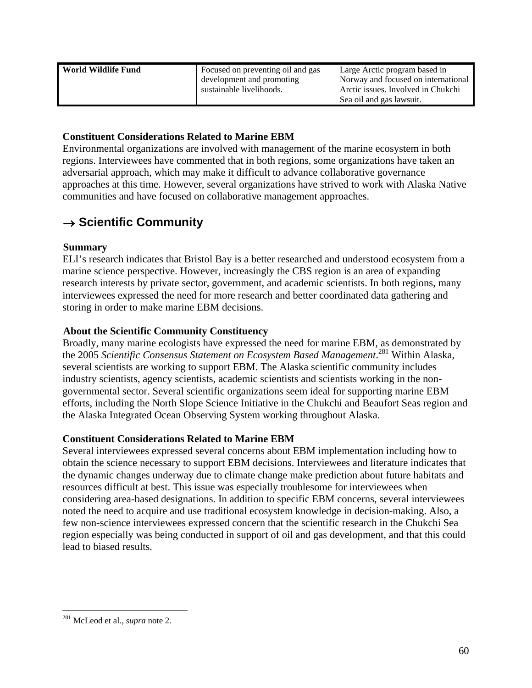| sustainable livelihoods.<br>Sea oil and gas lawsuit. | World Wildlife Fund | Focused on preventing oil and gas<br>development and promoting | Large Arctic program based in<br>Norway and focused on international<br>Arctic issues. Involved in Chukchi |
|------------------------------------------------------|---------------------|----------------------------------------------------------------|------------------------------------------------------------------------------------------------------------|
|------------------------------------------------------|---------------------|----------------------------------------------------------------|------------------------------------------------------------------------------------------------------------|

### **Constituent Considerations Related to Marine EBM**

Environmental organizations are involved with management of the marine ecosystem in both regions. Interviewees have commented that in both regions, some organizations have taken an adversarial approach, which may make it difficult to advance collaborative governance approaches at this time. However, several organizations have strived to work with Alaska Native communities and have focused on collaborative management approaches.

### → **Scientific Community**

### **Summary**

ELI's research indicates that Bristol Bay is a better researched and understood ecosystem from a marine science perspective. However, increasingly the CBS region is an area of expanding research interests by private sector, government, and academic scientists. In both regions, many interviewees expressed the need for more research and better coordinated data gathering and storing in order to make marine EBM decisions.

### **About the Scientific Community Constituency**

Broadly, many marine ecologists have expressed the need for marine EBM, as demonstrated by the 2005 *Scientific Consensus Statement on Ecosystem Based Management*. 281 Within Alaska, several scientists are working to support EBM. The Alaska scientific community includes industry scientists, agency scientists, academic scientists and scientists working in the nongovernmental sector. Several scientific organizations seem ideal for supporting marine EBM efforts, including the North Slope Science Initiative in the Chukchi and Beaufort Seas region and the Alaska Integrated Ocean Observing System working throughout Alaska.

### **Constituent Considerations Related to Marine EBM**

Several interviewees expressed several concerns about EBM implementation including how to obtain the science necessary to support EBM decisions. Interviewees and literature indicates that the dynamic changes underway due to climate change make prediction about future habitats and resources difficult at best. This issue was especially troublesome for interviewees when considering area-based designations. In addition to specific EBM concerns, several interviewees noted the need to acquire and use traditional ecosystem knowledge in decision-making. Also, a few non-science interviewees expressed concern that the scientific research in the Chukchi Sea region especially was being conducted in support of oil and gas development, and that this could lead to biased results.

<u>.</u>

<sup>281</sup> McLeod et al., *supra* note 2.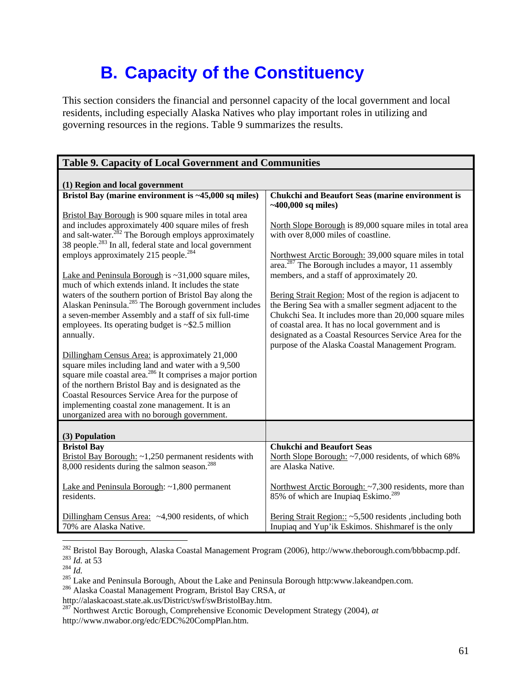## **B. Capacity of the Constituency**

This section considers the financial and personnel capacity of the local government and local residents, including especially Alaska Natives who play important roles in utilizing and governing resources in the regions. Table 9 summarizes the results.

| <b>Table 9. Capacity of Local Government and Communities</b>                                                                                                                                                                                                                                                                                                                                  |                                                                                                                                                                                                                                                                                                                                                 |  |
|-----------------------------------------------------------------------------------------------------------------------------------------------------------------------------------------------------------------------------------------------------------------------------------------------------------------------------------------------------------------------------------------------|-------------------------------------------------------------------------------------------------------------------------------------------------------------------------------------------------------------------------------------------------------------------------------------------------------------------------------------------------|--|
| (1) Region and local government                                                                                                                                                                                                                                                                                                                                                               |                                                                                                                                                                                                                                                                                                                                                 |  |
| Bristol Bay (marine environment is ~45,000 sq miles)                                                                                                                                                                                                                                                                                                                                          | <b>Chukchi and Beaufort Seas (marine environment is</b><br>$~100,000$ sq miles)                                                                                                                                                                                                                                                                 |  |
| Bristol Bay Borough is 900 square miles in total area<br>and includes approximately 400 square miles of fresh<br>and salt-water. <sup>282</sup> The Borough employs approximately<br>38 people. <sup>283</sup> In all, federal state and local government<br>employs approximately 215 people. <sup>284</sup>                                                                                 | North Slope Borough is 89,000 square miles in total area<br>with over 8,000 miles of coastline.<br>Northwest Arctic Borough: 39,000 square miles in total<br>$\overline{\text{area.}}^{287}$ The Borough includes a mayor, 11 assembly                                                                                                          |  |
| Lake and Peninsula Borough is ~31,000 square miles,<br>much of which extends inland. It includes the state                                                                                                                                                                                                                                                                                    | members, and a staff of approximately 20.                                                                                                                                                                                                                                                                                                       |  |
| waters of the southern portion of Bristol Bay along the<br>Alaskan Peninsula. <sup>285</sup> The Borough government includes<br>a seven-member Assembly and a staff of six full-time<br>employees. Its operating budget is $\sim$ \$2.5 million<br>annually.                                                                                                                                  | Bering Strait Region: Most of the region is adjacent to<br>the Bering Sea with a smaller segment adjacent to the<br>Chukchi Sea. It includes more than 20,000 square miles<br>of coastal area. It has no local government and is<br>designated as a Coastal Resources Service Area for the<br>purpose of the Alaska Coastal Management Program. |  |
| Dillingham Census Area: is approximately 21,000<br>square miles including land and water with a 9,500<br>square mile coastal area. <sup>286</sup> It comprises a major portion<br>of the northern Bristol Bay and is designated as the<br>Coastal Resources Service Area for the purpose of<br>implementing coastal zone management. It is an<br>unorganized area with no borough government. |                                                                                                                                                                                                                                                                                                                                                 |  |
| (3) Population                                                                                                                                                                                                                                                                                                                                                                                |                                                                                                                                                                                                                                                                                                                                                 |  |
| <b>Bristol Bay</b><br>Bristol Bay Borough: $\sim$ 1,250 permanent residents with<br>8,000 residents during the salmon season. <sup>288</sup>                                                                                                                                                                                                                                                  | <b>Chukchi and Beaufort Seas</b><br>North Slope Borough: ~7,000 residents, of which 68%<br>are Alaska Native.                                                                                                                                                                                                                                   |  |
| Lake and Peninsula Borough: ~1,800 permanent<br>residents.                                                                                                                                                                                                                                                                                                                                    | Northwest Arctic Borough: ~7,300 residents, more than<br>85% of which are Inupiaq Eskimo. <sup>289</sup>                                                                                                                                                                                                                                        |  |
| Dillingham Census Area: ~4,900 residents, of which<br>70% are Alaska Native.                                                                                                                                                                                                                                                                                                                  | Bering Strait Region:: ~5,500 residents, including both<br>Inupiaq and Yup'ik Eskimos. Shishmaref is the only                                                                                                                                                                                                                                   |  |

<sup>282</sup> Bristol Bay Borough, Alaska Coastal Management Program (2006), http://www.theborough.com/bbbacmp.pdf.

<sup>283</sup> Lake and Peninsula Borough, About the Lake and Peninsula Borough http:www.lakeandpen.com.<br><sup>283</sup> Lake and Peninsula Borough, About the Lake and Peninsula Borough http:www.lakeandpen.com.<br><sup>286</sup> Alaska Coastal Managemen

http://alaskacoast.state.ak.us/District/swf/swBristolBay.htm.

287 Northwest Arctic Borough, Comprehensive Economic Development Strategy (2004), *at* http://www.nwabor.org/edc/EDC%20CompPlan.htm.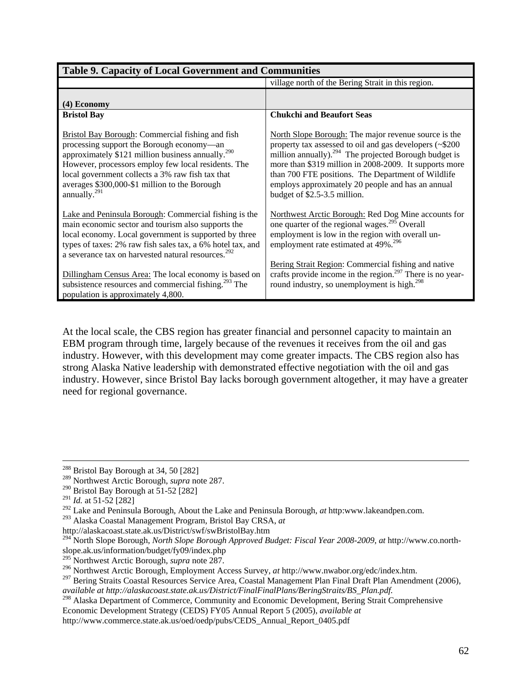| <b>Table 9. Capacity of Local Government and Communities</b>                                                                                                                                                                                                                                                                                                  |                                                                                                                                                                                                                                                                                                                                                                                            |  |
|---------------------------------------------------------------------------------------------------------------------------------------------------------------------------------------------------------------------------------------------------------------------------------------------------------------------------------------------------------------|--------------------------------------------------------------------------------------------------------------------------------------------------------------------------------------------------------------------------------------------------------------------------------------------------------------------------------------------------------------------------------------------|--|
|                                                                                                                                                                                                                                                                                                                                                               | village north of the Bering Strait in this region.                                                                                                                                                                                                                                                                                                                                         |  |
| $(4)$ Economy                                                                                                                                                                                                                                                                                                                                                 |                                                                                                                                                                                                                                                                                                                                                                                            |  |
| <b>Bristol Bay</b>                                                                                                                                                                                                                                                                                                                                            | <b>Chukchi and Beaufort Seas</b>                                                                                                                                                                                                                                                                                                                                                           |  |
| <b>Bristol Bay Borough: Commercial fishing and fish</b><br>processing support the Borough economy-an<br>approximately \$121 million business annually. <sup>290</sup><br>However, processors employ few local residents. The<br>local government collects a 3% raw fish tax that<br>averages \$300,000-\$1 million to the Borough<br>annually. <sup>291</sup> | North Slope Borough: The major revenue source is the<br>property tax assessed to oil and gas developers (~\$200)<br>million annually). <sup>294</sup> The projected Borough budget is<br>more than \$319 million in 2008-2009. It supports more<br>than 700 FTE positions. The Department of Wildlife<br>employs approximately 20 people and has an annual<br>budget of \$2.5-3.5 million. |  |
| Lake and Peninsula Borough: Commercial fishing is the<br>main economic sector and tourism also supports the<br>local economy. Local government is supported by three<br>types of taxes: 2% raw fish sales tax, a 6% hotel tax, and<br>a severance tax on harvested natural resources. <sup>292</sup>                                                          | Northwest Arctic Borough: Red Dog Mine accounts for<br>one quarter of the regional wages. <sup>295</sup> Overall<br>employment is low in the region with overall un-<br>employment rate estimated at 49%. <sup>296</sup>                                                                                                                                                                   |  |
| Dillingham Census Area: The local economy is based on<br>subsistence resources and commercial fishing. <sup>293</sup> The<br>population is approximately 4,800.                                                                                                                                                                                               | Bering Strait Region: Commercial fishing and native<br>crafts provide income in the region. <sup>297</sup> There is no year-<br>round industry, so unemployment is high. <sup>298</sup>                                                                                                                                                                                                    |  |

At the local scale, the CBS region has greater financial and personnel capacity to maintain an EBM program through time, largely because of the revenues it receives from the oil and gas industry. However, with this development may come greater impacts. The CBS region also has strong Alaska Native leadership with demonstrated effective negotiation with the oil and gas industry. However, since Bristol Bay lacks borough government altogether, it may have a greater need for regional governance.

293 Alaska Coastal Management Program, Bristol Bay CRSA, *at*

http://www.commerce.state.ak.us/oed/oedp/pubs/CEDS\_Annual\_Report\_0405.pdf

<sup>&</sup>lt;sup>288</sup> Bristol Bay Borough at 34, 50 [282]

<sup>289</sup> Northwest Arctic Borough, *supra* note 287.

<sup>&</sup>lt;sup>290</sup> Bristol Bay Borough at  $\overline{51-52}$  [282]

<sup>291</sup> *Id.* at 51-52 [282]

<sup>292</sup> Lake and Peninsula Borough, About the Lake and Peninsula Borough, *at* http:www.lakeandpen.com.

http://alaskacoast.state.ak.us/District/swf/swBristolBay.htm

<sup>294</sup> North Slope Borough, *North Slope Borough Approved Budget: Fiscal Year 2008-2009*, *at* http://www.co.northslope.ak.us/information/budget/fy09/index.php

<sup>295</sup> Northwest Arctic Borough, *supra* note 287.

<sup>296</sup> Northwest Arctic Borough, Employment Access Survey, *at* http://www.nwabor.org/edc/index.htm.

<sup>&</sup>lt;sup>297</sup> Bering Straits Coastal Resources Service Area, Coastal Management Plan Final Draft Plan Amendment (2006), *available at http://alaskacoast.state.ak.us/District/FinalFinalPlans/BeringStraits/BS\_Plan.pdf.* 

<sup>&</sup>lt;sup>298</sup> Alaska Department of Commerce, Community and Economic Development, Bering Strait Comprehensive Economic Development Strategy (CEDS) FY05 Annual Report 5 (2005), *available at*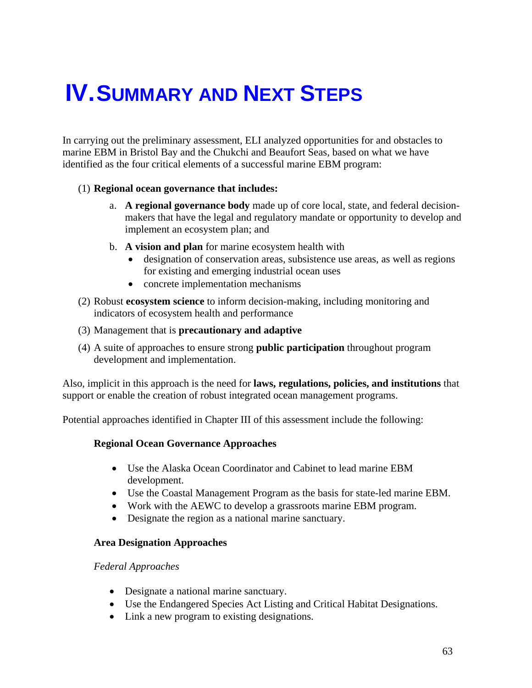# **IV. SUMMARY AND NEXT STEPS**

In carrying out the preliminary assessment, ELI analyzed opportunities for and obstacles to marine EBM in Bristol Bay and the Chukchi and Beaufort Seas, based on what we have identified as the four critical elements of a successful marine EBM program:

### (1) **Regional ocean governance that includes:**

- a. **A regional governance body** made up of core local, state, and federal decisionmakers that have the legal and regulatory mandate or opportunity to develop and implement an ecosystem plan; and
- b. **A vision and plan** for marine ecosystem health with
	- designation of conservation areas, subsistence use areas, as well as regions for existing and emerging industrial ocean uses
	- concrete implementation mechanisms
- (2) Robust **ecosystem science** to inform decision-making, including monitoring and indicators of ecosystem health and performance
- (3) Management that is **precautionary and adaptive**
- (4) A suite of approaches to ensure strong **public participation** throughout program development and implementation.

Also, implicit in this approach is the need for **laws, regulations, policies, and institutions** that support or enable the creation of robust integrated ocean management programs.

Potential approaches identified in Chapter III of this assessment include the following:

### **Regional Ocean Governance Approaches**

- Use the Alaska Ocean Coordinator and Cabinet to lead marine EBM development.
- Use the Coastal Management Program as the basis for state-led marine EBM.
- Work with the AEWC to develop a grassroots marine EBM program.
- Designate the region as a national marine sanctuary.

### **Area Designation Approaches**

### *Federal Approaches*

- Designate a national marine sanctuary.
- Use the Endangered Species Act Listing and Critical Habitat Designations.
- Link a new program to existing designations.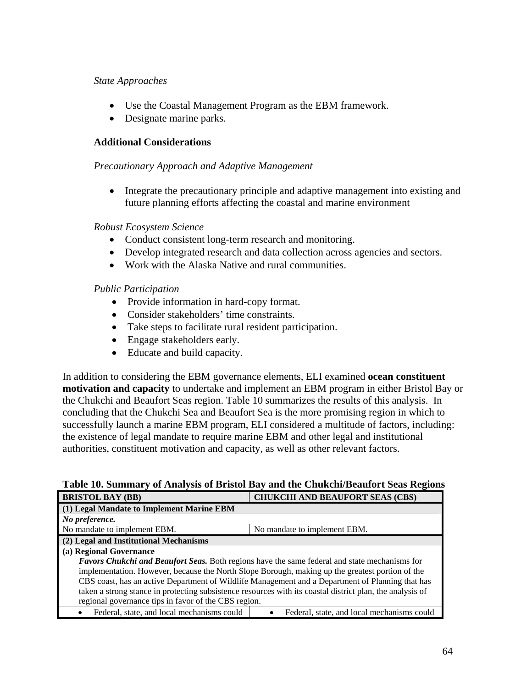### *State Approaches*

- Use the Coastal Management Program as the EBM framework.
- Designate marine parks.

### **Additional Considerations**

### *Precautionary Approach and Adaptive Management*

• Integrate the precautionary principle and adaptive management into existing and future planning efforts affecting the coastal and marine environment

### *Robust Ecosystem Science*

- Conduct consistent long-term research and monitoring.
- Develop integrated research and data collection across agencies and sectors.
- Work with the Alaska Native and rural communities.

### *Public Participation*

- Provide information in hard-copy format.
- Consider stakeholders' time constraints.
- Take steps to facilitate rural resident participation.
- Engage stakeholders early.
- Educate and build capacity.

In addition to considering the EBM governance elements, ELI examined **ocean constituent motivation and capacity** to undertake and implement an EBM program in either Bristol Bay or the Chukchi and Beaufort Seas region. Table 10 summarizes the results of this analysis. In concluding that the Chukchi Sea and Beaufort Sea is the more promising region in which to successfully launch a marine EBM program, ELI considered a multitude of factors, including: the existence of legal mandate to require marine EBM and other legal and institutional authorities, constituent motivation and capacity, as well as other relevant factors.

### **Table 10. Summary of Analysis of Bristol Bay and the Chukchi/Beaufort Seas Regions**

| <b>BRISTOL BAY (BB)</b>                                                                                   | <b>CHUKCHI AND BEAUFORT SEAS (CBS)</b>     |  |
|-----------------------------------------------------------------------------------------------------------|--------------------------------------------|--|
| (1) Legal Mandate to Implement Marine EBM                                                                 |                                            |  |
| No preference.                                                                                            |                                            |  |
| No mandate to implement EBM.                                                                              | No mandate to implement EBM.               |  |
| (2) Legal and Institutional Mechanisms                                                                    |                                            |  |
| (a) Regional Governance                                                                                   |                                            |  |
| <b>Favors Chukchi and Beaufort Seas.</b> Both regions have the same federal and state mechanisms for      |                                            |  |
| implementation. However, because the North Slope Borough, making up the greatest portion of the           |                                            |  |
| CBS coast, has an active Department of Wildlife Management and a Department of Planning that has          |                                            |  |
| taken a strong stance in protecting subsistence resources with its coastal district plan, the analysis of |                                            |  |
| regional governance tips in favor of the CBS region.                                                      |                                            |  |
| Federal, state, and local mechanisms could                                                                | Federal, state, and local mechanisms could |  |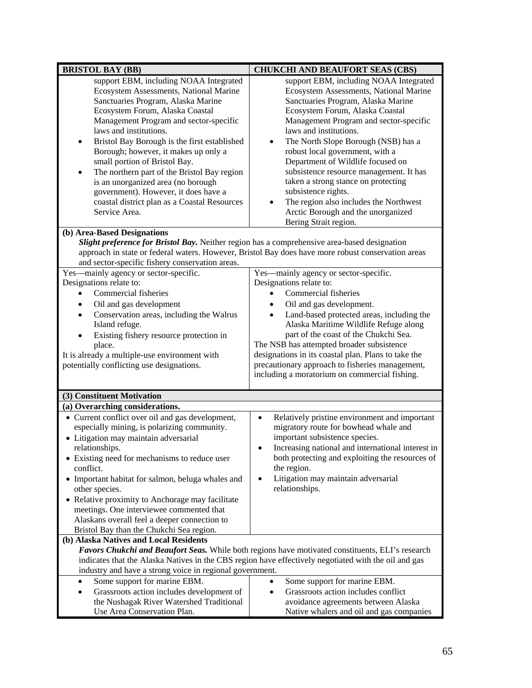| <b>BRISTOL BAY (BB)</b>                                                                                                                                                                                                                                                                                                                                                                                                                                                                                                                                                                               | <b>CHUKCHI AND BEAUFORT SEAS (CBS)</b>                                                                                                                                                                                                                                                                                                                                                                                                                                                                                                                                      |  |
|-------------------------------------------------------------------------------------------------------------------------------------------------------------------------------------------------------------------------------------------------------------------------------------------------------------------------------------------------------------------------------------------------------------------------------------------------------------------------------------------------------------------------------------------------------------------------------------------------------|-----------------------------------------------------------------------------------------------------------------------------------------------------------------------------------------------------------------------------------------------------------------------------------------------------------------------------------------------------------------------------------------------------------------------------------------------------------------------------------------------------------------------------------------------------------------------------|--|
| support EBM, including NOAA Integrated<br>Ecosystem Assessments, National Marine<br>Sanctuaries Program, Alaska Marine<br>Ecosystem Forum, Alaska Coastal<br>Management Program and sector-specific<br>laws and institutions.<br>Bristol Bay Borough is the first established<br>$\bullet$<br>Borough; however, it makes up only a<br>small portion of Bristol Bay.<br>The northern part of the Bristol Bay region<br>٠<br>is an unorganized area (no borough<br>government). However, it does have a<br>coastal district plan as a Coastal Resources<br>Service Area.<br>(b) Area-Based Designations | support EBM, including NOAA Integrated<br>Ecosystem Assessments, National Marine<br>Sanctuaries Program, Alaska Marine<br>Ecosystem Forum, Alaska Coastal<br>Management Program and sector-specific<br>laws and institutions.<br>The North Slope Borough (NSB) has a<br>$\bullet$<br>robust local government, with a<br>Department of Wildlife focused on<br>subsistence resource management. It has<br>taken a strong stance on protecting<br>subsistence rights.<br>The region also includes the Northwest<br>Arctic Borough and the unorganized<br>Bering Strait region. |  |
| Slight preference for Bristol Bay. Neither region has a comprehensive area-based designation<br>approach in state or federal waters. However, Bristol Bay does have more robust conservation areas<br>and sector-specific fishery conservation areas.                                                                                                                                                                                                                                                                                                                                                 |                                                                                                                                                                                                                                                                                                                                                                                                                                                                                                                                                                             |  |
| Yes—mainly agency or sector-specific.<br>Designations relate to:<br>Commercial fisheries<br>Oil and gas development<br>Conservation areas, including the Walrus<br>$\bullet$<br>Island refuge.<br>Existing fishery resource protection in<br>$\bullet$<br>place.<br>It is already a multiple-use environment with<br>potentially conflicting use designations.                                                                                                                                                                                                                                        | Yes—mainly agency or sector-specific.<br>Designations relate to:<br>Commercial fisheries<br>Oil and gas development.<br>$\bullet$<br>Land-based protected areas, including the<br>$\bullet$<br>Alaska Maritime Wildlife Refuge along<br>part of the coast of the Chukchi Sea.<br>The NSB has attempted broader subsistence<br>designations in its coastal plan. Plans to take the<br>precautionary approach to fisheries management,<br>including a moratorium on commercial fishing.                                                                                       |  |
| (3) Constituent Motivation                                                                                                                                                                                                                                                                                                                                                                                                                                                                                                                                                                            |                                                                                                                                                                                                                                                                                                                                                                                                                                                                                                                                                                             |  |
| (a) Overarching considerations.<br>• Current conflict over oil and gas development,<br>especially mining, is polarizing community.<br>• Litigation may maintain adversarial<br>relationships.<br>• Existing need for mechanisms to reduce user<br>conflict.<br>• Important habitat for salmon, beluga whales and<br>other species.<br>• Relative proximity to Anchorage may facilitate<br>meetings. One interviewee commented that<br>Alaskans overall feel a deeper connection to<br>Bristol Bay than the Chukchi Sea region.                                                                        | Relatively pristine environment and important<br>$\bullet$<br>migratory route for bowhead whale and<br>important subsistence species.<br>Increasing national and international interest in<br>both protecting and exploiting the resources of<br>the region.<br>Litigation may maintain adversarial<br>$\bullet$<br>relationships.                                                                                                                                                                                                                                          |  |
| (b) Alaska Natives and Local Residents<br>Favors Chukchi and Beaufort Seas. While both regions have motivated constituents, ELI's research<br>indicates that the Alaska Natives in the CBS region have effectively negotiated with the oil and gas<br>industry and have a strong voice in regional government.                                                                                                                                                                                                                                                                                        |                                                                                                                                                                                                                                                                                                                                                                                                                                                                                                                                                                             |  |
| Some support for marine EBM.<br>٠<br>Grassroots action includes development of<br>$\bullet$<br>the Nushagak River Watershed Traditional<br>Use Area Conservation Plan.                                                                                                                                                                                                                                                                                                                                                                                                                                | Some support for marine EBM.<br>Grassroots action includes conflict<br>$\bullet$<br>avoidance agreements between Alaska<br>Native whalers and oil and gas companies                                                                                                                                                                                                                                                                                                                                                                                                         |  |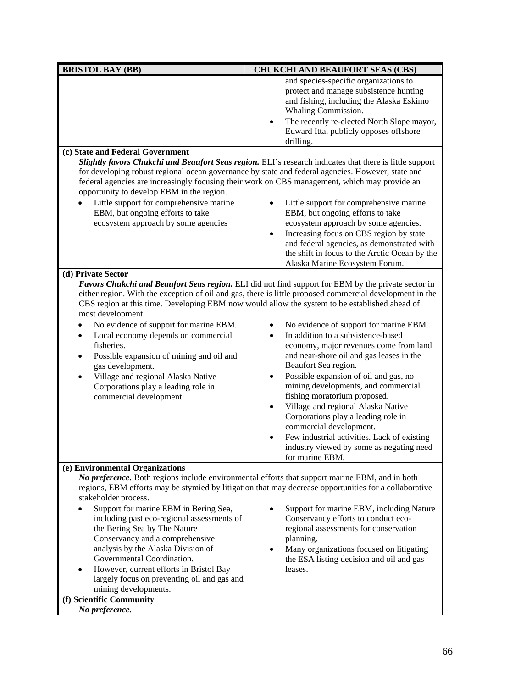| <b>BRISTOL BAY (BB)</b>                                                                                                                                                                                                                                                                                                                                                                            | <b>CHUKCHI AND BEAUFORT SEAS (CBS)</b>                                                                                                                                                                                                                                                                                                                                                                                                                                                                                                                     |  |
|----------------------------------------------------------------------------------------------------------------------------------------------------------------------------------------------------------------------------------------------------------------------------------------------------------------------------------------------------------------------------------------------------|------------------------------------------------------------------------------------------------------------------------------------------------------------------------------------------------------------------------------------------------------------------------------------------------------------------------------------------------------------------------------------------------------------------------------------------------------------------------------------------------------------------------------------------------------------|--|
|                                                                                                                                                                                                                                                                                                                                                                                                    | and species-specific organizations to<br>protect and manage subsistence hunting<br>and fishing, including the Alaska Eskimo<br>Whaling Commission.<br>The recently re-elected North Slope mayor,<br>$\bullet$<br>Edward Itta, publicly opposes offshore<br>drilling.                                                                                                                                                                                                                                                                                       |  |
| (c) State and Federal Government                                                                                                                                                                                                                                                                                                                                                                   |                                                                                                                                                                                                                                                                                                                                                                                                                                                                                                                                                            |  |
| Slightly favors Chukchi and Beaufort Seas region. ELI's research indicates that there is little support<br>for developing robust regional ocean governance by state and federal agencies. However, state and<br>federal agencies are increasingly focusing their work on CBS management, which may provide an<br>opportunity to develop EBM in the region.                                         |                                                                                                                                                                                                                                                                                                                                                                                                                                                                                                                                                            |  |
| Little support for comprehensive marine<br>EBM, but ongoing efforts to take<br>ecosystem approach by some agencies                                                                                                                                                                                                                                                                                 | Little support for comprehensive marine<br>EBM, but ongoing efforts to take<br>ecosystem approach by some agencies.<br>Increasing focus on CBS region by state<br>and federal agencies, as demonstrated with<br>the shift in focus to the Arctic Ocean by the<br>Alaska Marine Ecosystem Forum.                                                                                                                                                                                                                                                            |  |
| (d) Private Sector<br>Favors Chukchi and Beaufort Seas region. ELI did not find support for EBM by the private sector in<br>either region. With the exception of oil and gas, there is little proposed commercial development in the                                                                                                                                                               |                                                                                                                                                                                                                                                                                                                                                                                                                                                                                                                                                            |  |
| most development.                                                                                                                                                                                                                                                                                                                                                                                  | CBS region at this time. Developing EBM now would allow the system to be established ahead of                                                                                                                                                                                                                                                                                                                                                                                                                                                              |  |
| No evidence of support for marine EBM.<br>$\bullet$<br>Local economy depends on commercial<br>fisheries.<br>Possible expansion of mining and oil and<br>$\bullet$<br>gas development.<br>Village and regional Alaska Native<br>Corporations play a leading role in<br>commercial development.                                                                                                      | No evidence of support for marine EBM.<br>$\bullet$<br>In addition to a subsistence-based<br>$\bullet$<br>economy, major revenues come from land<br>and near-shore oil and gas leases in the<br>Beaufort Sea region.<br>Possible expansion of oil and gas, no<br>mining developments, and commercial<br>fishing moratorium proposed.<br>Village and regional Alaska Native<br>Corporations play a leading role in<br>commercial development.<br>Few industrial activities. Lack of existing<br>industry viewed by some as negating need<br>for marine EBM. |  |
| (e) Environmental Organizations<br>No preference. Both regions include environmental efforts that support marine EBM, and in both<br>regions, EBM efforts may be stymied by litigation that may decrease opportunities for a collaborative<br>stakeholder process.                                                                                                                                 |                                                                                                                                                                                                                                                                                                                                                                                                                                                                                                                                                            |  |
| Support for marine EBM in Bering Sea,<br>$\bullet$<br>including past eco-regional assessments of<br>the Bering Sea by The Nature<br>Conservancy and a comprehensive<br>analysis by the Alaska Division of<br>Governmental Coordination.<br>However, current efforts in Bristol Bay<br>$\bullet$<br>largely focus on preventing oil and gas and<br>mining developments.<br>(f) Scientific Community | Support for marine EBM, including Nature<br>$\bullet$<br>Conservancy efforts to conduct eco-<br>regional assessments for conservation<br>planning.<br>Many organizations focused on litigating<br>the ESA listing decision and oil and gas<br>leases.                                                                                                                                                                                                                                                                                                      |  |
| No preference.                                                                                                                                                                                                                                                                                                                                                                                     |                                                                                                                                                                                                                                                                                                                                                                                                                                                                                                                                                            |  |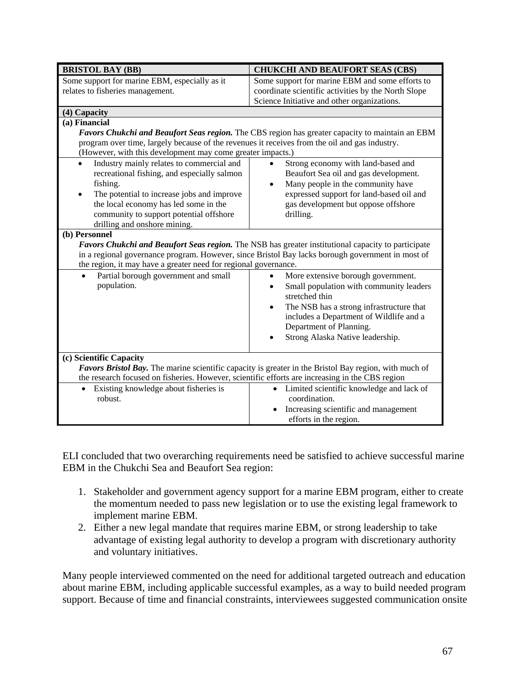| <b>BRISTOL BAY (BB)</b>                                                                                                                                                                                                                                                                    | <b>CHUKCHI AND BEAUFORT SEAS (CBS)</b>                                 |  |
|--------------------------------------------------------------------------------------------------------------------------------------------------------------------------------------------------------------------------------------------------------------------------------------------|------------------------------------------------------------------------|--|
| Some support for marine EBM, especially as it                                                                                                                                                                                                                                              | Some support for marine EBM and some efforts to                        |  |
| relates to fisheries management.                                                                                                                                                                                                                                                           | coordinate scientific activities by the North Slope                    |  |
|                                                                                                                                                                                                                                                                                            | Science Initiative and other organizations.                            |  |
| (4) Capacity                                                                                                                                                                                                                                                                               |                                                                        |  |
| (a) Financial                                                                                                                                                                                                                                                                              |                                                                        |  |
| Favors Chukchi and Beaufort Seas region. The CBS region has greater capacity to maintain an EBM                                                                                                                                                                                            |                                                                        |  |
| program over time, largely because of the revenues it receives from the oil and gas industry.                                                                                                                                                                                              |                                                                        |  |
| (However, with this development may come greater impacts.)                                                                                                                                                                                                                                 |                                                                        |  |
| Industry mainly relates to commercial and<br>$\bullet$                                                                                                                                                                                                                                     | Strong economy with land-based and                                     |  |
| recreational fishing, and especially salmon                                                                                                                                                                                                                                                | Beaufort Sea oil and gas development.                                  |  |
| fishing.                                                                                                                                                                                                                                                                                   | Many people in the community have<br>$\bullet$                         |  |
| The potential to increase jobs and improve<br>$\bullet$                                                                                                                                                                                                                                    | expressed support for land-based oil and                               |  |
| the local economy has led some in the                                                                                                                                                                                                                                                      | gas development but oppose offshore                                    |  |
| community to support potential offshore                                                                                                                                                                                                                                                    | drilling.                                                              |  |
| drilling and onshore mining.                                                                                                                                                                                                                                                               |                                                                        |  |
| (b) Personnel<br>Favors Chukchi and Beaufort Seas region. The NSB has greater institutional capacity to participate<br>in a regional governance program. However, since Bristol Bay lacks borough government in most of<br>the region, it may have a greater need for regional governance. |                                                                        |  |
| Partial borough government and small                                                                                                                                                                                                                                                       | More extensive borough government.                                     |  |
| population.                                                                                                                                                                                                                                                                                | Small population with community leaders<br>stretched thin              |  |
|                                                                                                                                                                                                                                                                                            | The NSB has a strong infrastructure that<br>$\bullet$                  |  |
|                                                                                                                                                                                                                                                                                            | includes a Department of Wildlife and a                                |  |
|                                                                                                                                                                                                                                                                                            | Department of Planning.                                                |  |
|                                                                                                                                                                                                                                                                                            | Strong Alaska Native leadership.                                       |  |
|                                                                                                                                                                                                                                                                                            |                                                                        |  |
| (c) Scientific Capacity                                                                                                                                                                                                                                                                    |                                                                        |  |
| Favors Bristol Bay. The marine scientific capacity is greater in the Bristol Bay region, with much of                                                                                                                                                                                      |                                                                        |  |
| the research focused on fisheries. However, scientific efforts are increasing in the CBS region                                                                                                                                                                                            |                                                                        |  |
| Existing knowledge about fisheries is<br>robust.                                                                                                                                                                                                                                           | Limited scientific knowledge and lack of<br>$\bullet$<br>coordination. |  |
|                                                                                                                                                                                                                                                                                            | Increasing scientific and management                                   |  |
|                                                                                                                                                                                                                                                                                            | efforts in the region.                                                 |  |

ELI concluded that two overarching requirements need be satisfied to achieve successful marine EBM in the Chukchi Sea and Beaufort Sea region:

- 1. Stakeholder and government agency support for a marine EBM program, either to create the momentum needed to pass new legislation or to use the existing legal framework to implement marine EBM.
- 2. Either a new legal mandate that requires marine EBM, or strong leadership to take advantage of existing legal authority to develop a program with discretionary authority and voluntary initiatives.

Many people interviewed commented on the need for additional targeted outreach and education about marine EBM, including applicable successful examples, as a way to build needed program support. Because of time and financial constraints, interviewees suggested communication onsite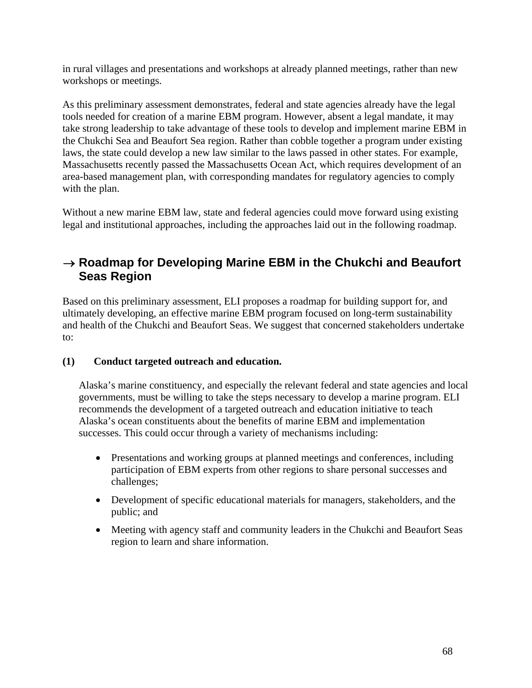in rural villages and presentations and workshops at already planned meetings, rather than new workshops or meetings.

As this preliminary assessment demonstrates, federal and state agencies already have the legal tools needed for creation of a marine EBM program. However, absent a legal mandate, it may take strong leadership to take advantage of these tools to develop and implement marine EBM in the Chukchi Sea and Beaufort Sea region. Rather than cobble together a program under existing laws, the state could develop a new law similar to the laws passed in other states. For example, Massachusetts recently passed the Massachusetts Ocean Act, which requires development of an area-based management plan, with corresponding mandates for regulatory agencies to comply with the plan.

Without a new marine EBM law, state and federal agencies could move forward using existing legal and institutional approaches, including the approaches laid out in the following roadmap.

# → **Roadmap for Developing Marine EBM in the Chukchi and Beaufort Seas Region**

Based on this preliminary assessment, ELI proposes a roadmap for building support for, and ultimately developing, an effective marine EBM program focused on long-term sustainability and health of the Chukchi and Beaufort Seas. We suggest that concerned stakeholders undertake to:

## **(1) Conduct targeted outreach and education.**

Alaska's marine constituency, and especially the relevant federal and state agencies and local governments, must be willing to take the steps necessary to develop a marine program. ELI recommends the development of a targeted outreach and education initiative to teach Alaska's ocean constituents about the benefits of marine EBM and implementation successes. This could occur through a variety of mechanisms including:

- Presentations and working groups at planned meetings and conferences, including participation of EBM experts from other regions to share personal successes and challenges;
- Development of specific educational materials for managers, stakeholders, and the public; and
- Meeting with agency staff and community leaders in the Chukchi and Beaufort Seas region to learn and share information.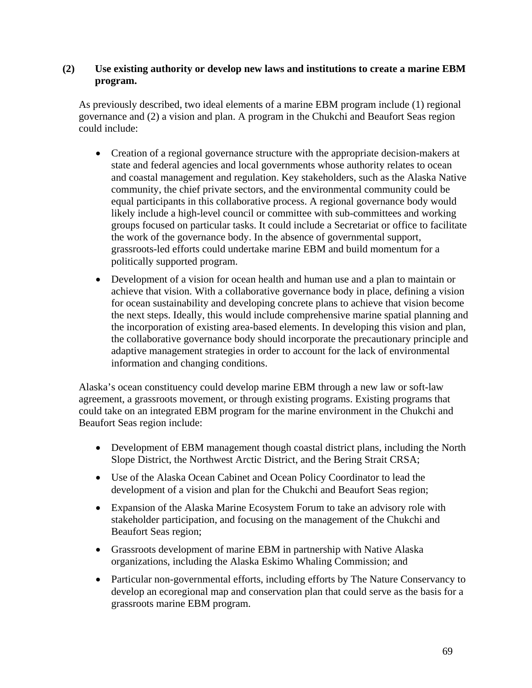#### **(2) Use existing authority or develop new laws and institutions to create a marine EBM program.**

As previously described, two ideal elements of a marine EBM program include (1) regional governance and (2) a vision and plan. A program in the Chukchi and Beaufort Seas region could include:

- Creation of a regional governance structure with the appropriate decision-makers at state and federal agencies and local governments whose authority relates to ocean and coastal management and regulation. Key stakeholders, such as the Alaska Native community, the chief private sectors, and the environmental community could be equal participants in this collaborative process. A regional governance body would likely include a high-level council or committee with sub-committees and working groups focused on particular tasks. It could include a Secretariat or office to facilitate the work of the governance body. In the absence of governmental support, grassroots-led efforts could undertake marine EBM and build momentum for a politically supported program.
- Development of a vision for ocean health and human use and a plan to maintain or achieve that vision. With a collaborative governance body in place, defining a vision for ocean sustainability and developing concrete plans to achieve that vision become the next steps. Ideally, this would include comprehensive marine spatial planning and the incorporation of existing area-based elements. In developing this vision and plan, the collaborative governance body should incorporate the precautionary principle and adaptive management strategies in order to account for the lack of environmental information and changing conditions.

Alaska's ocean constituency could develop marine EBM through a new law or soft-law agreement, a grassroots movement, or through existing programs. Existing programs that could take on an integrated EBM program for the marine environment in the Chukchi and Beaufort Seas region include:

- Development of EBM management though coastal district plans, including the North Slope District, the Northwest Arctic District, and the Bering Strait CRSA;
- Use of the Alaska Ocean Cabinet and Ocean Policy Coordinator to lead the development of a vision and plan for the Chukchi and Beaufort Seas region;
- Expansion of the Alaska Marine Ecosystem Forum to take an advisory role with stakeholder participation, and focusing on the management of the Chukchi and Beaufort Seas region;
- Grassroots development of marine EBM in partnership with Native Alaska organizations, including the Alaska Eskimo Whaling Commission; and
- Particular non-governmental efforts, including efforts by The Nature Conservancy to develop an ecoregional map and conservation plan that could serve as the basis for a grassroots marine EBM program.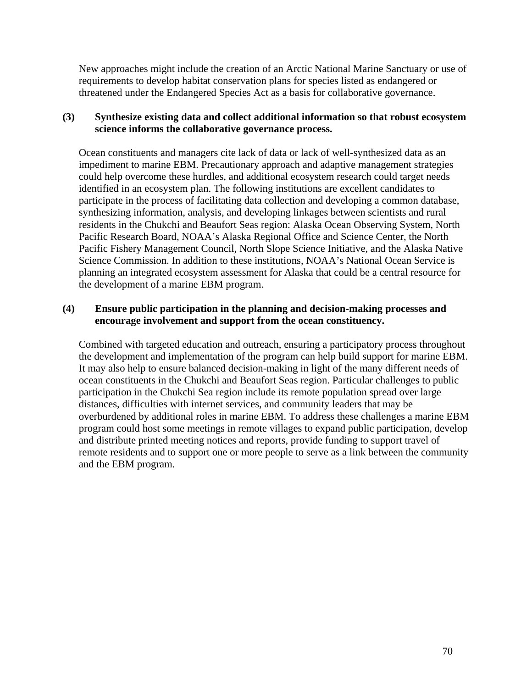New approaches might include the creation of an Arctic National Marine Sanctuary or use of requirements to develop habitat conservation plans for species listed as endangered or threatened under the Endangered Species Act as a basis for collaborative governance.

### **(3) Synthesize existing data and collect additional information so that robust ecosystem science informs the collaborative governance process.**

Ocean constituents and managers cite lack of data or lack of well-synthesized data as an impediment to marine EBM. Precautionary approach and adaptive management strategies could help overcome these hurdles, and additional ecosystem research could target needs identified in an ecosystem plan. The following institutions are excellent candidates to participate in the process of facilitating data collection and developing a common database, synthesizing information, analysis, and developing linkages between scientists and rural residents in the Chukchi and Beaufort Seas region: Alaska Ocean Observing System, North Pacific Research Board, NOAA's Alaska Regional Office and Science Center, the North Pacific Fishery Management Council, North Slope Science Initiative, and the Alaska Native Science Commission. In addition to these institutions, NOAA's National Ocean Service is planning an integrated ecosystem assessment for Alaska that could be a central resource for the development of a marine EBM program.

#### **(4) Ensure public participation in the planning and decision-making processes and encourage involvement and support from the ocean constituency.**

Combined with targeted education and outreach, ensuring a participatory process throughout the development and implementation of the program can help build support for marine EBM. It may also help to ensure balanced decision-making in light of the many different needs of ocean constituents in the Chukchi and Beaufort Seas region. Particular challenges to public participation in the Chukchi Sea region include its remote population spread over large distances, difficulties with internet services, and community leaders that may be overburdened by additional roles in marine EBM. To address these challenges a marine EBM program could host some meetings in remote villages to expand public participation, develop and distribute printed meeting notices and reports, provide funding to support travel of remote residents and to support one or more people to serve as a link between the community and the EBM program.